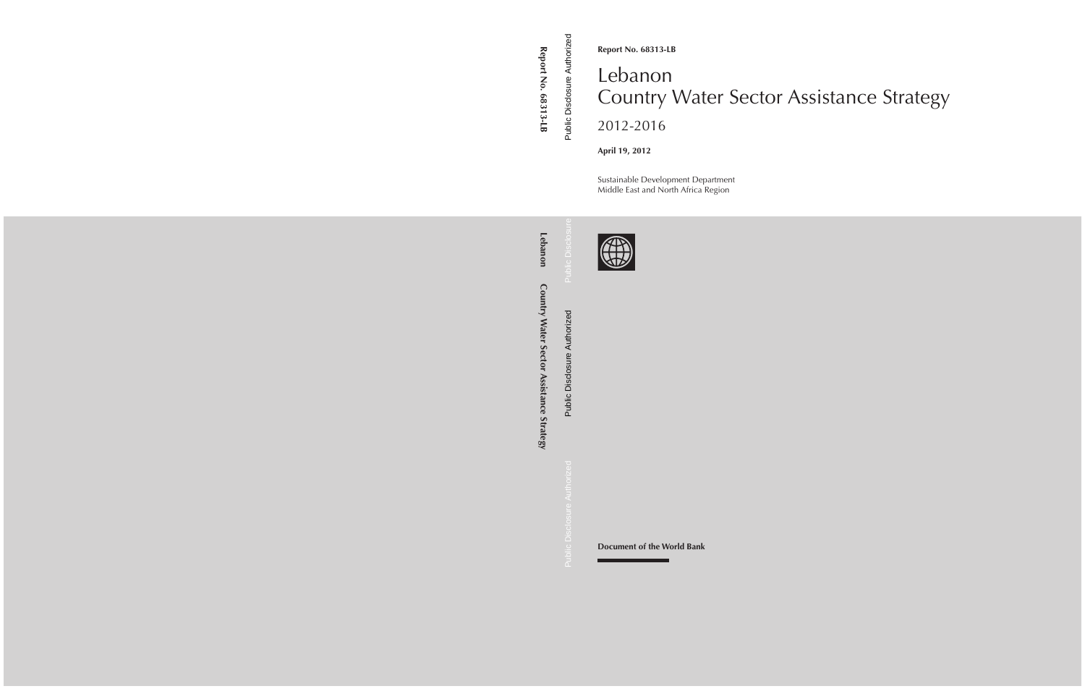**Report No. 68313-LB**

# Lebanon Country Water Sector Assistance Strategy 2012-2016

**April 19, 2012**

Sustainable Development Department Middle East and North Africa Region



**Document of the World Bank**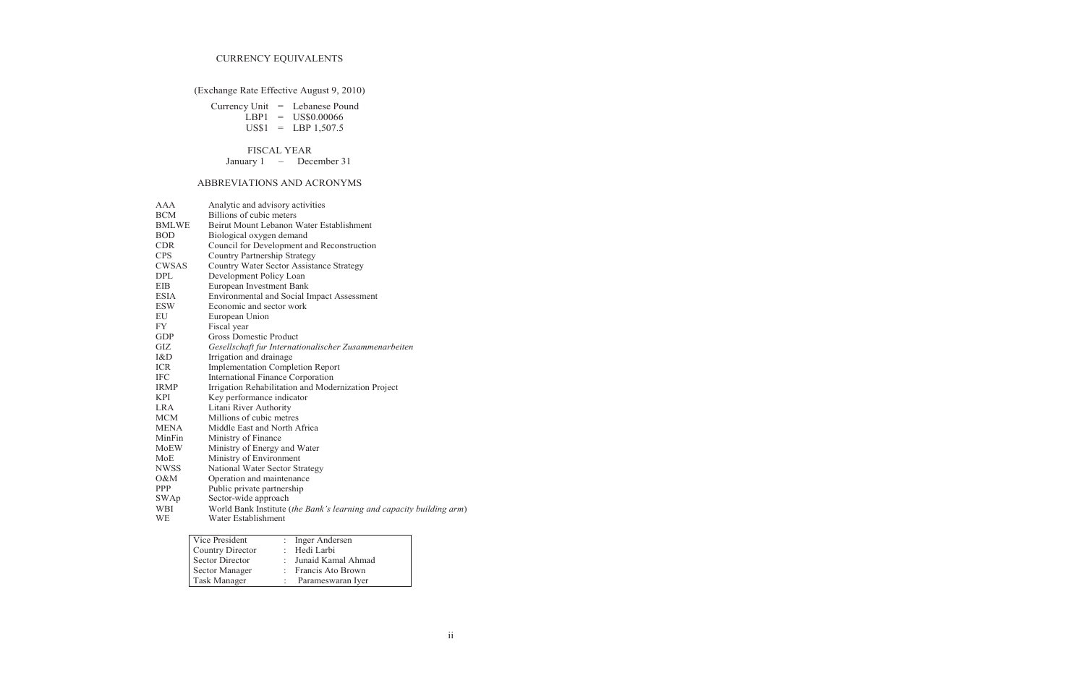# CURRENCY EQUIVALENTS

(Exchange Rate Effective August 9, 2010)

|  | Currency Unit $=$ Lebanese Pound |
|--|----------------------------------|
|  | $LBP1 = US$0.00066$              |
|  | $US$1 = LBP 1,507.5$             |

## FISCAL YEAR

January 1 – December 31

# ABBREVIATIONS AND ACRONYMS

| AAA          | Analytic and advisory activities                                     |
|--------------|----------------------------------------------------------------------|
| BCM          | Billions of cubic meters                                             |
| <b>BMLWE</b> | Beirut Mount Lebanon Water Establishment                             |
| BOD          | Biological oxygen demand                                             |
| <b>CDR</b>   | Council for Development and Reconstruction                           |
| <b>CPS</b>   | <b>Country Partnership Strategy</b>                                  |
| CWSAS        | Country Water Sector Assistance Strategy                             |
| DPL          | Development Policy Loan                                              |
| EIB          | European Investment Bank                                             |
| <b>ESIA</b>  | <b>Environmental and Social Impact Assessment</b>                    |
| ESW          | Economic and sector work                                             |
| EU           | European Union                                                       |
| FY           | Fiscal year                                                          |
| <b>GDP</b>   | <b>Gross Domestic Product</b>                                        |
| GIZ          | Gesellschaft fur Internationalischer Zusammenarbeiten                |
| I&D          | Irrigation and drainage                                              |
| ICR          | <b>Implementation Completion Report</b>                              |
| IFC          | International Finance Corporation                                    |
| <b>IRMP</b>  | Irrigation Rehabilitation and Modernization Project                  |
| KPI          | Key performance indicator                                            |
| LRA          | Litani River Authority                                               |
| MCM          | Millions of cubic metres                                             |
| MENA         | Middle East and North Africa                                         |
| MinFin       | Ministry of Finance                                                  |
| MoEW         | Ministry of Energy and Water                                         |
| MoE          | Ministry of Environment                                              |
| NWSS         | National Water Sector Strategy                                       |
| 0&M          | Operation and maintenance                                            |
| PPP          | Public private partnership                                           |
| SWAp         | Sector-wide approach                                                 |
| WBI          | World Bank Institute (the Bank's learning and capacity building arm) |
| WЕ           | Water Establishment                                                  |

| Vice President          | : Inger Andersen     |
|-------------------------|----------------------|
| <b>Country Director</b> | : Hedi Larbi         |
| <b>Sector Director</b>  | : Junaid Kamal Ahmad |
| Sector Manager          | : Francis Ato Brown  |
| <b>Task Manager</b>     | Parameswaran Iyer    |
|                         |                      |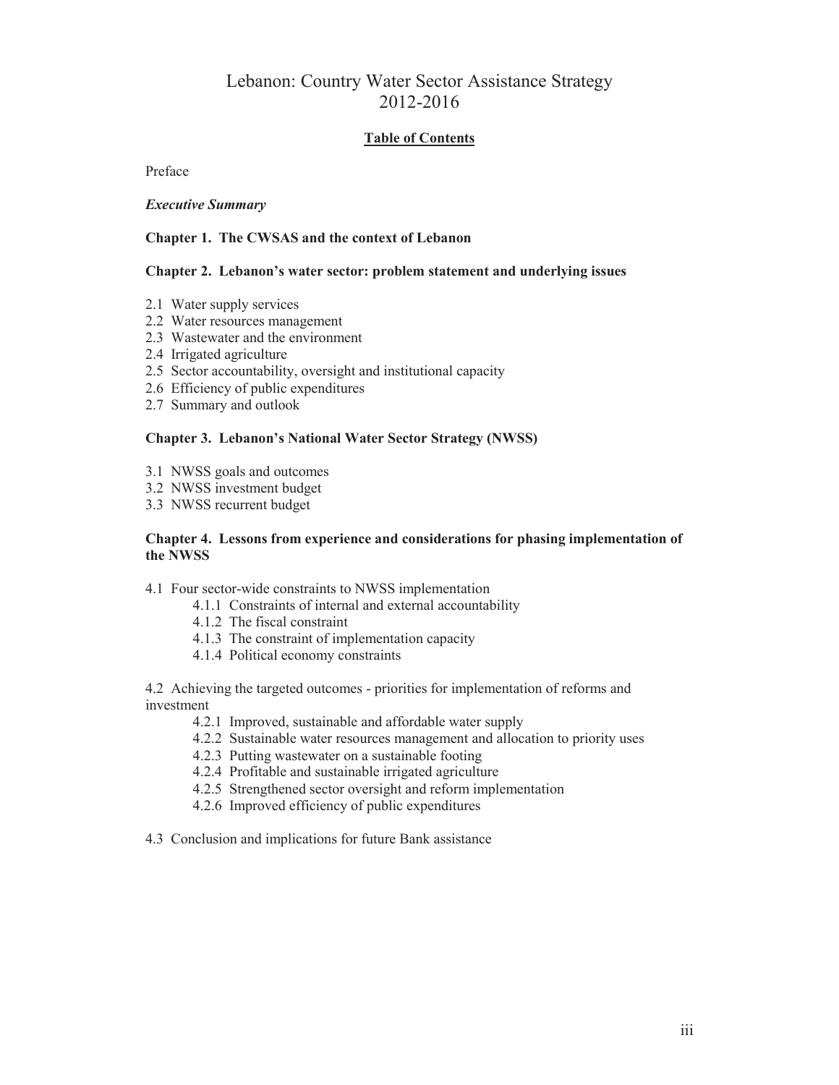# Lebanon: Country Water Sector Assistance Strategy 2012-2016

### **Table of Contents**

Preface

### *Executive Summary*

### **Chapter 1. The CWSAS and the context of Lebanon**

### **Chapter 2. Lebanon's water sector: problem statement and underlying issues**

- 2.1 Water supply services
- 2.2 Water resources management
- 2.3 Wastewater and the environment
- 2.4 Irrigated agriculture
- 2.5 Sector accountability, oversight and institutional capacity
- 2.6 Efficiency of public expenditures
- 2.7 Summary and outlook

### **Chapter 3. Lebanon's National Water Sector Strategy (NWSS)**

- 3.1 NWSS goals and outcomes
- 3.2 NWSS investment budget
- 3.3 NWSS recurrent budget

### **Chapter 4. Lessons from experience and considerations for phasing implementation of the NWSS**

### 4.1 Four sector-wide constraints to NWSS implementation

- 4.1.1 Constraints of internal and external accountability
- 4.1.2 The fiscal constraint
- 4.1.3 The constraint of implementation capacity
- 4.1.4 Political economy constraints

4.2 Achieving the targeted outcomes - priorities for implementation of reforms and investment

- 4.2.1 Improved, sustainable and affordable water supply
- 4.2.2 Sustainable water resources management and allocation to priority uses
- 4.2.3 Putting wastewater on a sustainable footing
- 4.2.4 Profitable and sustainable irrigated agriculture
- 4.2.5 Strengthened sector oversight and reform implementation
- 4.2.6 Improved efficiency of public expenditures
- 4.3 Conclusion and implications for future Bank assistance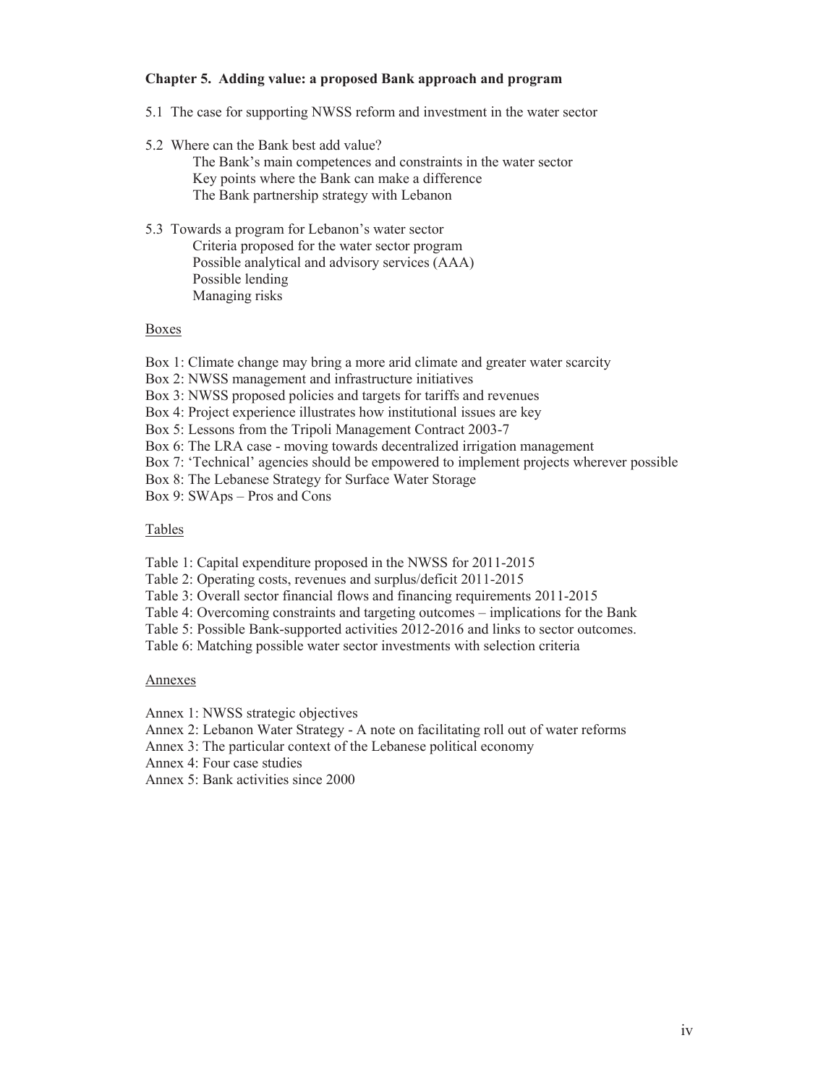### **Chapter 5. Adding value: a proposed Bank approach and program**

- 5.1 The case for supporting NWSS reform and investment in the water sector
- 5.2 Where can the Bank best add value?

The Bank's main competences and constraints in the water sector Key points where the Bank can make a difference The Bank partnership strategy with Lebanon

5.3 Towards a program for Lebanon's water sector Criteria proposed for the water sector program Possible analytical and advisory services (AAA) Possible lending Managing risks

#### Boxes

Box 1: Climate change may bring a more arid climate and greater water scarcity

Box 2: NWSS management and infrastructure initiatives

Box 3: NWSS proposed policies and targets for tariffs and revenues

Box 4: Project experience illustrates how institutional issues are key

Box 5: Lessons from the Tripoli Management Contract 2003-7

Box 6: The LRA case - moving towards decentralized irrigation management

Box 7: 'Technical' agencies should be empowered to implement projects wherever possible

Box 8: The Lebanese Strategy for Surface Water Storage

Box 9: SWAps – Pros and Cons

### Tables

Table 1: Capital expenditure proposed in the NWSS for 2011-2015

Table 2: Operating costs, revenues and surplus/deficit 2011-2015

Table 3: Overall sector financial flows and financing requirements 2011-2015

Table 4: Overcoming constraints and targeting outcomes – implications for the Bank

Table 5: Possible Bank-supported activities 2012-2016 and links to sector outcomes.

Table 6: Matching possible water sector investments with selection criteria

### Annexes

Annex 1: NWSS strategic objectives

Annex 2: Lebanon Water Strategy - A note on facilitating roll out of water reforms

Annex 3: The particular context of the Lebanese political economy

Annex 4: Four case studies

Annex 5: Bank activities since 2000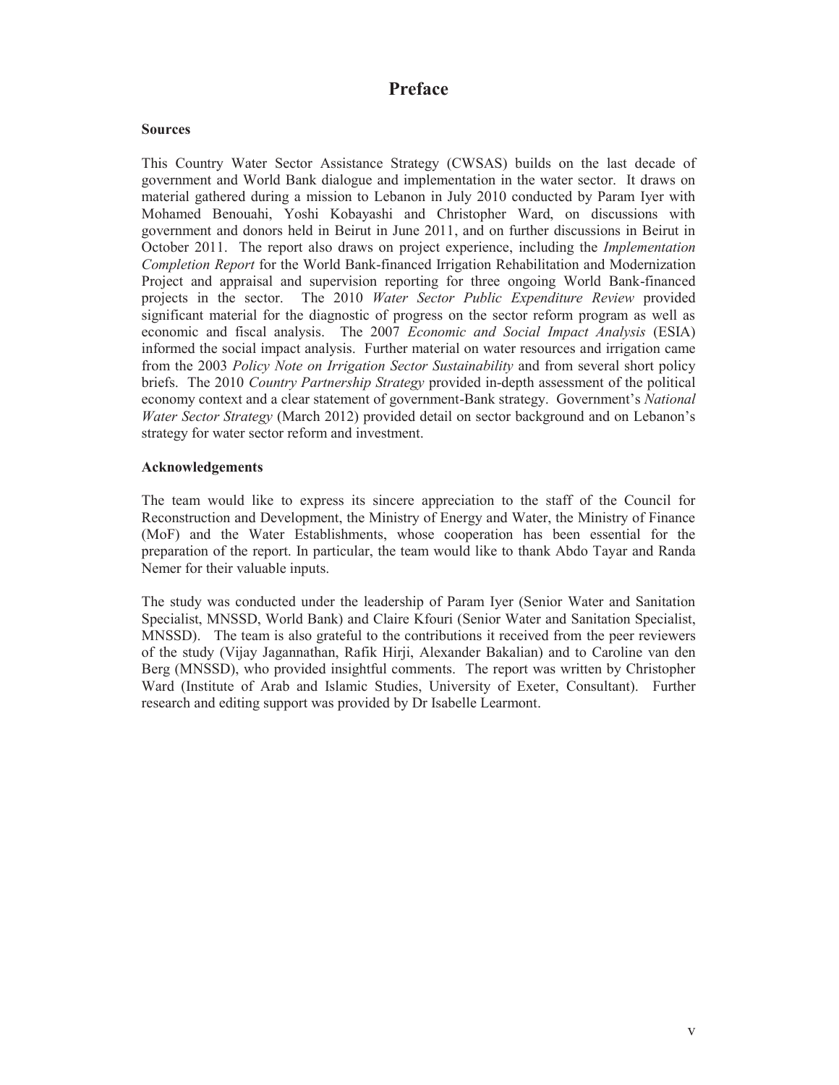# **Preface**

### **Sources**

This Country Water Sector Assistance Strategy (CWSAS) builds on the last decade of government and World Bank dialogue and implementation in the water sector. It draws on material gathered during a mission to Lebanon in July 2010 conducted by Param Iyer with Mohamed Benouahi, Yoshi Kobayashi and Christopher Ward, on discussions with government and donors held in Beirut in June 2011, and on further discussions in Beirut in October 2011. The report also draws on project experience, including the *Implementation Completion Report* for the World Bank-financed Irrigation Rehabilitation and Modernization Project and appraisal and supervision reporting for three ongoing World Bank-financed projects in the sector. The 2010 *Water Sector Public Expenditure Review* provided significant material for the diagnostic of progress on the sector reform program as well as economic and fiscal analysis. The 2007 *Economic and Social Impact Analysis* (ESIA) informed the social impact analysis. Further material on water resources and irrigation came from the 2003 *Policy Note on Irrigation Sector Sustainability* and from several short policy briefs. The 2010 *Country Partnership Strategy* provided in-depth assessment of the political economy context and a clear statement of government-Bank strategy. Government's *National Water Sector Strategy* (March 2012) provided detail on sector background and on Lebanon's strategy for water sector reform and investment.

#### **Acknowledgements**

The team would like to express its sincere appreciation to the staff of the Council for Reconstruction and Development, the Ministry of Energy and Water, the Ministry of Finance (MoF) and the Water Establishments, whose cooperation has been essential for the preparation of the report. In particular, the team would like to thank Abdo Tayar and Randa Nemer for their valuable inputs.

The study was conducted under the leadership of Param Iyer (Senior Water and Sanitation Specialist, MNSSD, World Bank) and Claire Kfouri (Senior Water and Sanitation Specialist, MNSSD). The team is also grateful to the contributions it received from the peer reviewers of the study (Vijay Jagannathan, Rafik Hirji, Alexander Bakalian) and to Caroline van den Berg (MNSSD), who provided insightful comments. The report was written by Christopher Ward (Institute of Arab and Islamic Studies, University of Exeter, Consultant). Further research and editing support was provided by Dr Isabelle Learmont.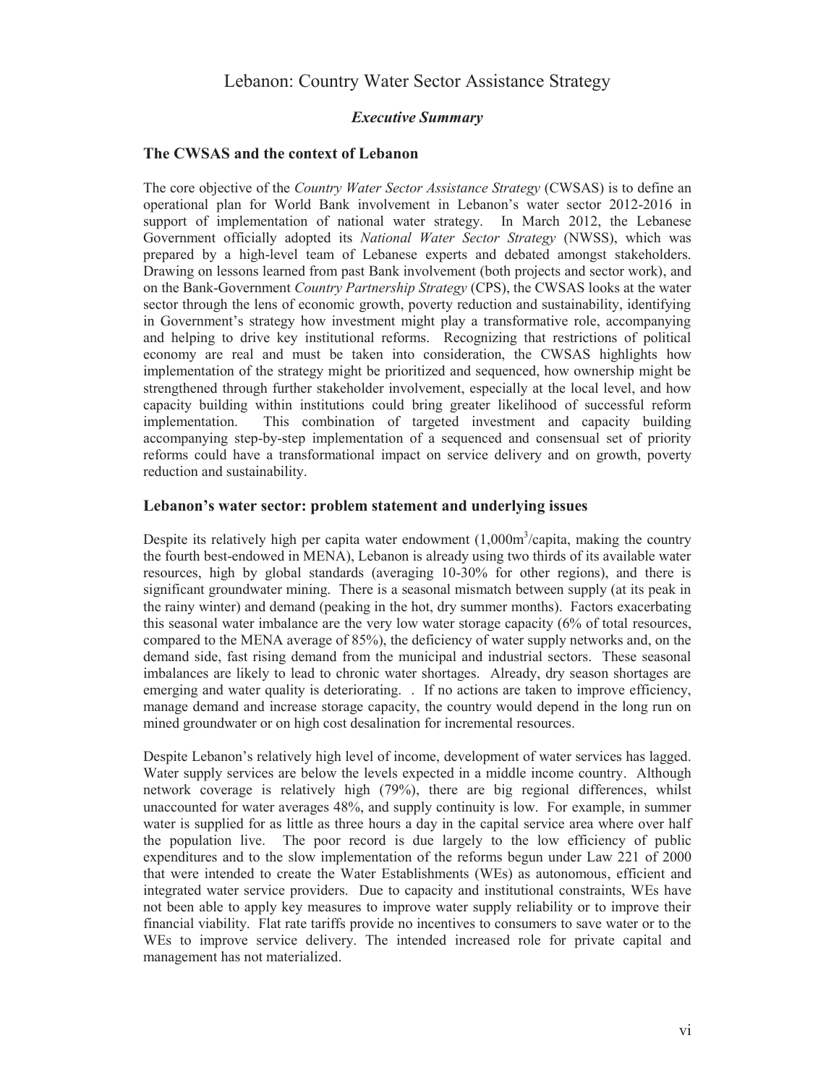# Lebanon: Country Water Sector Assistance Strategy

### *Executive Summary*

### **The CWSAS and the context of Lebanon**

The core objective of the *Country Water Sector Assistance Strategy* (CWSAS) is to define an operational plan for World Bank involvement in Lebanon's water sector 2012-2016 in support of implementation of national water strategy. In March 2012, the Lebanese Government officially adopted its *National Water Sector Strategy* (NWSS), which was prepared by a high-level team of Lebanese experts and debated amongst stakeholders. Drawing on lessons learned from past Bank involvement (both projects and sector work), and on the Bank-Government *Country Partnership Strategy* (CPS), the CWSAS looks at the water sector through the lens of economic growth, poverty reduction and sustainability, identifying in Government's strategy how investment might play a transformative role, accompanying and helping to drive key institutional reforms. Recognizing that restrictions of political economy are real and must be taken into consideration, the CWSAS highlights how implementation of the strategy might be prioritized and sequenced, how ownership might be strengthened through further stakeholder involvement, especially at the local level, and how capacity building within institutions could bring greater likelihood of successful reform implementation. This combination of targeted investment and capacity building accompanying step-by-step implementation of a sequenced and consensual set of priority reforms could have a transformational impact on service delivery and on growth, poverty reduction and sustainability.

### **Lebanon's water sector: problem statement and underlying issues**

Despite its relatively high per capita water endowment  $(1,000\text{m}^3/\text{capita})$ , making the country the fourth best-endowed in MENA), Lebanon is already using two thirds of its available water resources, high by global standards (averaging 10-30% for other regions), and there is significant groundwater mining. There is a seasonal mismatch between supply (at its peak in the rainy winter) and demand (peaking in the hot, dry summer months). Factors exacerbating this seasonal water imbalance are the very low water storage capacity (6% of total resources, compared to the MENA average of 85%), the deficiency of water supply networks and, on the demand side, fast rising demand from the municipal and industrial sectors. These seasonal imbalances are likely to lead to chronic water shortages. Already, dry season shortages are emerging and water quality is deteriorating. . If no actions are taken to improve efficiency, manage demand and increase storage capacity, the country would depend in the long run on mined groundwater or on high cost desalination for incremental resources.

Despite Lebanon's relatively high level of income, development of water services has lagged. Water supply services are below the levels expected in a middle income country. Although network coverage is relatively high (79%), there are big regional differences, whilst unaccounted for water averages 48%, and supply continuity is low. For example, in summer water is supplied for as little as three hours a day in the capital service area where over half the population live. The poor record is due largely to the low efficiency of public expenditures and to the slow implementation of the reforms begun under Law 221 of 2000 that were intended to create the Water Establishments (WEs) as autonomous, efficient and integrated water service providers. Due to capacity and institutional constraints, WEs have not been able to apply key measures to improve water supply reliability or to improve their financial viability. Flat rate tariffs provide no incentives to consumers to save water or to the WEs to improve service delivery. The intended increased role for private capital and management has not materialized.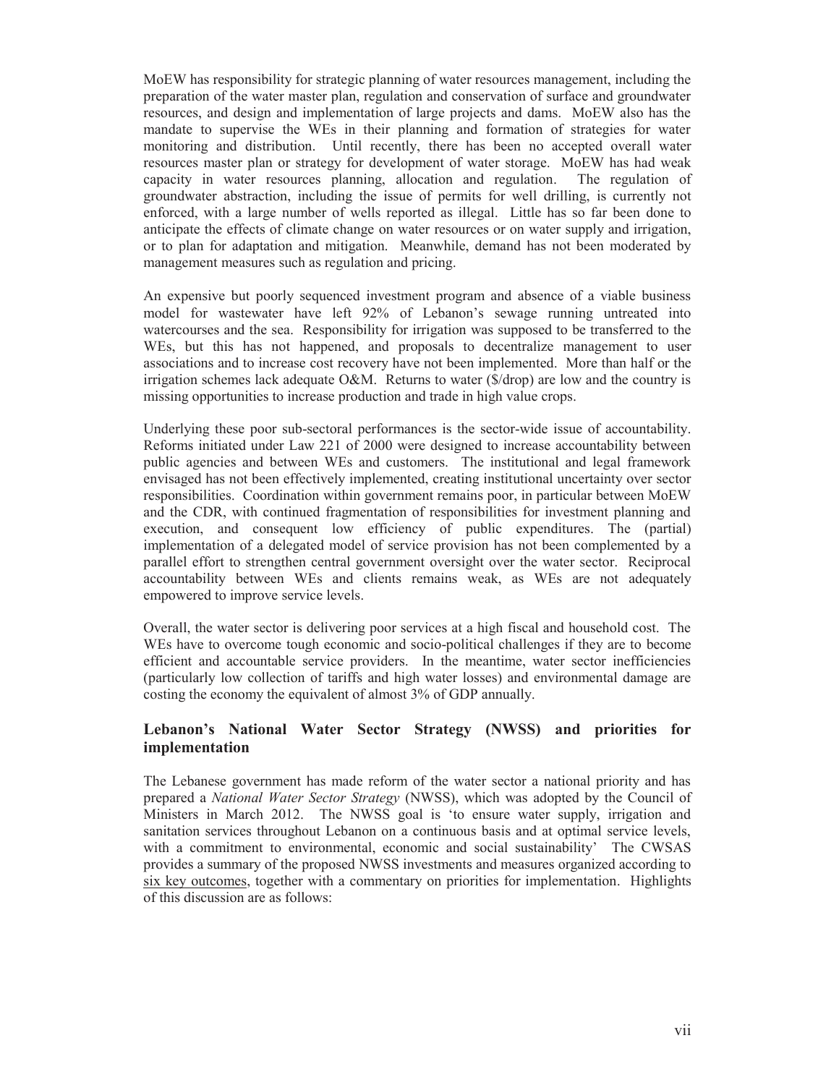MoEW has responsibility for strategic planning of water resources management, including the preparation of the water master plan, regulation and conservation of surface and groundwater resources, and design and implementation of large projects and dams. MoEW also has the mandate to supervise the WEs in their planning and formation of strategies for water monitoring and distribution. Until recently, there has been no accepted overall water resources master plan or strategy for development of water storage. MoEW has had weak capacity in water resources planning, allocation and regulation. The regulation of groundwater abstraction, including the issue of permits for well drilling, is currently not enforced, with a large number of wells reported as illegal. Little has so far been done to anticipate the effects of climate change on water resources or on water supply and irrigation, or to plan for adaptation and mitigation. Meanwhile, demand has not been moderated by management measures such as regulation and pricing.

An expensive but poorly sequenced investment program and absence of a viable business model for wastewater have left 92% of Lebanon's sewage running untreated into watercourses and the sea. Responsibility for irrigation was supposed to be transferred to the WEs, but this has not happened, and proposals to decentralize management to user associations and to increase cost recovery have not been implemented. More than half or the irrigation schemes lack adequate O&M. Returns to water (\$/drop) are low and the country is missing opportunities to increase production and trade in high value crops.

Underlying these poor sub-sectoral performances is the sector-wide issue of accountability. Reforms initiated under Law 221 of 2000 were designed to increase accountability between public agencies and between WEs and customers. The institutional and legal framework envisaged has not been effectively implemented, creating institutional uncertainty over sector responsibilities. Coordination within government remains poor, in particular between MoEW and the CDR, with continued fragmentation of responsibilities for investment planning and execution, and consequent low efficiency of public expenditures. The (partial) implementation of a delegated model of service provision has not been complemented by a parallel effort to strengthen central government oversight over the water sector. Reciprocal accountability between WEs and clients remains weak, as WEs are not adequately empowered to improve service levels.

Overall, the water sector is delivering poor services at a high fiscal and household cost. The WEs have to overcome tough economic and socio-political challenges if they are to become efficient and accountable service providers. In the meantime, water sector inefficiencies (particularly low collection of tariffs and high water losses) and environmental damage are costing the economy the equivalent of almost 3% of GDP annually.

### **Lebanon's National Water Sector Strategy (NWSS) and priorities for implementation**

The Lebanese government has made reform of the water sector a national priority and has prepared a *National Water Sector Strategy* (NWSS), which was adopted by the Council of Ministers in March 2012. The NWSS goal is 'to ensure water supply, irrigation and sanitation services throughout Lebanon on a continuous basis and at optimal service levels, with a commitment to environmental, economic and social sustainability' The CWSAS provides a summary of the proposed NWSS investments and measures organized according to six key outcomes, together with a commentary on priorities for implementation. Highlights of this discussion are as follows: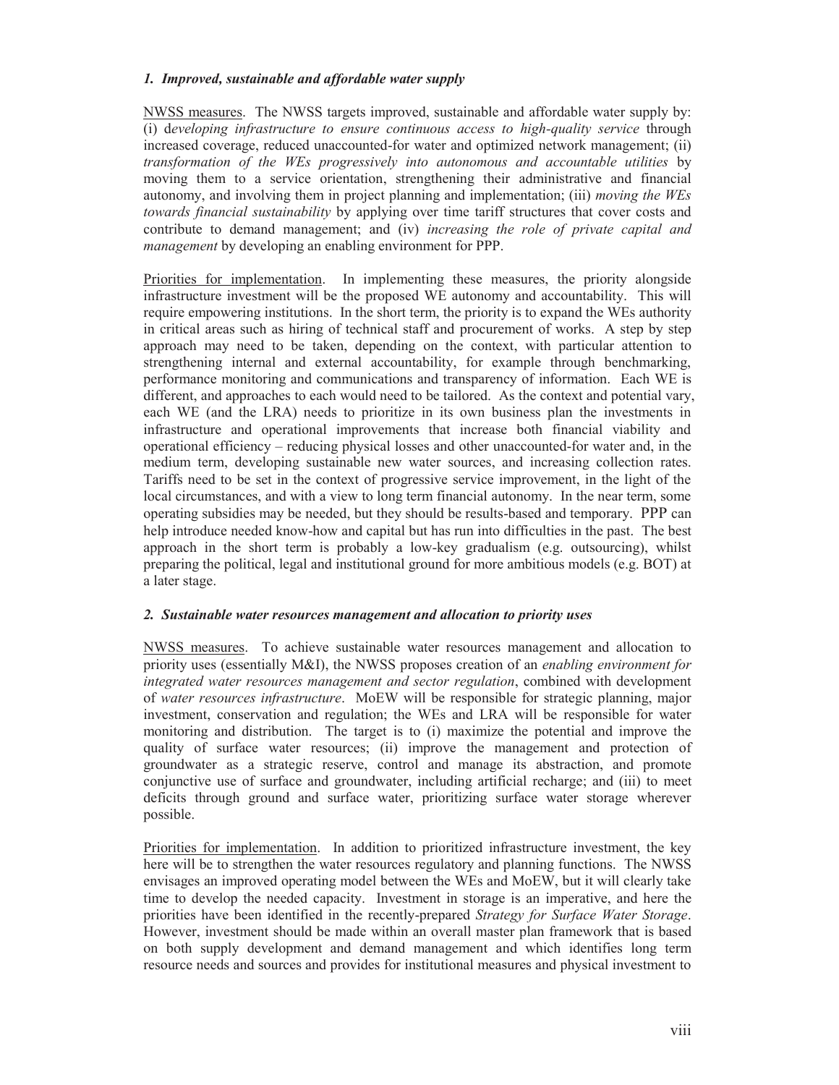### *1. Improved, sustainable and affordable water supply*

NWSS measures. The NWSS targets improved, sustainable and affordable water supply by: (i) d*eveloping infrastructure to ensure continuous access to high-quality service* through increased coverage, reduced unaccounted-for water and optimized network management; (ii) *transformation of the WEs progressively into autonomous and accountable utilities* by moving them to a service orientation, strengthening their administrative and financial autonomy, and involving them in project planning and implementation; (iii) *moving the WEs towards financial sustainability* by applying over time tariff structures that cover costs and contribute to demand management; and (iv) *increasing the role of private capital and management* by developing an enabling environment for PPP.

Priorities for implementation. In implementing these measures, the priority alongside infrastructure investment will be the proposed WE autonomy and accountability. This will require empowering institutions. In the short term, the priority is to expand the WEs authority in critical areas such as hiring of technical staff and procurement of works. A step by step approach may need to be taken, depending on the context, with particular attention to strengthening internal and external accountability, for example through benchmarking, performance monitoring and communications and transparency of information. Each WE is different, and approaches to each would need to be tailored. As the context and potential vary, each WE (and the LRA) needs to prioritize in its own business plan the investments in infrastructure and operational improvements that increase both financial viability and operational efficiency – reducing physical losses and other unaccounted-for water and, in the medium term, developing sustainable new water sources, and increasing collection rates. Tariffs need to be set in the context of progressive service improvement, in the light of the local circumstances, and with a view to long term financial autonomy. In the near term, some operating subsidies may be needed, but they should be results-based and temporary. PPP can help introduce needed know-how and capital but has run into difficulties in the past. The best approach in the short term is probably a low-key gradualism (e.g. outsourcing), whilst preparing the political, legal and institutional ground for more ambitious models (e.g. BOT) at a later stage.

### *2. Sustainable water resources management and allocation to priority uses*

NWSS measures. To achieve sustainable water resources management and allocation to priority uses (essentially M&I), the NWSS proposes creation of an *enabling environment for integrated water resources management and sector regulation*, combined with development of *water resources infrastructure*. MoEW will be responsible for strategic planning, major investment, conservation and regulation; the WEs and LRA will be responsible for water monitoring and distribution. The target is to (i) maximize the potential and improve the quality of surface water resources; (ii) improve the management and protection of groundwater as a strategic reserve, control and manage its abstraction, and promote conjunctive use of surface and groundwater, including artificial recharge; and (iii) to meet deficits through ground and surface water, prioritizing surface water storage wherever possible.

Priorities for implementation. In addition to prioritized infrastructure investment, the key here will be to strengthen the water resources regulatory and planning functions. The NWSS envisages an improved operating model between the WEs and MoEW, but it will clearly take time to develop the needed capacity. Investment in storage is an imperative, and here the priorities have been identified in the recently-prepared *Strategy for Surface Water Storage*. However, investment should be made within an overall master plan framework that is based on both supply development and demand management and which identifies long term resource needs and sources and provides for institutional measures and physical investment to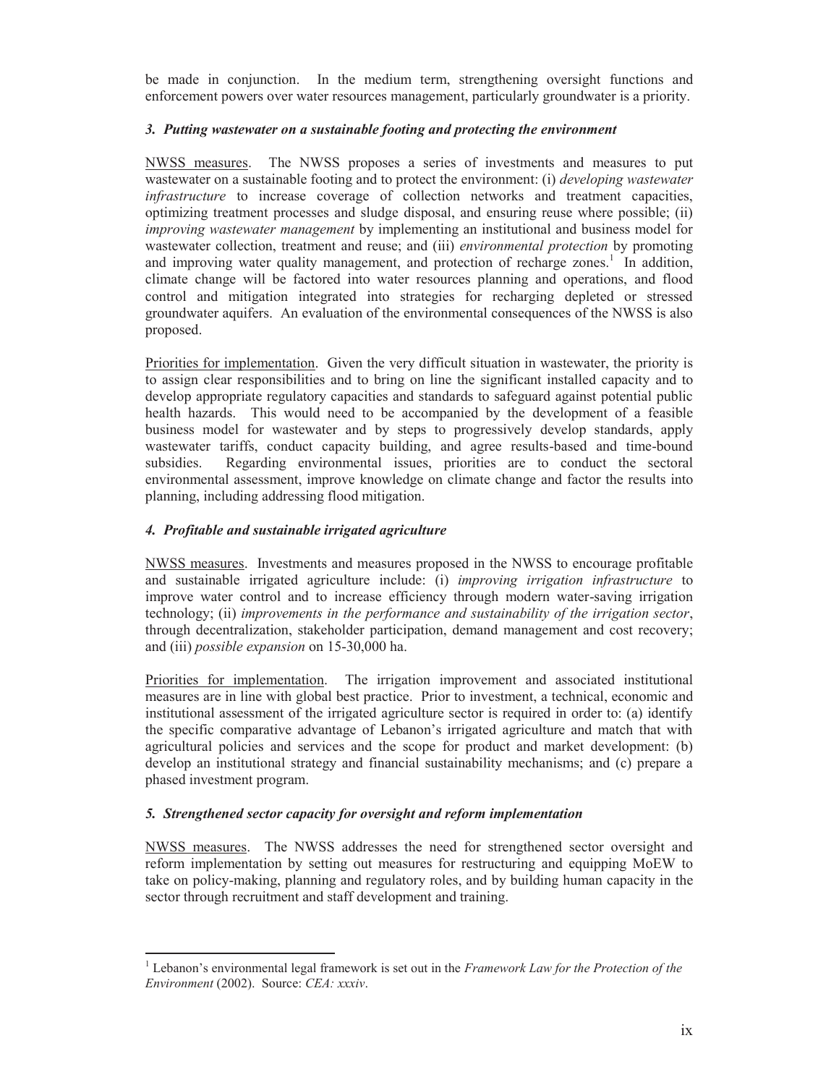be made in conjunction. In the medium term, strengthening oversight functions and enforcement powers over water resources management, particularly groundwater is a priority.

### *3. Putting wastewater on a sustainable footing and protecting the environment*

NWSS measures. The NWSS proposes a series of investments and measures to put wastewater on a sustainable footing and to protect the environment: (i) *developing wastewater infrastructure* to increase coverage of collection networks and treatment capacities, optimizing treatment processes and sludge disposal, and ensuring reuse where possible; (ii) *improving wastewater management* by implementing an institutional and business model for wastewater collection, treatment and reuse; and (iii) *environmental protection* by promoting and improving water quality management, and protection of recharge zones.<sup>1</sup> In addition, climate change will be factored into water resources planning and operations, and flood control and mitigation integrated into strategies for recharging depleted or stressed groundwater aquifers. An evaluation of the environmental consequences of the NWSS is also proposed.

Priorities for implementation. Given the very difficult situation in wastewater, the priority is to assign clear responsibilities and to bring on line the significant installed capacity and to develop appropriate regulatory capacities and standards to safeguard against potential public health hazards. This would need to be accompanied by the development of a feasible business model for wastewater and by steps to progressively develop standards, apply wastewater tariffs, conduct capacity building, and agree results-based and time-bound subsidies. Regarding environmental issues, priorities are to conduct the sectoral environmental assessment, improve knowledge on climate change and factor the results into planning, including addressing flood mitigation.

### *4. Profitable and sustainable irrigated agriculture*

-

NWSS measures. Investments and measures proposed in the NWSS to encourage profitable and sustainable irrigated agriculture include: (i) *improving irrigation infrastructure* to improve water control and to increase efficiency through modern water-saving irrigation technology; (ii) *improvements in the performance and sustainability of the irrigation sector*, through decentralization, stakeholder participation, demand management and cost recovery; and (iii) *possible expansion* on 15-30,000 ha.

Priorities for implementation. The irrigation improvement and associated institutional measures are in line with global best practice. Prior to investment, a technical, economic and institutional assessment of the irrigated agriculture sector is required in order to: (a) identify the specific comparative advantage of Lebanon's irrigated agriculture and match that with agricultural policies and services and the scope for product and market development: (b) develop an institutional strategy and financial sustainability mechanisms; and (c) prepare a phased investment program.

### *5. Strengthened sector capacity for oversight and reform implementation*

NWSS measures. The NWSS addresses the need for strengthened sector oversight and reform implementation by setting out measures for restructuring and equipping MoEW to take on policy-making, planning and regulatory roles, and by building human capacity in the sector through recruitment and staff development and training.

<sup>1</sup> Lebanon's environmental legal framework is set out in the *Framework Law for the Protection of the Environment* (2002). Source: *CEA: xxxiv*.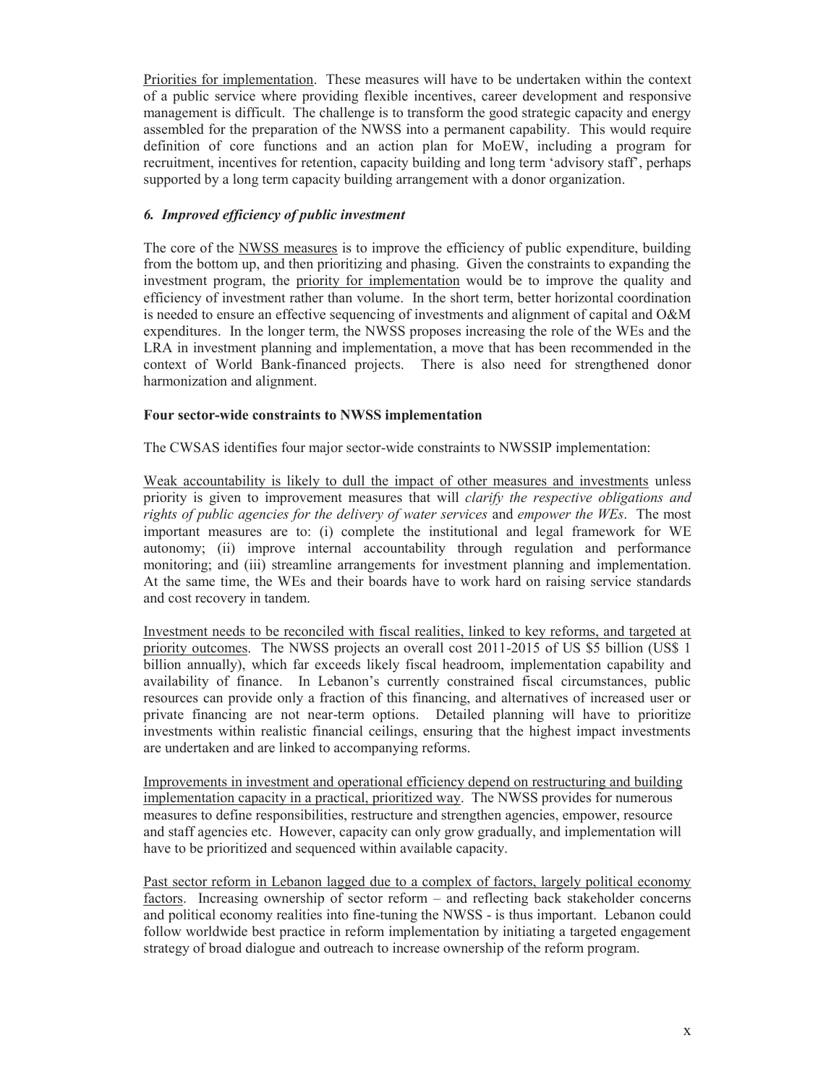Priorities for implementation. These measures will have to be undertaken within the context of a public service where providing flexible incentives, career development and responsive management is difficult. The challenge is to transform the good strategic capacity and energy assembled for the preparation of the NWSS into a permanent capability. This would require definition of core functions and an action plan for MoEW, including a program for recruitment, incentives for retention, capacity building and long term 'advisory staff', perhaps supported by a long term capacity building arrangement with a donor organization.

### *6. Improved efficiency of public investment*

The core of the NWSS measures is to improve the efficiency of public expenditure, building from the bottom up, and then prioritizing and phasing. Given the constraints to expanding the investment program, the priority for implementation would be to improve the quality and efficiency of investment rather than volume. In the short term, better horizontal coordination is needed to ensure an effective sequencing of investments and alignment of capital and O&M expenditures. In the longer term, the NWSS proposes increasing the role of the WEs and the LRA in investment planning and implementation, a move that has been recommended in the context of World Bank-financed projects. There is also need for strengthened donor harmonization and alignment.

### **Four sector-wide constraints to NWSS implementation**

The CWSAS identifies four major sector-wide constraints to NWSSIP implementation:

Weak accountability is likely to dull the impact of other measures and investments unless priority is given to improvement measures that will *clarify the respective obligations and rights of public agencies for the delivery of water services* and *empower the WEs*. The most important measures are to: (i) complete the institutional and legal framework for WE autonomy; (ii) improve internal accountability through regulation and performance monitoring; and (iii) streamline arrangements for investment planning and implementation. At the same time, the WEs and their boards have to work hard on raising service standards and cost recovery in tandem.

Investment needs to be reconciled with fiscal realities, linked to key reforms, and targeted at priority outcomes. The NWSS projects an overall cost 2011-2015 of US \$5 billion (US\$ 1 billion annually), which far exceeds likely fiscal headroom, implementation capability and availability of finance. In Lebanon's currently constrained fiscal circumstances, public resources can provide only a fraction of this financing, and alternatives of increased user or private financing are not near-term options. Detailed planning will have to prioritize investments within realistic financial ceilings, ensuring that the highest impact investments are undertaken and are linked to accompanying reforms.

Improvements in investment and operational efficiency depend on restructuring and building implementation capacity in a practical, prioritized way. The NWSS provides for numerous measures to define responsibilities, restructure and strengthen agencies, empower, resource and staff agencies etc. However, capacity can only grow gradually, and implementation will have to be prioritized and sequenced within available capacity.

Past sector reform in Lebanon lagged due to a complex of factors, largely political economy factors. Increasing ownership of sector reform – and reflecting back stakeholder concerns and political economy realities into fine-tuning the NWSS - is thus important. Lebanon could follow worldwide best practice in reform implementation by initiating a targeted engagement strategy of broad dialogue and outreach to increase ownership of the reform program.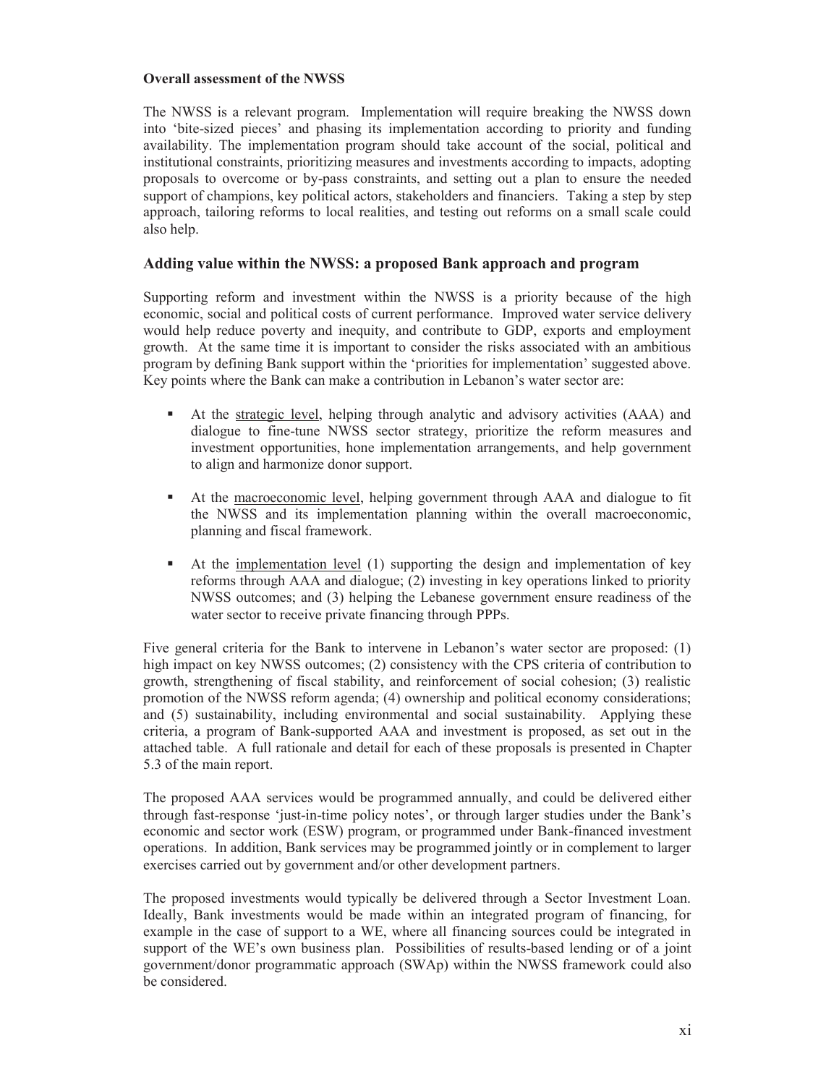### **Overall assessment of the NWSS**

The NWSS is a relevant program. Implementation will require breaking the NWSS down into 'bite-sized pieces' and phasing its implementation according to priority and funding availability. The implementation program should take account of the social, political and institutional constraints, prioritizing measures and investments according to impacts, adopting proposals to overcome or by-pass constraints, and setting out a plan to ensure the needed support of champions, key political actors, stakeholders and financiers. Taking a step by step approach, tailoring reforms to local realities, and testing out reforms on a small scale could also help.

### **Adding value within the NWSS: a proposed Bank approach and program**

Supporting reform and investment within the NWSS is a priority because of the high economic, social and political costs of current performance. Improved water service delivery would help reduce poverty and inequity, and contribute to GDP, exports and employment growth. At the same time it is important to consider the risks associated with an ambitious program by defining Bank support within the 'priorities for implementation' suggested above. Key points where the Bank can make a contribution in Lebanon's water sector are:

- At the strategic level, helping through analytic and advisory activities (AAA) and dialogue to fine-tune NWSS sector strategy, prioritize the reform measures and investment opportunities, hone implementation arrangements, and help government to align and harmonize donor support.
- At the macroeconomic level, helping government through AAA and dialogue to fit the NWSS and its implementation planning within the overall macroeconomic, planning and fiscal framework.
- At the implementation level (1) supporting the design and implementation of key reforms through AAA and dialogue; (2) investing in key operations linked to priority NWSS outcomes; and (3) helping the Lebanese government ensure readiness of the water sector to receive private financing through PPPs.

Five general criteria for the Bank to intervene in Lebanon's water sector are proposed: (1) high impact on key NWSS outcomes; (2) consistency with the CPS criteria of contribution to growth, strengthening of fiscal stability, and reinforcement of social cohesion; (3) realistic promotion of the NWSS reform agenda; (4) ownership and political economy considerations; and (5) sustainability, including environmental and social sustainability. Applying these criteria, a program of Bank-supported AAA and investment is proposed, as set out in the attached table. A full rationale and detail for each of these proposals is presented in Chapter 5.3 of the main report.

The proposed AAA services would be programmed annually, and could be delivered either through fast-response 'just-in-time policy notes', or through larger studies under the Bank's economic and sector work (ESW) program, or programmed under Bank-financed investment operations. In addition, Bank services may be programmed jointly or in complement to larger exercises carried out by government and/or other development partners.

The proposed investments would typically be delivered through a Sector Investment Loan. Ideally, Bank investments would be made within an integrated program of financing, for example in the case of support to a WE, where all financing sources could be integrated in support of the WE's own business plan. Possibilities of results-based lending or of a joint government/donor programmatic approach (SWAp) within the NWSS framework could also be considered.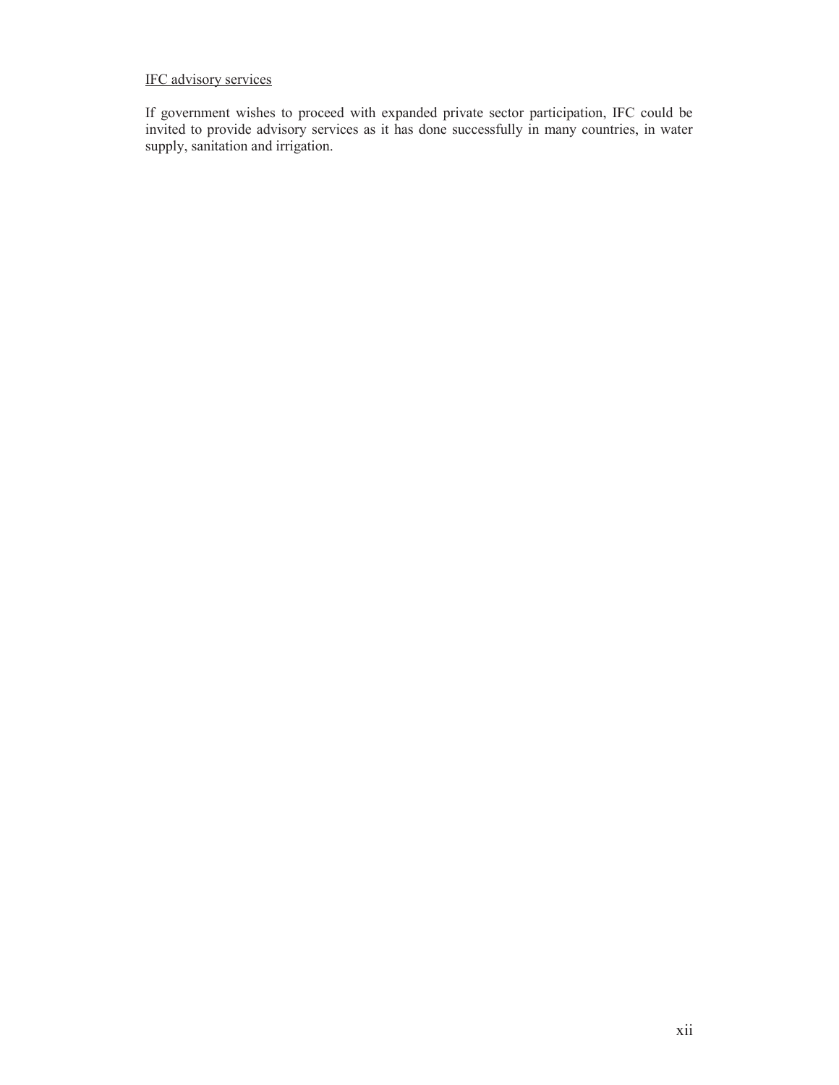## IFC advisory services

If government wishes to proceed with expanded private sector participation, IFC could be invited to provide advisory services as it has done successfully in many countries, in water supply, sanitation and irrigation.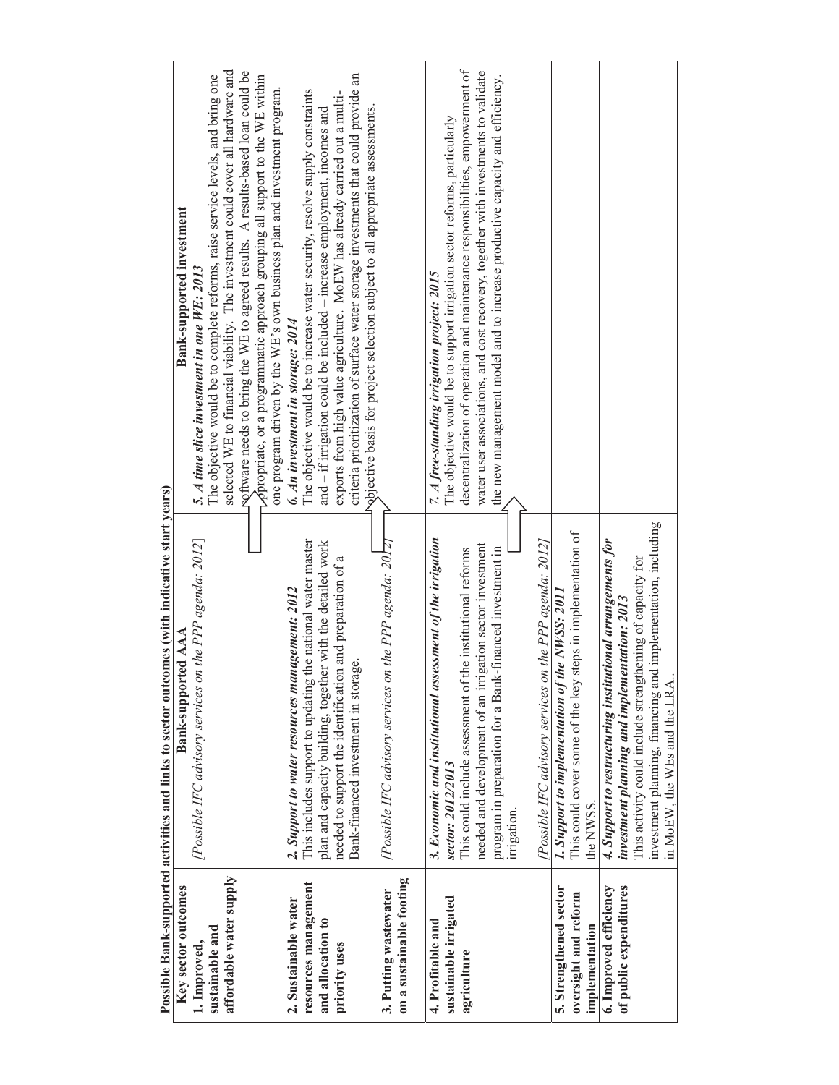|                                                   | Possible Bank-supported activities and links to sector outcomes (with indicative start years)          |                                                                                                                                                                  |
|---------------------------------------------------|--------------------------------------------------------------------------------------------------------|------------------------------------------------------------------------------------------------------------------------------------------------------------------|
| Key sector outcomes                               | Bank-supported AAA                                                                                     | <b>Bank-supported investment</b>                                                                                                                                 |
| 1. Improved,                                      | [Possible IFC advisory services on the PPP agenda: 2012]                                               | 5. A time slice investment in one WE: 2013                                                                                                                       |
| sustainable and                                   |                                                                                                        | The objective would be to complete reforms, raise service levels, and bring one                                                                                  |
| affordable water supply                           |                                                                                                        | selected WE to financial viability. The investment could cover all hardware and                                                                                  |
|                                                   |                                                                                                        | roftware needs to bring the WE to agreed results. A results-based loan could be                                                                                  |
|                                                   |                                                                                                        | $\sim$ propriate, or a programmatic approach grouping all support to the WE within                                                                               |
|                                                   |                                                                                                        | one program driven by the WE's own business plan and investment program.                                                                                         |
| 2. Sustainable water                              | 2. Support to water resources management: 2012                                                         | 6. An investment in storage: 2014                                                                                                                                |
| resources management                              | This includes support to updating the national water master                                            | The objective would be to increase water security, resolve supply constraints                                                                                    |
| and allocation to                                 | plan and capacity building, together with the detailed work                                            | and - if irrigation could be included - increase employment, incomes and                                                                                         |
| priority uses                                     | needed to support the identification and preparation of a<br>ige.<br>Bank-financed investment in stora | criteria prioritization of surface water storage investments that could provide an<br>exports from high value agriculture. MoEW has already carried out a multi- |
|                                                   |                                                                                                        | Nojective basis for project selection subject to all appropriate assessments.                                                                                    |
| on a sustainable footing<br>3. Putting wastewater | [Possible IFC advisory services on the PPP agenda: 2017]                                               |                                                                                                                                                                  |
| 4. Profitable and                                 | 3. Economic and institutional assessment of the irrigation                                             | 7. A free-standing irrigation project: 2015                                                                                                                      |
| sustainable irrigated                             | sector: 2012/2013                                                                                      | The objective would be to support irrigation sector reforms, particularly                                                                                        |
| agriculture                                       | This could include assessment of the institutional reforms                                             | decentralization of operation and maintenance responsibilities, empowerment of                                                                                   |
|                                                   | needed and development of an irrigation sector investment                                              | water user associations, and cost recovery, together with investments to validate                                                                                |
|                                                   | program in preparation for a Bank-financed investment in                                               | the new management model and to increase productive capacity and efficiency.                                                                                     |
|                                                   | urngation.                                                                                             |                                                                                                                                                                  |
|                                                   | [Possible IFC advisory services on the PPP agenda: 2012]                                               |                                                                                                                                                                  |
| 5. Strengthened sector                            | 1. Support to implementation of the NWSS: 2011                                                         |                                                                                                                                                                  |
| oversight and reform                              | This could cover some of the key steps in implementation of                                            |                                                                                                                                                                  |
| implementation                                    | the NWSS.                                                                                              |                                                                                                                                                                  |
| 6. Improved efficiency                            | 4. Support to restructuring institutional arrangements for                                             |                                                                                                                                                                  |
| of public expenditures                            | investment planning and implementation: 2013                                                           |                                                                                                                                                                  |
|                                                   | This activity could include strengthening of capacity for                                              |                                                                                                                                                                  |
|                                                   | investment planning, financing and implementation, including<br>in MoEW, the WEs and the LRA           |                                                                                                                                                                  |
|                                                   |                                                                                                        |                                                                                                                                                                  |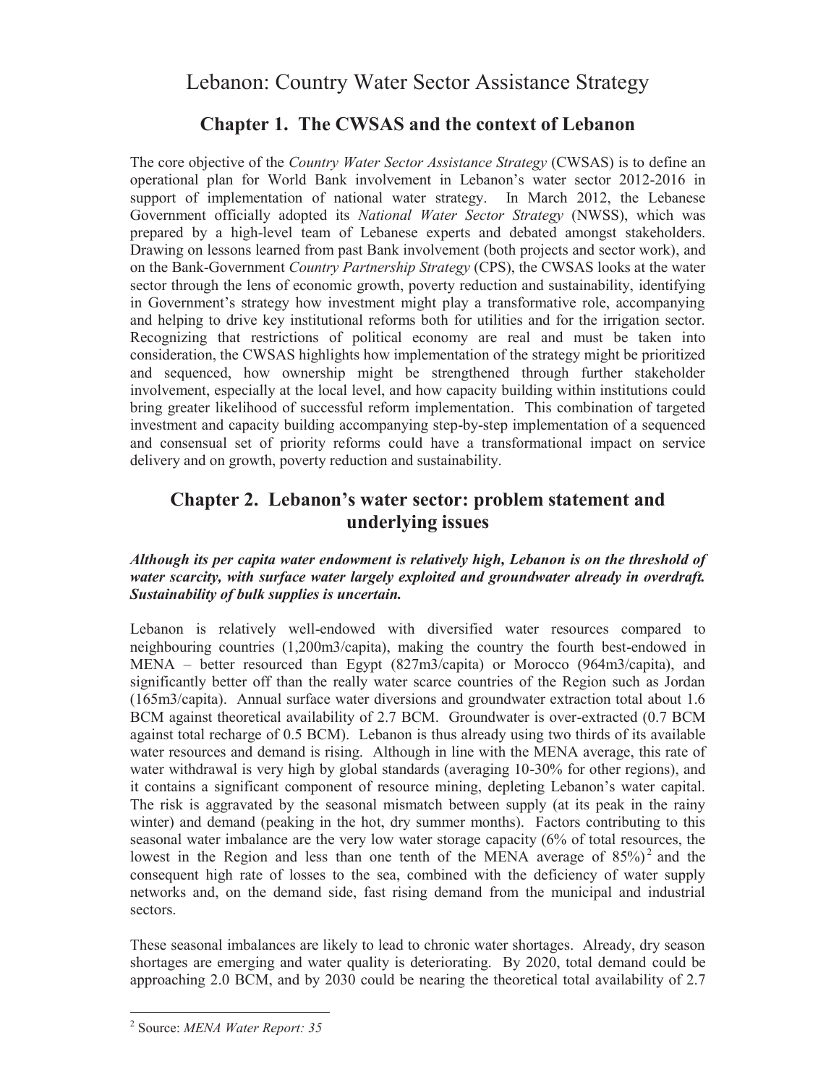# Lebanon: Country Water Sector Assistance Strategy

# **Chapter 1. The CWSAS and the context of Lebanon**

The core objective of the *Country Water Sector Assistance Strategy* (CWSAS) is to define an operational plan for World Bank involvement in Lebanon's water sector 2012-2016 in support of implementation of national water strategy. In March 2012, the Lebanese Government officially adopted its *National Water Sector Strategy* (NWSS), which was prepared by a high-level team of Lebanese experts and debated amongst stakeholders. Drawing on lessons learned from past Bank involvement (both projects and sector work), and on the Bank-Government *Country Partnership Strategy* (CPS), the CWSAS looks at the water sector through the lens of economic growth, poverty reduction and sustainability, identifying in Government's strategy how investment might play a transformative role, accompanying and helping to drive key institutional reforms both for utilities and for the irrigation sector. Recognizing that restrictions of political economy are real and must be taken into consideration, the CWSAS highlights how implementation of the strategy might be prioritized and sequenced, how ownership might be strengthened through further stakeholder involvement, especially at the local level, and how capacity building within institutions could bring greater likelihood of successful reform implementation. This combination of targeted investment and capacity building accompanying step-by-step implementation of a sequenced and consensual set of priority reforms could have a transformational impact on service delivery and on growth, poverty reduction and sustainability.

# **Chapter 2. Lebanon's water sector: problem statement and underlying issues**

### *Although its per capita water endowment is relatively high, Lebanon is on the threshold of water scarcity, with surface water largely exploited and groundwater already in overdraft. Sustainability of bulk supplies is uncertain.*

Lebanon is relatively well-endowed with diversified water resources compared to neighbouring countries (1,200m3/capita), making the country the fourth best-endowed in MENA – better resourced than Egypt (827m3/capita) or Morocco (964m3/capita), and significantly better off than the really water scarce countries of the Region such as Jordan (165m3/capita). Annual surface water diversions and groundwater extraction total about 1.6 BCM against theoretical availability of 2.7 BCM. Groundwater is over-extracted (0.7 BCM against total recharge of 0.5 BCM). Lebanon is thus already using two thirds of its available water resources and demand is rising. Although in line with the MENA average, this rate of water withdrawal is very high by global standards (averaging 10-30% for other regions), and it contains a significant component of resource mining, depleting Lebanon's water capital. The risk is aggravated by the seasonal mismatch between supply (at its peak in the rainy winter) and demand (peaking in the hot, dry summer months). Factors contributing to this seasonal water imbalance are the very low water storage capacity (6% of total resources, the lowest in the Region and less than one tenth of the MENA average of  $85\%$ <sup>2</sup> and the consequent high rate of losses to the sea, combined with the deficiency of water supply networks and, on the demand side, fast rising demand from the municipal and industrial sectors.

These seasonal imbalances are likely to lead to chronic water shortages. Already, dry season shortages are emerging and water quality is deteriorating. By 2020, total demand could be approaching 2.0 BCM, and by 2030 could be nearing the theoretical total availability of 2.7

 $\overline{a}$ 

<sup>2</sup> Source: *MENA Water Report: 35*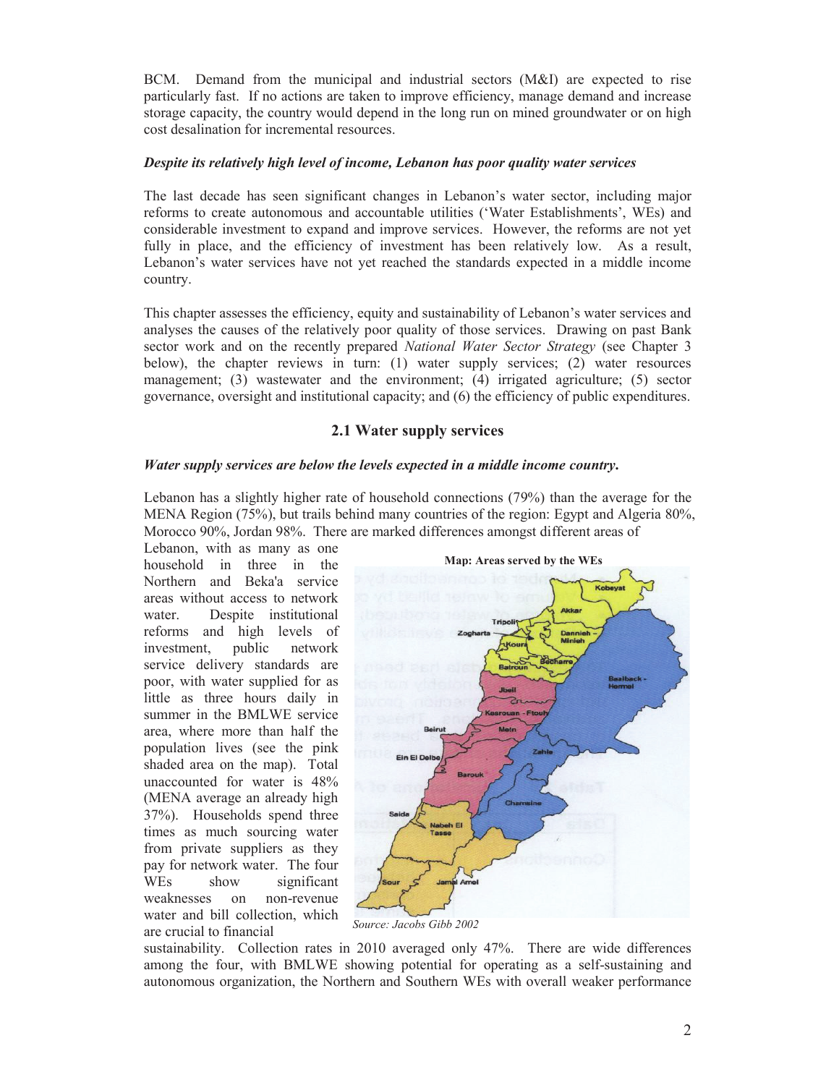BCM. Demand from the municipal and industrial sectors (M&I) are expected to rise particularly fast. If no actions are taken to improve efficiency, manage demand and increase storage capacity, the country would depend in the long run on mined groundwater or on high cost desalination for incremental resources.

### *Despite its relatively high level of income, Lebanon has poor quality water services*

The last decade has seen significant changes in Lebanon's water sector, including major reforms to create autonomous and accountable utilities ('Water Establishments', WEs) and considerable investment to expand and improve services. However, the reforms are not yet fully in place, and the efficiency of investment has been relatively low. As a result, Lebanon's water services have not yet reached the standards expected in a middle income country.

This chapter assesses the efficiency, equity and sustainability of Lebanon's water services and analyses the causes of the relatively poor quality of those services. Drawing on past Bank sector work and on the recently prepared *National Water Sector Strategy* (see Chapter 3 below), the chapter reviews in turn: (1) water supply services; (2) water resources management; (3) wastewater and the environment; (4) irrigated agriculture; (5) sector governance, oversight and institutional capacity; and (6) the efficiency of public expenditures.

### **2.1 Water supply services**

### *Water supply services are below the levels expected in a middle income country***.**

Lebanon has a slightly higher rate of household connections (79%) than the average for the MENA Region (75%), but trails behind many countries of the region: Egypt and Algeria 80%, Morocco 90%, Jordan 98%. There are marked differences amongst different areas of

Lebanon, with as many as one household in three in the Northern and Beka'a service areas without access to network water. Despite institutional reforms and high levels of investment, public network service delivery standards are poor, with water supplied for as little as three hours daily in summer in the BMLWE service area, where more than half the population lives (see the pink shaded area on the map). Total unaccounted for water is 48% (MENA average an already high 37%). Households spend three times as much sourcing water from private suppliers as they pay for network water. The four WEs show significant weaknesses on non-revenue water and bill collection, which are crucial to financial



*Source: Jacobs Gibb 2002*

sustainability. Collection rates in 2010 averaged only 47%. There are wide differences among the four, with BMLWE showing potential for operating as a self-sustaining and autonomous organization, the Northern and Southern WEs with overall weaker performance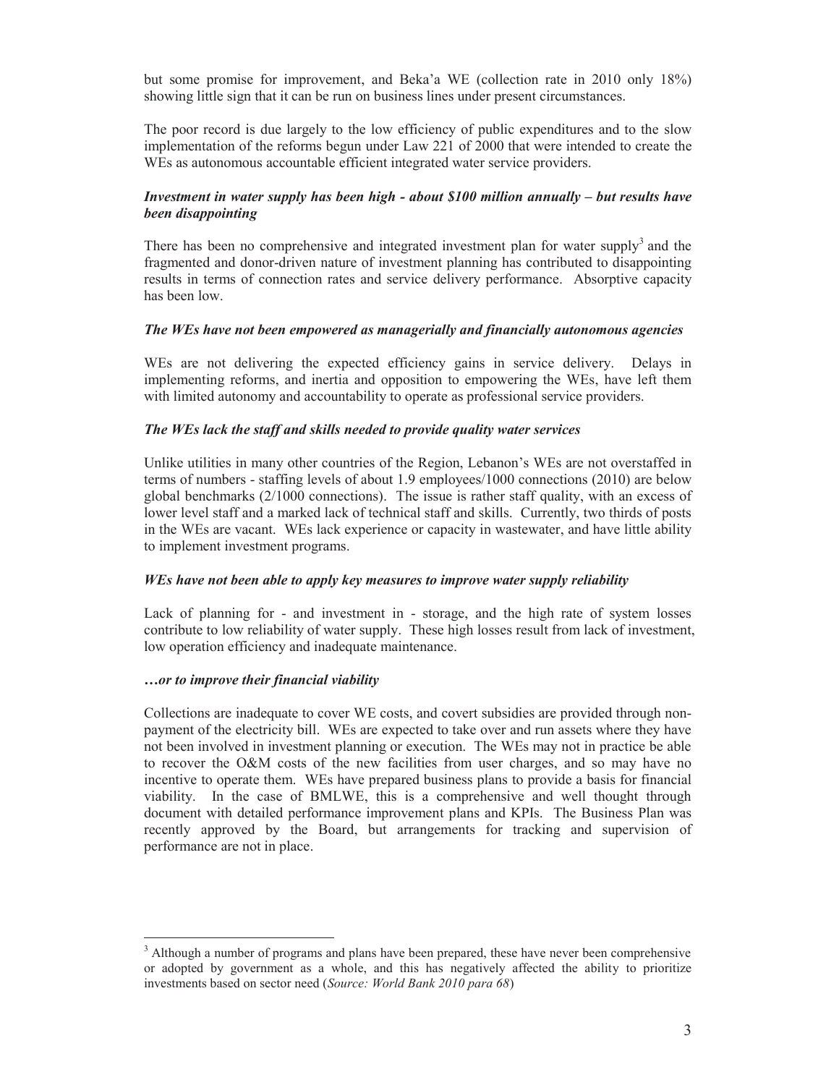but some promise for improvement, and Beka'a WE (collection rate in 2010 only 18%) showing little sign that it can be run on business lines under present circumstances.

The poor record is due largely to the low efficiency of public expenditures and to the slow implementation of the reforms begun under Law 221 of 2000 that were intended to create the WEs as autonomous accountable efficient integrated water service providers.

### *Investment in water supply has been high - about \$100 million annually – but results have been disappointing*

There has been no comprehensive and integrated investment plan for water supply<sup>3</sup> and the fragmented and donor-driven nature of investment planning has contributed to disappointing results in terms of connection rates and service delivery performance. Absorptive capacity has been low.

#### *The WEs have not been empowered as managerially and financially autonomous agencies*

WES are not delivering the expected efficiency gains in service delivery. Delays in implementing reforms, and inertia and opposition to empowering the WEs, have left them with limited autonomy and accountability to operate as professional service providers.

### *The WEs lack the staff and skills needed to provide quality water services*

Unlike utilities in many other countries of the Region, Lebanon's WEs are not overstaffed in terms of numbers - staffing levels of about 1.9 employees/1000 connections (2010) are below global benchmarks (2/1000 connections). The issue is rather staff quality, with an excess of lower level staff and a marked lack of technical staff and skills. Currently, two thirds of posts in the WEs are vacant. WEs lack experience or capacity in wastewater, and have little ability to implement investment programs.

#### *WEs have not been able to apply key measures to improve water supply reliability*

Lack of planning for - and investment in - storage, and the high rate of system losses contribute to low reliability of water supply. These high losses result from lack of investment, low operation efficiency and inadequate maintenance.

#### *…or to improve their financial viability*

 $\overline{a}$ 

Collections are inadequate to cover WE costs, and covert subsidies are provided through nonpayment of the electricity bill. WEs are expected to take over and run assets where they have not been involved in investment planning or execution. The WEs may not in practice be able to recover the O&M costs of the new facilities from user charges, and so may have no incentive to operate them. WEs have prepared business plans to provide a basis for financial viability. In the case of BMLWE, this is a comprehensive and well thought through document with detailed performance improvement plans and KPIs. The Business Plan was recently approved by the Board, but arrangements for tracking and supervision of performance are not in place.

 $3$  Although a number of programs and plans have been prepared, these have never been comprehensive or adopted by government as a whole, and this has negatively affected the ability to prioritize investments based on sector need (*Source: World Bank 2010 para 68*)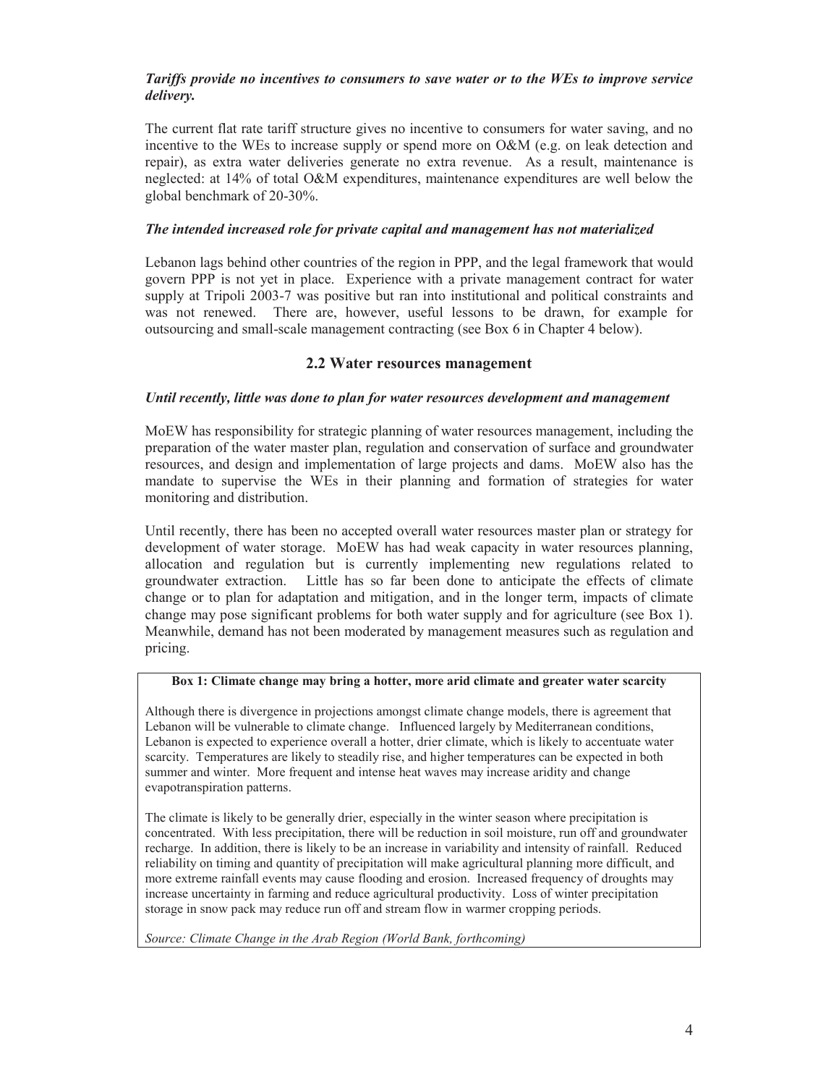### *Tariffs provide no incentives to consumers to save water or to the WEs to improve service delivery.*

The current flat rate tariff structure gives no incentive to consumers for water saving, and no incentive to the WEs to increase supply or spend more on O&M (e.g. on leak detection and repair), as extra water deliveries generate no extra revenue. As a result, maintenance is neglected: at 14% of total O&M expenditures, maintenance expenditures are well below the global benchmark of 20-30%.

### *The intended increased role for private capital and management has not materialized*

Lebanon lags behind other countries of the region in PPP, and the legal framework that would govern PPP is not yet in place. Experience with a private management contract for water supply at Tripoli 2003-7 was positive but ran into institutional and political constraints and was not renewed. There are, however, useful lessons to be drawn, for example for outsourcing and small-scale management contracting (see Box 6 in Chapter 4 below).

### **2.2 Water resources management**

### *Until recently, little was done to plan for water resources development and management*

MoEW has responsibility for strategic planning of water resources management, including the preparation of the water master plan, regulation and conservation of surface and groundwater resources, and design and implementation of large projects and dams. MoEW also has the mandate to supervise the WEs in their planning and formation of strategies for water monitoring and distribution.

Until recently, there has been no accepted overall water resources master plan or strategy for development of water storage. MoEW has had weak capacity in water resources planning, allocation and regulation but is currently implementing new regulations related to groundwater extraction. Little has so far been done to anticipate the effects of climate change or to plan for adaptation and mitigation, and in the longer term, impacts of climate change may pose significant problems for both water supply and for agriculture (see Box 1). Meanwhile, demand has not been moderated by management measures such as regulation and pricing.

### **Box 1: Climate change may bring a hotter, more arid climate and greater water scarcity**

Although there is divergence in projections amongst climate change models, there is agreement that Lebanon will be vulnerable to climate change. Influenced largely by Mediterranean conditions, Lebanon is expected to experience overall a hotter, drier climate, which is likely to accentuate water scarcity. Temperatures are likely to steadily rise, and higher temperatures can be expected in both summer and winter. More frequent and intense heat waves may increase aridity and change evapotranspiration patterns.

The climate is likely to be generally drier, especially in the winter season where precipitation is concentrated. With less precipitation, there will be reduction in soil moisture, run off and groundwater recharge. In addition, there is likely to be an increase in variability and intensity of rainfall. Reduced reliability on timing and quantity of precipitation will make agricultural planning more difficult, and more extreme rainfall events may cause flooding and erosion. Increased frequency of droughts may increase uncertainty in farming and reduce agricultural productivity. Loss of winter precipitation storage in snow pack may reduce run off and stream flow in warmer cropping periods.

*Source: Climate Change in the Arab Region (World Bank, forthcoming)*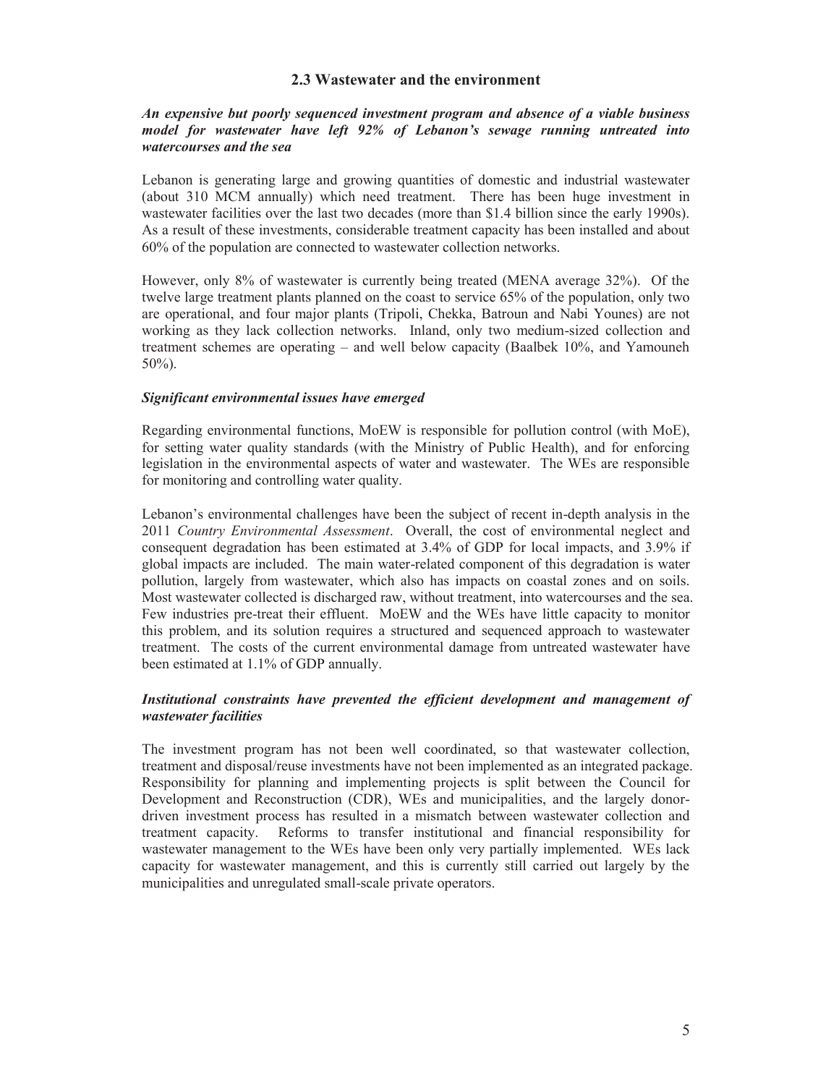### **2.3 Wastewater and the environment**

### *An expensive but poorly sequenced investment program and absence of a viable business model for wastewater have left 92% of Lebanon's sewage running untreated into watercourses and the sea*

Lebanon is generating large and growing quantities of domestic and industrial wastewater (about 310 MCM annually) which need treatment. There has been huge investment in wastewater facilities over the last two decades (more than \$1.4 billion since the early 1990s). As a result of these investments, considerable treatment capacity has been installed and about 60% of the population are connected to wastewater collection networks.

However, only 8% of wastewater is currently being treated (MENA average 32%). Of the twelve large treatment plants planned on the coast to service 65% of the population, only two are operational, and four major plants (Tripoli, Chekka, Batroun and Nabi Younes) are not working as they lack collection networks. Inland, only two medium-sized collection and treatment schemes are operating – and well below capacity (Baalbek 10%, and Yamouneh 50%).

#### *Significant environmental issues have emerged*

Regarding environmental functions, MoEW is responsible for pollution control (with MoE), for setting water quality standards (with the Ministry of Public Health), and for enforcing legislation in the environmental aspects of water and wastewater. The WEs are responsible for monitoring and controlling water quality.

Lebanon's environmental challenges have been the subject of recent in-depth analysis in the 2011 *Country Environmental Assessment*. Overall, the cost of environmental neglect and consequent degradation has been estimated at 3.4% of GDP for local impacts, and 3.9% if global impacts are included. The main water-related component of this degradation is water pollution, largely from wastewater, which also has impacts on coastal zones and on soils. Most wastewater collected is discharged raw, without treatment, into watercourses and the sea. Few industries pre-treat their effluent. MoEW and the WEs have little capacity to monitor this problem, and its solution requires a structured and sequenced approach to wastewater treatment. The costs of the current environmental damage from untreated wastewater have been estimated at 1.1% of GDP annually.

### *Institutional constraints have prevented the efficient development and management of wastewater facilities*

The investment program has not been well coordinated, so that wastewater collection, treatment and disposal/reuse investments have not been implemented as an integrated package. Responsibility for planning and implementing projects is split between the Council for Development and Reconstruction (CDR), WEs and municipalities, and the largely donordriven investment process has resulted in a mismatch between wastewater collection and treatment capacity. Reforms to transfer institutional and financial responsibility for wastewater management to the WEs have been only very partially implemented. WEs lack capacity for wastewater management, and this is currently still carried out largely by the municipalities and unregulated small-scale private operators.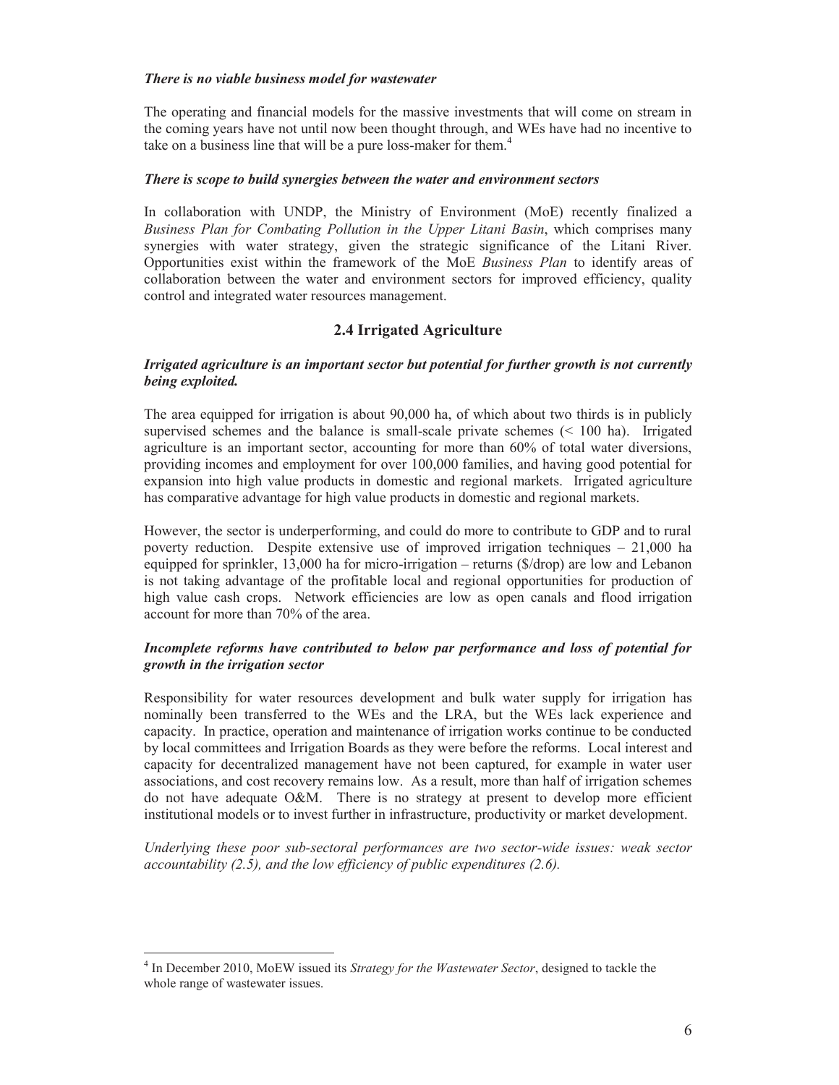### *There is no viable business model for wastewater*

The operating and financial models for the massive investments that will come on stream in the coming years have not until now been thought through, and WEs have had no incentive to take on a business line that will be a pure loss-maker for them.<sup>4</sup>

### *There is scope to build synergies between the water and environment sectors*

In collaboration with UNDP, the Ministry of Environment (MoE) recently finalized a *Business Plan for Combating Pollution in the Upper Litani Basin*, which comprises many synergies with water strategy, given the strategic significance of the Litani River. Opportunities exist within the framework of the MoE *Business Plan* to identify areas of collaboration between the water and environment sectors for improved efficiency, quality control and integrated water resources management.

### **2.4 Irrigated Agriculture**

### *Irrigated agriculture is an important sector but potential for further growth is not currently being exploited.*

The area equipped for irrigation is about 90,000 ha, of which about two thirds is in publicly supervised schemes and the balance is small-scale private schemes  $(< 100$  ha). Irrigated agriculture is an important sector, accounting for more than 60% of total water diversions, providing incomes and employment for over 100,000 families, and having good potential for expansion into high value products in domestic and regional markets. Irrigated agriculture has comparative advantage for high value products in domestic and regional markets.

However, the sector is underperforming, and could do more to contribute to GDP and to rural poverty reduction. Despite extensive use of improved irrigation techniques – 21,000 ha equipped for sprinkler, 13,000 ha for micro-irrigation – returns (\$/drop) are low and Lebanon is not taking advantage of the profitable local and regional opportunities for production of high value cash crops. Network efficiencies are low as open canals and flood irrigation account for more than 70% of the area.

### *Incomplete reforms have contributed to below par performance and loss of potential for growth in the irrigation sector*

Responsibility for water resources development and bulk water supply for irrigation has nominally been transferred to the WEs and the LRA, but the WEs lack experience and capacity. In practice, operation and maintenance of irrigation works continue to be conducted by local committees and Irrigation Boards as they were before the reforms. Local interest and capacity for decentralized management have not been captured, for example in water user associations, and cost recovery remains low. As a result, more than half of irrigation schemes do not have adequate O&M. There is no strategy at present to develop more efficient institutional models or to invest further in infrastructure, productivity or market development.

*Underlying these poor sub-sectoral performances are two sector-wide issues: weak sector accountability (2.5), and the low efficiency of public expenditures (2.6).* 

l

<sup>4</sup> In December 2010, MoEW issued its *Strategy for the Wastewater Sector*, designed to tackle the whole range of wastewater issues.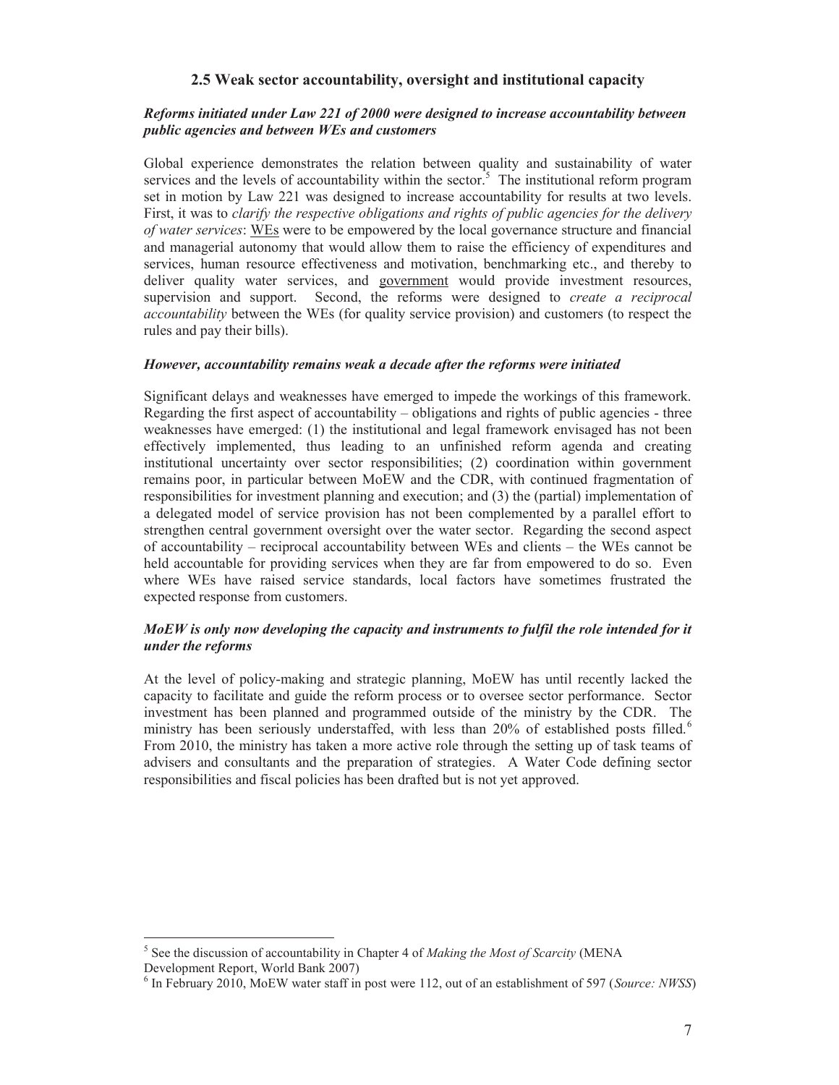### **2.5 Weak sector accountability, oversight and institutional capacity**

### *Reforms initiated under Law 221 of 2000 were designed to increase accountability between public agencies and between WEs and customers*

Global experience demonstrates the relation between quality and sustainability of water services and the levels of accountability within the sector.<sup>5</sup> The institutional reform program set in motion by Law 221 was designed to increase accountability for results at two levels. First, it was to *clarify the respective obligations and rights of public agencies for the delivery of water services*: WEs were to be empowered by the local governance structure and financial and managerial autonomy that would allow them to raise the efficiency of expenditures and services, human resource effectiveness and motivation, benchmarking etc., and thereby to deliver quality water services, and government would provide investment resources, supervision and support. Second, the reforms were designed to *create a reciprocal accountability* between the WEs (for quality service provision) and customers (to respect the rules and pay their bills).

### *However, accountability remains weak a decade after the reforms were initiated*

Significant delays and weaknesses have emerged to impede the workings of this framework. Regarding the first aspect of accountability – obligations and rights of public agencies - three weaknesses have emerged: (1) the institutional and legal framework envisaged has not been effectively implemented, thus leading to an unfinished reform agenda and creating institutional uncertainty over sector responsibilities; (2) coordination within government remains poor, in particular between MoEW and the CDR, with continued fragmentation of responsibilities for investment planning and execution; and (3) the (partial) implementation of a delegated model of service provision has not been complemented by a parallel effort to strengthen central government oversight over the water sector. Regarding the second aspect of accountability – reciprocal accountability between WEs and clients – the WEs cannot be held accountable for providing services when they are far from empowered to do so. Even where WEs have raised service standards, local factors have sometimes frustrated the expected response from customers.

### *MoEW is only now developing the capacity and instruments to fulfil the role intended for it under the reforms*

At the level of policy-making and strategic planning, MoEW has until recently lacked the capacity to facilitate and guide the reform process or to oversee sector performance. Sector investment has been planned and programmed outside of the ministry by the CDR. The ministry has been seriously understaffed, with less than 20% of established posts filled.<sup>6</sup> From 2010, the ministry has taken a more active role through the setting up of task teams of advisers and consultants and the preparation of strategies. A Water Code defining sector responsibilities and fiscal policies has been drafted but is not yet approved.

 $\overline{a}$ 

<sup>&</sup>lt;sup>5</sup> See the discussion of accountability in Chapter 4 of *Making the Most of Scarcity* (MENA Development Report, World Bank 2007)

<sup>6</sup> In February 2010, MoEW water staff in post were 112, out of an establishment of 597 (*Source: NWSS*)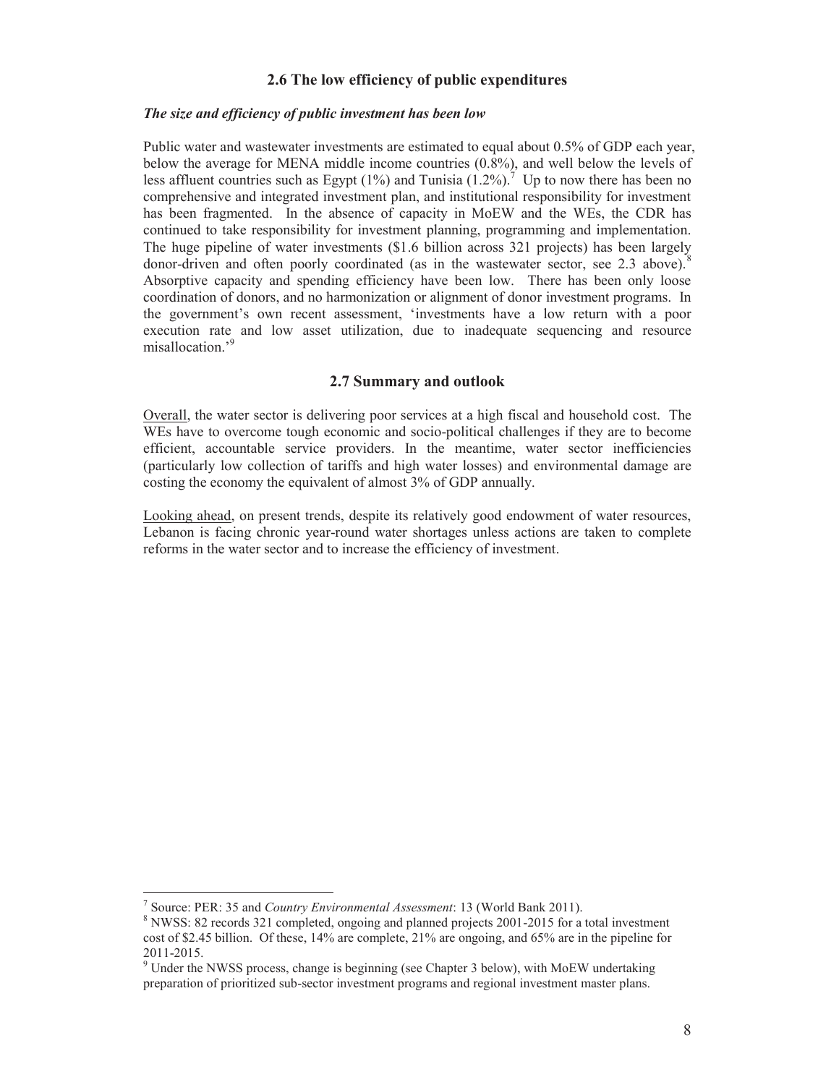### **2.6 The low efficiency of public expenditures**

### *The size and efficiency of public investment has been low*

Public water and wastewater investments are estimated to equal about 0.5% of GDP each year, below the average for MENA middle income countries (0.8%), and well below the levels of less affluent countries such as Egypt (1%) and Tunisia (1.2%).<sup>7</sup> Up to now there has been no comprehensive and integrated investment plan, and institutional responsibility for investment has been fragmented. In the absence of capacity in MoEW and the WEs, the CDR has continued to take responsibility for investment planning, programming and implementation. The huge pipeline of water investments (\$1.6 billion across 321 projects) has been largely donor-driven and often poorly coordinated (as in the wastewater sector, see 2.3 above). $8$ Absorptive capacity and spending efficiency have been low. There has been only loose coordination of donors, and no harmonization or alignment of donor investment programs. In the government's own recent assessment, 'investments have a low return with a poor execution rate and low asset utilization, due to inadequate sequencing and resource misallocation.'<sup>9</sup>

### **2.7 Summary and outlook**

Overall, the water sector is delivering poor services at a high fiscal and household cost. The WEs have to overcome tough economic and socio-political challenges if they are to become efficient, accountable service providers. In the meantime, water sector inefficiencies (particularly low collection of tariffs and high water losses) and environmental damage are costing the economy the equivalent of almost 3% of GDP annually.

Looking ahead, on present trends, despite its relatively good endowment of water resources, Lebanon is facing chronic year-round water shortages unless actions are taken to complete reforms in the water sector and to increase the efficiency of investment.

-

<sup>7</sup> Source: PER: 35 and *Country Environmental Assessment*: 13 (World Bank 2011). 8

<sup>&</sup>lt;sup>8</sup> NWSS: 82 records 321 completed, ongoing and planned projects 2001-2015 for a total investment cost of \$2.45 billion. Of these, 14% are complete, 21% are ongoing, and 65% are in the pipeline for 2011-2015.

<sup>&</sup>lt;sup>9</sup> Under the NWSS process, change is beginning (see Chapter 3 below), with MoEW undertaking preparation of prioritized sub-sector investment programs and regional investment master plans.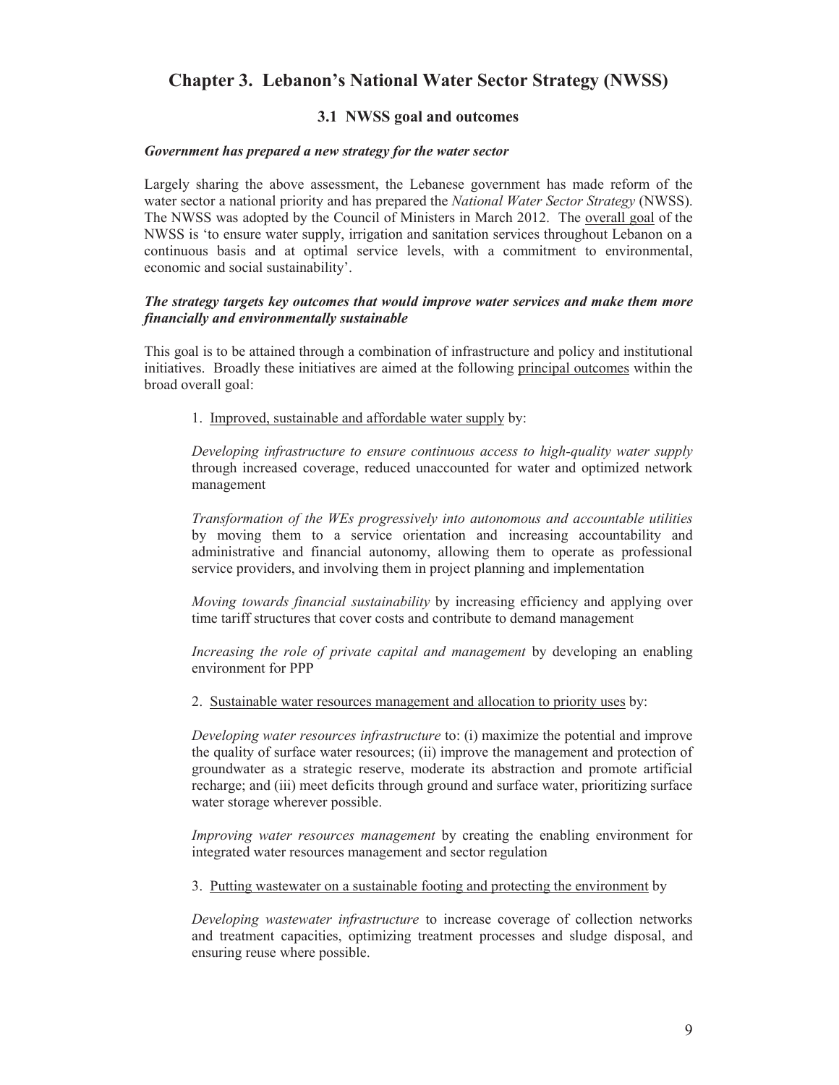# **Chapter 3. Lebanon's National Water Sector Strategy (NWSS)**

### **3.1 NWSS goal and outcomes**

### *Government has prepared a new strategy for the water sector*

Largely sharing the above assessment, the Lebanese government has made reform of the water sector a national priority and has prepared the *National Water Sector Strategy* (NWSS). The NWSS was adopted by the Council of Ministers in March 2012. The <u>overall goal</u> of the NWSS is 'to ensure water supply, irrigation and sanitation services throughout Lebanon on a continuous basis and at optimal service levels, with a commitment to environmental, economic and social sustainability'.

### *The strategy targets key outcomes that would improve water services and make them more financially and environmentally sustainable*

This goal is to be attained through a combination of infrastructure and policy and institutional initiatives. Broadly these initiatives are aimed at the following principal outcomes within the broad overall goal:

1. Improved, sustainable and affordable water supply by:

*Developing infrastructure to ensure continuous access to high-quality water supply* through increased coverage, reduced unaccounted for water and optimized network management

*Transformation of the WEs progressively into autonomous and accountable utilities* by moving them to a service orientation and increasing accountability and administrative and financial autonomy, allowing them to operate as professional service providers, and involving them in project planning and implementation

*Moving towards financial sustainability* by increasing efficiency and applying over time tariff structures that cover costs and contribute to demand management

*Increasing the role of private capital and management* by developing an enabling environment for PPP

2. Sustainable water resources management and allocation to priority uses by:

*Developing water resources infrastructure* to: (i) maximize the potential and improve the quality of surface water resources; (ii) improve the management and protection of groundwater as a strategic reserve, moderate its abstraction and promote artificial recharge; and (iii) meet deficits through ground and surface water, prioritizing surface water storage wherever possible.

*Improving water resources management* by creating the enabling environment for integrated water resources management and sector regulation

3. Putting wastewater on a sustainable footing and protecting the environment by

*Developing wastewater infrastructure* to increase coverage of collection networks and treatment capacities, optimizing treatment processes and sludge disposal, and ensuring reuse where possible.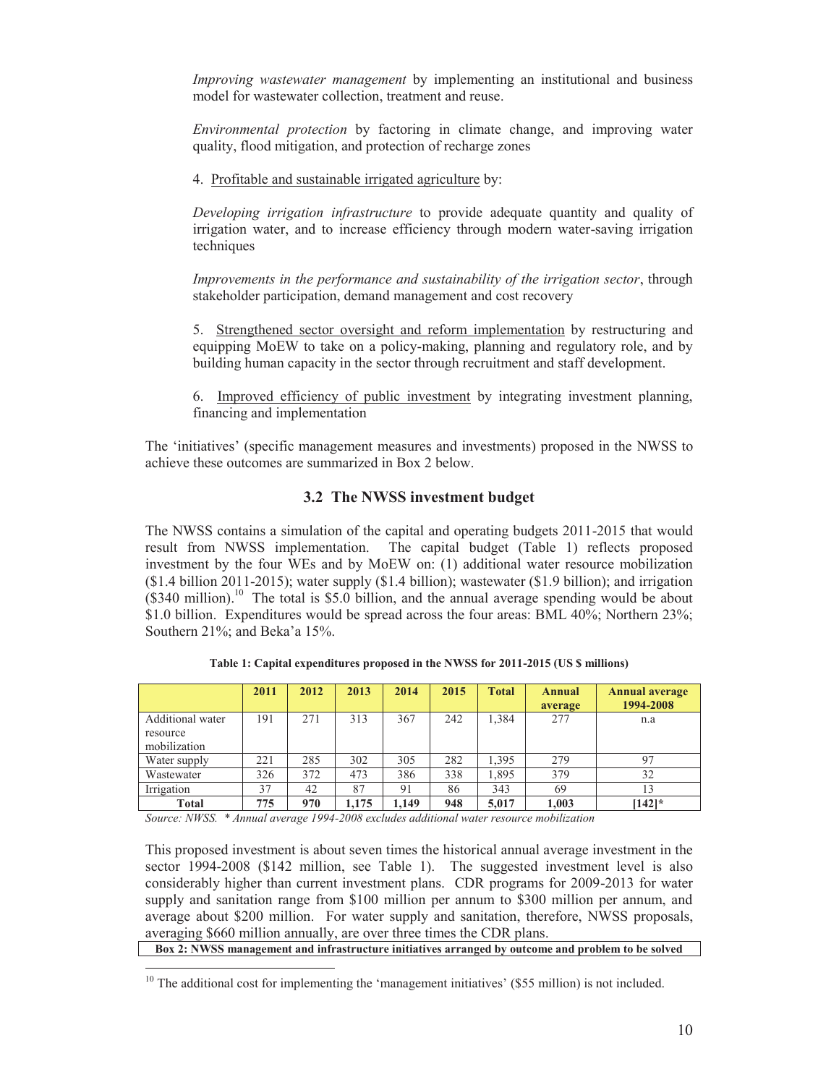*Improving wastewater management* by implementing an institutional and business model for wastewater collection, treatment and reuse.

*Environmental protection* by factoring in climate change, and improving water quality, flood mitigation, and protection of recharge zones

4. Profitable and sustainable irrigated agriculture by:

*Developing irrigation infrastructure* to provide adequate quantity and quality of irrigation water, and to increase efficiency through modern water-saving irrigation techniques

*Improvements in the performance and sustainability of the irrigation sector*, through stakeholder participation, demand management and cost recovery

5. Strengthened sector oversight and reform implementation by restructuring and equipping MoEW to take on a policy-making, planning and regulatory role, and by building human capacity in the sector through recruitment and staff development.

6. Improved efficiency of public investment by integrating investment planning, financing and implementation

The 'initiatives' (specific management measures and investments) proposed in the NWSS to achieve these outcomes are summarized in Box 2 below.

### **3.2 The NWSS investment budget**

The NWSS contains a simulation of the capital and operating budgets 2011-2015 that would result from NWSS implementation. The capital budget (Table 1) reflects proposed investment by the four WEs and by MoEW on: (1) additional water resource mobilization (\$1.4 billion 2011-2015); water supply (\$1.4 billion); wastewater (\$1.9 billion); and irrigation  $($ \$340 million).<sup>10</sup> The total is \$5.0 billion, and the annual average spending would be about \$1.0 billion. Expenditures would be spread across the four areas: BML 40%; Northern 23%; Southern 21%; and Beka'a 15%.

|                                                     | 2011 | 2012 | 2013  | 2014  | 2015 | <b>Total</b> | <b>Annual</b><br>average | <b>Annual average</b><br>1994-2008 |
|-----------------------------------------------------|------|------|-------|-------|------|--------------|--------------------------|------------------------------------|
| <b>Additional</b> water<br>resource<br>mobilization | 191  | 271  | 313   | 367   | 242  | 1,384        | 277                      | n.a                                |
| Water supply                                        | 221  | 285  | 302   | 305   | 282  | 1,395        | 279                      | 97                                 |
| Wastewater                                          | 326  | 372  | 473   | 386   | 338  | 1,895        | 379                      | 32                                 |
| Irrigation                                          | 37   | 42   | 87    | 91    | 86   | 343          | 69                       | 13                                 |
| Total                                               | 775  | 970  | 1.175 | 1.149 | 948  | 5,017        | 1,003                    | $[142]$ *                          |

**Table 1: Capital expenditures proposed in the NWSS for 2011-2015 (US \$ millions)** 

*Source: NWSS. \* Annual average 1994-2008 excludes additional water resource mobilization* 

-

This proposed investment is about seven times the historical annual average investment in the sector 1994-2008 (\$142 million, see Table 1). The suggested investment level is also considerably higher than current investment plans. CDR programs for 2009-2013 for water supply and sanitation range from \$100 million per annum to \$300 million per annum, and average about \$200 million. For water supply and sanitation, therefore, NWSS proposals, averaging \$660 million annually, are over three times the CDR plans.

**Box 2: NWSS management and infrastructure initiatives arranged by outcome and problem to be solved** 

 $10$  The additional cost for implementing the 'management initiatives' (\$55 million) is not included.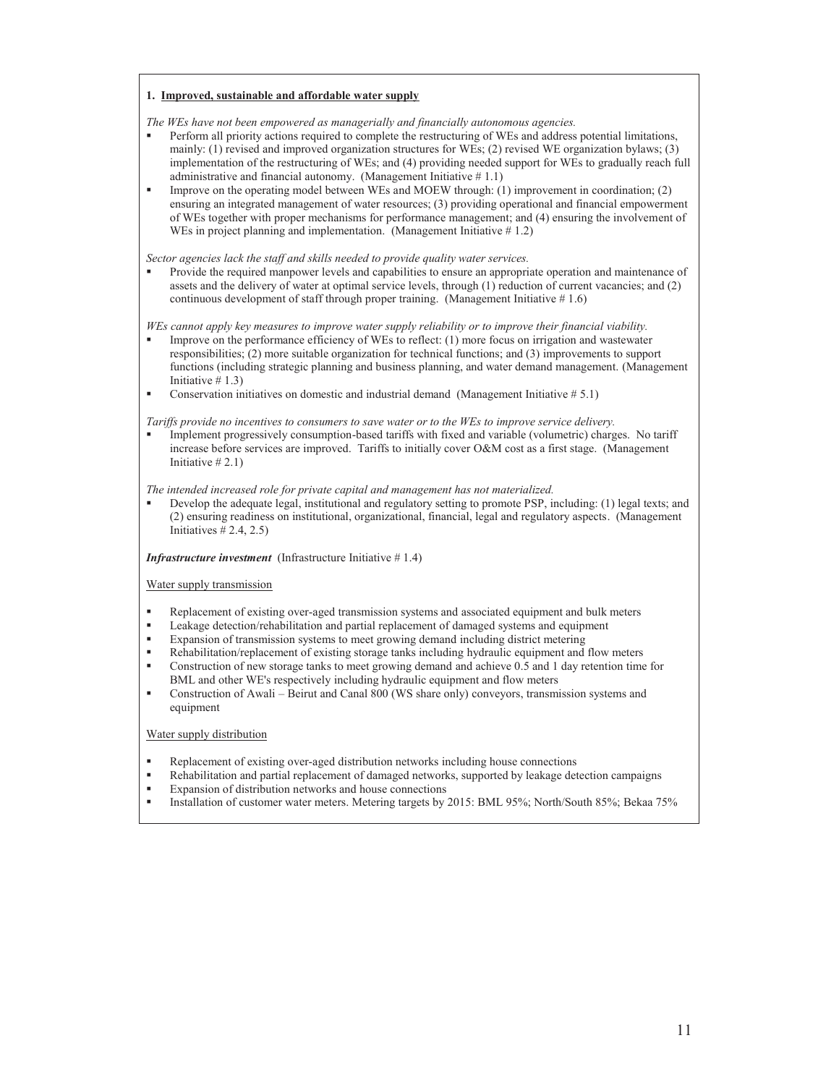#### **1. Improved, sustainable and affordable water supply**

*The WEs have not been empowered as managerially and financially autonomous agencies.* 

- Perform all priority actions required to complete the restructuring of WEs and address potential limitations, mainly: (1) revised and improved organization structures for WEs; (2) revised WE organization bylaws; (3) implementation of the restructuring of WEs; and (4) providing needed support for WEs to gradually reach full administrative and financial autonomy. (Management Initiative  $# 1.1$ )
- Improve on the operating model between WEs and MOEW through: (1) improvement in coordination; (2) ensuring an integrated management of water resources; (3) providing operational and financial empowerment of WEs together with proper mechanisms for performance management; and (4) ensuring the involvement of WEs in project planning and implementation. (Management Initiative  $\# 1.2$ )

*Sector agencies lack the staff and skills needed to provide quality water services.*

 Provide the required manpower levels and capabilities to ensure an appropriate operation and maintenance of assets and the delivery of water at optimal service levels, through (1) reduction of current vacancies; and (2) continuous development of staff through proper training. (Management Initiative # 1.6)

*WEs cannot apply key measures to improve water supply reliability or to improve their financial viability.* 

- Improve on the performance efficiency of WEs to reflect: (1) more focus on irrigation and wastewater responsibilities; (2) more suitable organization for technical functions; and (3) improvements to support functions (including strategic planning and business planning, and water demand management. (Management Initiative  $# 1.3$ )
- Conservation initiatives on domestic and industrial demand (Management Initiative  $# 5.1$ )

*Tariffs provide no incentives to consumers to save water or to the WEs to improve service delivery.* 

 Implement progressively consumption-based tariffs with fixed and variable (volumetric) charges. No tariff increase before services are improved. Tariffs to initially cover O&M cost as a first stage. (Management Initiative  $\# 2.1$ )

*The intended increased role for private capital and management has not materialized.*

 Develop the adequate legal, institutional and regulatory setting to promote PSP, including: (1) legal texts; and (2) ensuring readiness on institutional, organizational, financial, legal and regulatory aspects. (Management Initiatives  $\#$  2.4, 2.5)

#### *Infrastructure investment* (Infrastructure Initiative #1.4)

#### Water supply transmission

- Replacement of existing over-aged transmission systems and associated equipment and bulk meters
- Leakage detection/rehabilitation and partial replacement of damaged systems and equipment
- Expansion of transmission systems to meet growing demand including district metering
- Rehabilitation/replacement of existing storage tanks including hydraulic equipment and flow meters
- Construction of new storage tanks to meet growing demand and achieve 0.5 and 1 day retention time for BML and other WE's respectively including hydraulic equipment and flow meters
- Construction of Awali Beirut and Canal 800 (WS share only) conveyors, transmission systems and equipment

#### Water supply distribution

- Replacement of existing over-aged distribution networks including house connections
- Rehabilitation and partial replacement of damaged networks, supported by leakage detection campaigns
- Expansion of distribution networks and house connections
- Installation of customer water meters. Metering targets by 2015: BML 95%; North/South 85%; Bekaa 75%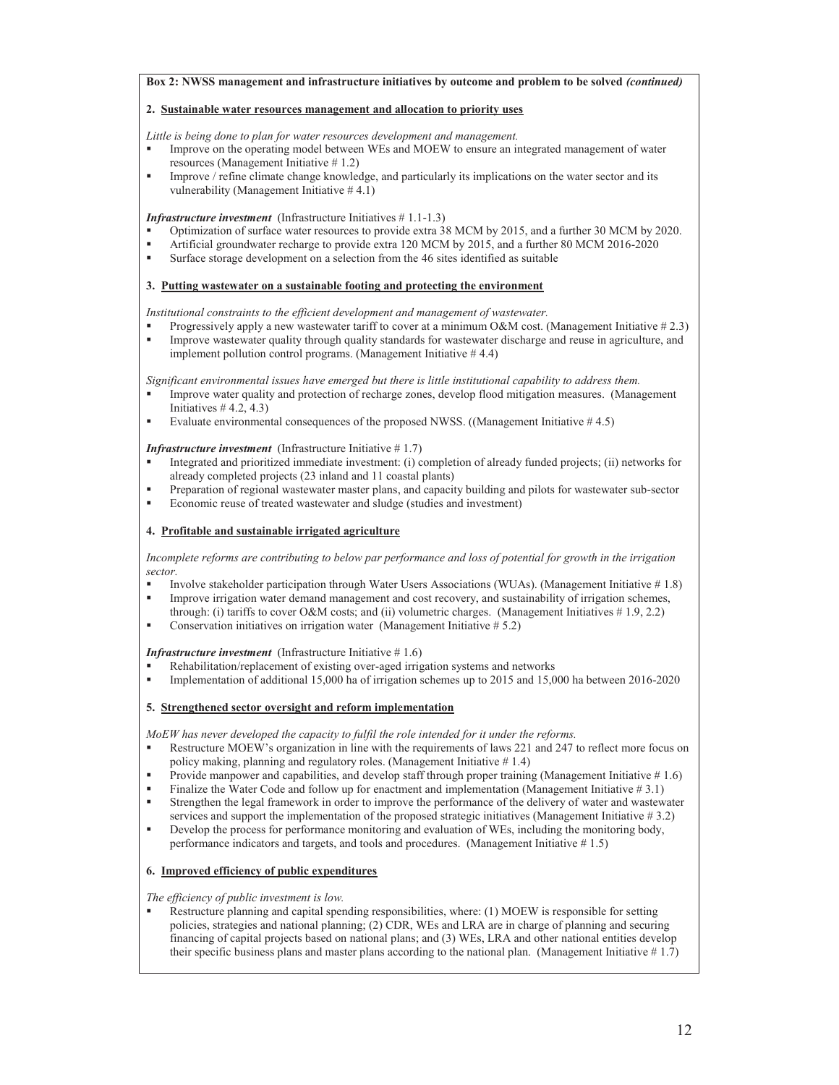#### **Box 2: NWSS management and infrastructure initiatives by outcome and problem to be solved** *(continued)*

#### **2. Sustainable water resources management and allocation to priority uses**

*Little is being done to plan for water resources development and management.*

- Improve on the operating model between WEs and MOEW to ensure an integrated management of water resources (Management Initiative # 1.2)
- Improve / refine climate change knowledge, and particularly its implications on the water sector and its vulnerability (Management Initiative # 4.1)

#### *Infrastructure investment* (Infrastructure Initiatives # 1.1-1.3)

- Optimization of surface water resources to provide extra 38 MCM by 2015, and a further 30 MCM by 2020.
- Artificial groundwater recharge to provide extra 120 MCM by 2015, and a further 80 MCM 2016-2020
- Surface storage development on a selection from the 46 sites identified as suitable

#### **3. Putting wastewater on a sustainable footing and protecting the environment**

*Institutional constraints to the efficient development and management of wastewater.* 

- Progressively apply a new wastewater tariff to cover at a minimum O&M cost. (Management Initiative #2.3)
- Improve wastewater quality through quality standards for wastewater discharge and reuse in agriculture, and implement pollution control programs. (Management Initiative # 4.4)

*Significant environmental issues have emerged but there is little institutional capability to address them.* 

- Improve water quality and protection of recharge zones, develop flood mitigation measures. (Management Initiatives  $#$  4.2, 4.3)
- Evaluate environmental consequences of the proposed NWSS. ((Management Initiative # 4.5)

#### *Infrastructure investment* (Infrastructure Initiative #1.7)

- Integrated and prioritized immediate investment: (i) completion of already funded projects; (ii) networks for already completed projects (23 inland and 11 coastal plants)
- Preparation of regional wastewater master plans, and capacity building and pilots for wastewater sub-sector
- Economic reuse of treated wastewater and sludge (studies and investment)

#### **4. Profitable and sustainable irrigated agriculture**

*Incomplete reforms are contributing to below par performance and loss of potential for growth in the irrigation sector.* 

- Involve stakeholder participation through Water Users Associations (WUAs). (Management Initiative # 1.8) Improve irrigation water demand management and cost recovery, and sustainability of irrigation schemes,
- through: (i) tariffs to cover O&M costs; and (ii) volumetric charges. (Management Initiatives  $\# 1.9, 2.2$ )
- Conservation initiatives on irrigation water (Management Initiative # 5.2)

#### *Infrastructure investment* (Infrastructure Initiative # 1.6)

- Rehabilitation/replacement of existing over-aged irrigation systems and networks
- Implementation of additional 15,000 ha of irrigation schemes up to 2015 and 15,000 ha between 2016-2020

#### **5. Strengthened sector oversight and reform implementation**

*MoEW has never developed the capacity to fulfil the role intended for it under the reforms.* 

- Restructure MOEW's organization in line with the requirements of laws 221 and 247 to reflect more focus on policy making, planning and regulatory roles. (Management Initiative # 1.4)
- Provide manpower and capabilities, and develop staff through proper training (Management Initiative #1.6)
- Finalize the Water Code and follow up for enactment and implementation (Management Initiative #3.1)
- Strengthen the legal framework in order to improve the performance of the delivery of water and wastewater services and support the implementation of the proposed strategic initiatives (Management Initiative # 3.2)
- Develop the process for performance monitoring and evaluation of WEs, including the monitoring body, performance indicators and targets, and tools and procedures. (Management Initiative # 1.5)

#### **6. Improved efficiency of public expenditures**

#### *The efficiency of public investment is low.*

 Restructure planning and capital spending responsibilities, where: (1) MOEW is responsible for setting policies, strategies and national planning; (2) CDR, WEs and LRA are in charge of planning and securing financing of capital projects based on national plans; and (3) WEs, LRA and other national entities develop their specific business plans and master plans according to the national plan. (Management Initiative  $# 1.7$ )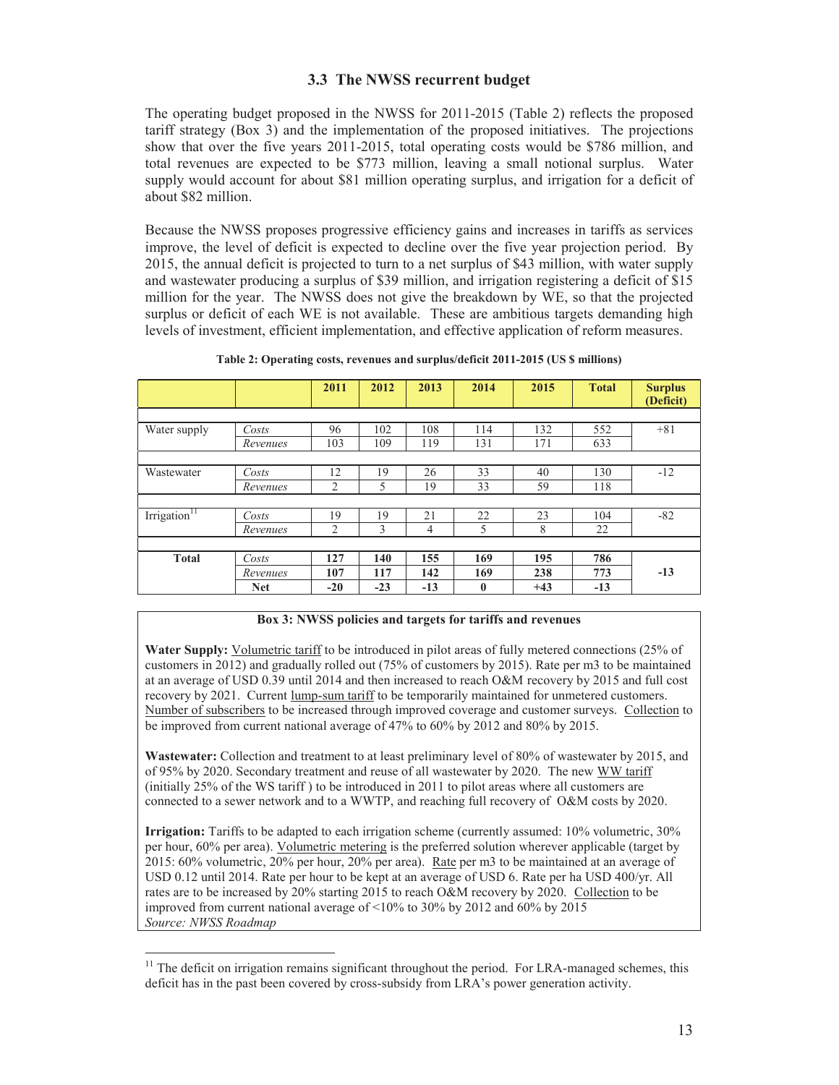### **3.3 The NWSS recurrent budget**

The operating budget proposed in the NWSS for 2011-2015 (Table 2) reflects the proposed tariff strategy (Box 3) and the implementation of the proposed initiatives. The projections show that over the five years 2011-2015, total operating costs would be \$786 million, and total revenues are expected to be \$773 million, leaving a small notional surplus. Water supply would account for about \$81 million operating surplus, and irrigation for a deficit of about \$82 million.

Because the NWSS proposes progressive efficiency gains and increases in tariffs as services improve, the level of deficit is expected to decline over the five year projection period. By 2015, the annual deficit is projected to turn to a net surplus of \$43 million, with water supply and wastewater producing a surplus of \$39 million, and irrigation registering a deficit of \$15 million for the year. The NWSS does not give the breakdown by WE, so that the projected surplus or deficit of each WE is not available. These are ambitious targets demanding high levels of investment, efficient implementation, and effective application of reform measures.

|                            |            | 2011  | 2012  | 2013  | 2014         | 2015  | <b>Total</b> | <b>Surplus</b><br>(Deficit) |
|----------------------------|------------|-------|-------|-------|--------------|-------|--------------|-----------------------------|
|                            |            |       |       |       |              |       |              |                             |
| Water supply               | Costs      | 96    | 102   | 108   | 114          | 132   | 552          | $+81$                       |
|                            | Revenues   | 103   | 109   | 119   | 131          | 171   | 633          |                             |
|                            |            |       |       |       |              |       |              |                             |
| Wastewater                 | Costs      | 12    | 19    | 26    | 33           | 40    | 130          | $-12$                       |
|                            | Revenues   | 2     | 5     | 19    | 33           | 59    | 118          |                             |
|                            |            |       |       |       |              |       |              |                             |
| Irrigation $\frac{11}{11}$ | Costs      | 19    | 19    | 21    | 22           | 23    | 104          | $-82$                       |
|                            | Revenues   | 2     | 3     | 4     | 5            | 8     | 22           |                             |
|                            |            |       |       |       |              |       |              |                             |
| <b>Total</b>               | Costs      | 127   | 140   | 155   | 169          | 195   | 786          |                             |
|                            | Revenues   | 107   | 117   | 142   | 169          | 238   | 773          | $-13$                       |
|                            | <b>Net</b> | $-20$ | $-23$ | $-13$ | $\mathbf{0}$ | $+43$ | $-13$        |                             |

| Table 2: Operating costs, revenues and surplus/deficit 2011-2015 (US \$ millions) |  |  |  |
|-----------------------------------------------------------------------------------|--|--|--|
|-----------------------------------------------------------------------------------|--|--|--|

#### **Box 3: NWSS policies and targets for tariffs and revenues**

**Water Supply:** Volumetric tariff to be introduced in pilot areas of fully metered connections (25% of customers in 2012) and gradually rolled out (75% of customers by 2015). Rate per m3 to be maintained at an average of USD 0.39 until 2014 and then increased to reach O&M recovery by 2015 and full cost recovery by 2021. Current lump-sum tariff to be temporarily maintained for unmetered customers. Number of subscribers to be increased through improved coverage and customer surveys. Collection to be improved from current national average of 47% to 60% by 2012 and 80% by 2015.

**Wastewater:** Collection and treatment to at least preliminary level of 80% of wastewater by 2015, and of 95% by 2020. Secondary treatment and reuse of all wastewater by 2020. The new WW tariff (initially 25% of the WS tariff ) to be introduced in 2011 to pilot areas where all customers are connected to a sewer network and to a WWTP, and reaching full recovery of O&M costs by 2020.

**Irrigation:** Tariffs to be adapted to each irrigation scheme (currently assumed: 10% volumetric, 30% per hour, 60% per area). Volumetric metering is the preferred solution wherever applicable (target by 2015: 60% volumetric, 20% per hour, 20% per area). Rate per m3 to be maintained at an average of USD 0.12 until 2014. Rate per hour to be kept at an average of USD 6. Rate per ha USD 400/yr. All rates are to be increased by 20% starting 2015 to reach O&M recovery by 2020. Collection to be improved from current national average of <10% to 30% by 2012 and 60% by 2015 *Source: NWSS Roadmap* 

l

<sup>&</sup>lt;sup>11</sup> The deficit on irrigation remains significant throughout the period. For LRA-managed schemes, this deficit has in the past been covered by cross-subsidy from LRA's power generation activity.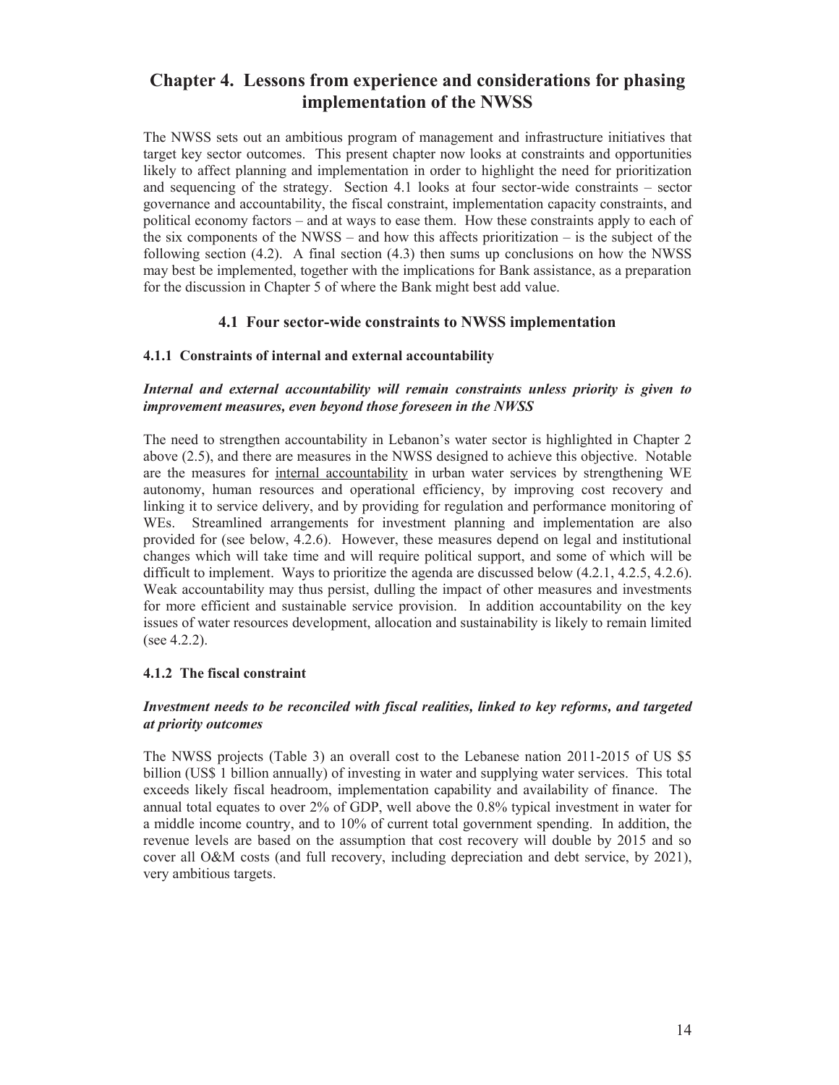# **Chapter 4. Lessons from experience and considerations for phasing implementation of the NWSS**

The NWSS sets out an ambitious program of management and infrastructure initiatives that target key sector outcomes. This present chapter now looks at constraints and opportunities likely to affect planning and implementation in order to highlight the need for prioritization and sequencing of the strategy. Section 4.1 looks at four sector-wide constraints – sector governance and accountability, the fiscal constraint, implementation capacity constraints, and political economy factors – and at ways to ease them. How these constraints apply to each of the six components of the NWSS – and how this affects prioritization – is the subject of the following section  $(4.2)$ . A final section  $(4.3)$  then sums up conclusions on how the NWSS may best be implemented, together with the implications for Bank assistance, as a preparation for the discussion in Chapter 5 of where the Bank might best add value.

### **4.1 Four sector-wide constraints to NWSS implementation**

### **4.1.1 Constraints of internal and external accountability**

### *Internal and external accountability will remain constraints unless priority is given to improvement measures, even beyond those foreseen in the NWSS*

The need to strengthen accountability in Lebanon's water sector is highlighted in Chapter 2 above (2.5), and there are measures in the NWSS designed to achieve this objective. Notable are the measures for internal accountability in urban water services by strengthening WE autonomy, human resources and operational efficiency, by improving cost recovery and linking it to service delivery, and by providing for regulation and performance monitoring of WEs. Streamlined arrangements for investment planning and implementation are also provided for (see below, 4.2.6). However, these measures depend on legal and institutional changes which will take time and will require political support, and some of which will be difficult to implement. Ways to prioritize the agenda are discussed below (4.2.1, 4.2.5, 4.2.6). Weak accountability may thus persist, dulling the impact of other measures and investments for more efficient and sustainable service provision. In addition accountability on the key issues of water resources development, allocation and sustainability is likely to remain limited (see 4.2.2).

### **4.1.2 The fiscal constraint**

### *Investment needs to be reconciled with fiscal realities, linked to key reforms, and targeted at priority outcomes*

The NWSS projects (Table 3) an overall cost to the Lebanese nation 2011-2015 of US \$5 billion (US\$ 1 billion annually) of investing in water and supplying water services. This total exceeds likely fiscal headroom, implementation capability and availability of finance. The annual total equates to over 2% of GDP, well above the 0.8% typical investment in water for a middle income country, and to 10% of current total government spending. In addition, the revenue levels are based on the assumption that cost recovery will double by 2015 and so cover all O&M costs (and full recovery, including depreciation and debt service, by 2021), very ambitious targets.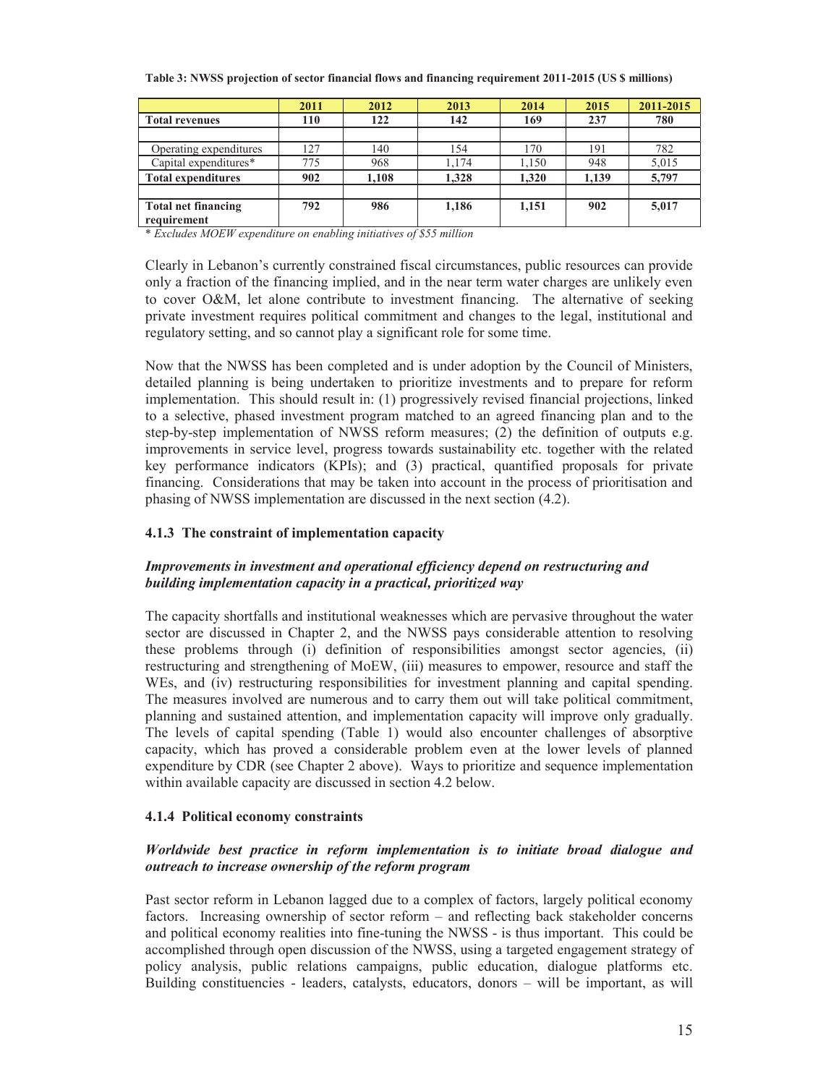|                            | 2011 | 2012  | 2013  | 2014  | 2015  | 2011-2015 |
|----------------------------|------|-------|-------|-------|-------|-----------|
| <b>Total revenues</b>      | 110  | 122   | 142   | 169   | 237   | 780       |
|                            |      |       |       |       |       |           |
| Operating expenditures     | 127  | 140   | 154   | 170   | 191   | 782       |
| Capital expenditures*      | 775  | 968   | 1,174 | 1,150 | 948   | 5,015     |
| <b>Total expenditures</b>  | 902  | 1.108 | 1.328 | 1.320 | 1,139 | 5,797     |
|                            |      |       |       |       |       |           |
| <b>Total net financing</b> | 792  | 986   | 1,186 | 1,151 | 902   | 5,017     |
| requirement                |      |       |       |       |       |           |

**Table 3: NWSS projection of sector financial flows and financing requirement 2011-2015 (US \$ millions)** 

\* *Excludes MOEW expenditure on enabling initiatives of \$55 million* 

Clearly in Lebanon's currently constrained fiscal circumstances, public resources can provide only a fraction of the financing implied, and in the near term water charges are unlikely even to cover O&M, let alone contribute to investment financing. The alternative of seeking private investment requires political commitment and changes to the legal, institutional and regulatory setting, and so cannot play a significant role for some time.

Now that the NWSS has been completed and is under adoption by the Council of Ministers, detailed planning is being undertaken to prioritize investments and to prepare for reform implementation. This should result in: (1) progressively revised financial projections, linked to a selective, phased investment program matched to an agreed financing plan and to the step-by-step implementation of NWSS reform measures; (2) the definition of outputs e.g. improvements in service level, progress towards sustainability etc. together with the related key performance indicators (KPIs); and (3) practical, quantified proposals for private financing. Considerations that may be taken into account in the process of prioritisation and phasing of NWSS implementation are discussed in the next section (4.2).

### **4.1.3 The constraint of implementation capacity**

### *Improvements in investment and operational efficiency depend on restructuring and building implementation capacity in a practical, prioritized way*

The capacity shortfalls and institutional weaknesses which are pervasive throughout the water sector are discussed in Chapter 2, and the NWSS pays considerable attention to resolving these problems through (i) definition of responsibilities amongst sector agencies, (ii) restructuring and strengthening of MoEW, (iii) measures to empower, resource and staff the WEs, and (iv) restructuring responsibilities for investment planning and capital spending. The measures involved are numerous and to carry them out will take political commitment, planning and sustained attention, and implementation capacity will improve only gradually. The levels of capital spending (Table 1) would also encounter challenges of absorptive capacity, which has proved a considerable problem even at the lower levels of planned expenditure by CDR (see Chapter 2 above). Ways to prioritize and sequence implementation within available capacity are discussed in section 4.2 below.

### **4.1.4 Political economy constraints**

### *Worldwide best practice in reform implementation is to initiate broad dialogue and outreach to increase ownership of the reform program*

Past sector reform in Lebanon lagged due to a complex of factors, largely political economy factors. Increasing ownership of sector reform – and reflecting back stakeholder concerns and political economy realities into fine-tuning the NWSS - is thus important. This could be accomplished through open discussion of the NWSS, using a targeted engagement strategy of policy analysis, public relations campaigns, public education, dialogue platforms etc. Building constituencies - leaders, catalysts, educators, donors – will be important, as will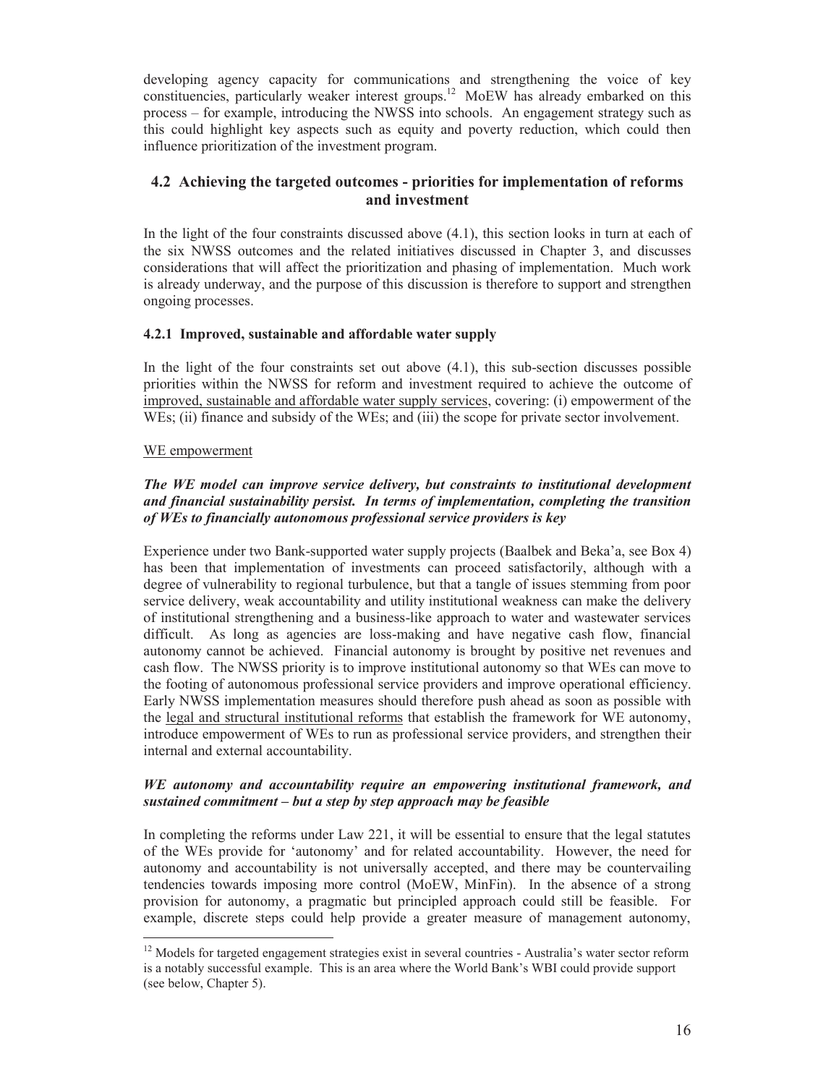developing agency capacity for communications and strengthening the voice of key constituencies, particularly weaker interest groups.<sup>12</sup> MoEW has already embarked on this process – for example, introducing the NWSS into schools. An engagement strategy such as this could highlight key aspects such as equity and poverty reduction, which could then influence prioritization of the investment program.

### **4.2 Achieving the targeted outcomes - priorities for implementation of reforms and investment**

In the light of the four constraints discussed above  $(4.1)$ , this section looks in turn at each of the six NWSS outcomes and the related initiatives discussed in Chapter 3, and discusses considerations that will affect the prioritization and phasing of implementation. Much work is already underway, and the purpose of this discussion is therefore to support and strengthen ongoing processes.

### **4.2.1 Improved, sustainable and affordable water supply**

In the light of the four constraints set out above  $(4.1)$ , this sub-section discusses possible priorities within the NWSS for reform and investment required to achieve the outcome of improved, sustainable and affordable water supply services, covering: (i) empowerment of the WEs; (ii) finance and subsidy of the WEs; and (iii) the scope for private sector involvement.

### WE empowerment

 $\overline{a}$ 

### *The WE model can improve service delivery, but constraints to institutional development and financial sustainability persist. In terms of implementation, completing the transition of WEs to financially autonomous professional service providers is key*

Experience under two Bank-supported water supply projects (Baalbek and Beka'a, see Box 4) has been that implementation of investments can proceed satisfactorily, although with a degree of vulnerability to regional turbulence, but that a tangle of issues stemming from poor service delivery, weak accountability and utility institutional weakness can make the delivery of institutional strengthening and a business-like approach to water and wastewater services difficult. As long as agencies are loss-making and have negative cash flow, financial autonomy cannot be achieved. Financial autonomy is brought by positive net revenues and cash flow. The NWSS priority is to improve institutional autonomy so that WEs can move to the footing of autonomous professional service providers and improve operational efficiency. Early NWSS implementation measures should therefore push ahead as soon as possible with the legal and structural institutional reforms that establish the framework for WE autonomy, introduce empowerment of WEs to run as professional service providers, and strengthen their internal and external accountability.

### *WE autonomy and accountability require an empowering institutional framework, and sustained commitment – but a step by step approach may be feasible*

In completing the reforms under Law 221, it will be essential to ensure that the legal statutes of the WEs provide for 'autonomy' and for related accountability. However, the need for autonomy and accountability is not universally accepted, and there may be countervailing tendencies towards imposing more control (MoEW, MinFin). In the absence of a strong provision for autonomy, a pragmatic but principled approach could still be feasible. For example, discrete steps could help provide a greater measure of management autonomy,

 $12$  Models for targeted engagement strategies exist in several countries - Australia's water sector reform is a notably successful example. This is an area where the World Bank's WBI could provide support (see below, Chapter 5).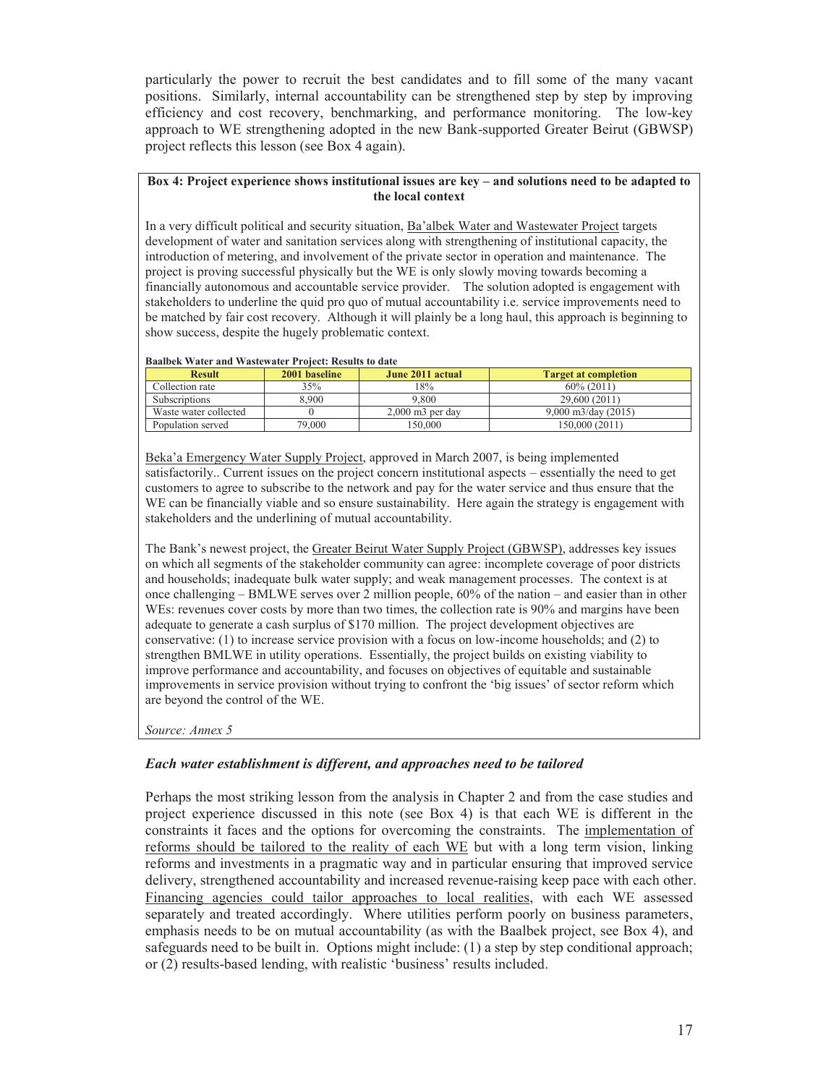particularly the power to recruit the best candidates and to fill some of the many vacant positions. Similarly, internal accountability can be strengthened step by step by improving efficiency and cost recovery, benchmarking, and performance monitoring. The low-key approach to WE strengthening adopted in the new Bank-supported Greater Beirut (GBWSP) project reflects this lesson (see Box 4 again).

#### **Box 4: Project experience shows institutional issues are key – and solutions need to be adapted to the local context**

In a very difficult political and security situation, Ba'albek Water and Wastewater Project targets development of water and sanitation services along with strengthening of institutional capacity, the introduction of metering, and involvement of the private sector in operation and maintenance. The project is proving successful physically but the WE is only slowly moving towards becoming a financially autonomous and accountable service provider. The solution adopted is engagement with stakeholders to underline the quid pro quo of mutual accountability i.e. service improvements need to be matched by fair cost recovery. Although it will plainly be a long haul, this approach is beginning to show success, despite the hugely problematic context.

| Daalber water and wastewater Fronce, results to date |               |                                |                             |  |  |  |  |  |  |
|------------------------------------------------------|---------------|--------------------------------|-----------------------------|--|--|--|--|--|--|
| <b>Result</b>                                        | 2001 baseline | June 2011 actual               | <b>Target at completion</b> |  |  |  |  |  |  |
| Collection rate                                      | 35%           | 18%                            | $60\%$ (2011)               |  |  |  |  |  |  |
| <b>Subscriptions</b>                                 | 8.900         | 9.800                          | 29.600 (2011)               |  |  |  |  |  |  |
| Waste water collected                                |               | $2.000$ m <sub>3</sub> per day | $9.000$ m3/day (2015)       |  |  |  |  |  |  |
| Population served                                    | 79.000        | 50.000                         | 150.000 (2011)              |  |  |  |  |  |  |

### **Baalbek Water and Wastewater Project: Results to date**

Beka'a Emergency Water Supply Project, approved in March 2007, is being implemented satisfactorily.. Current issues on the project concern institutional aspects – essentially the need to get customers to agree to subscribe to the network and pay for the water service and thus ensure that the WE can be financially viable and so ensure sustainability. Here again the strategy is engagement with stakeholders and the underlining of mutual accountability.

The Bank's newest project, the Greater Beirut Water Supply Project (GBWSP), addresses key issues on which all segments of the stakeholder community can agree: incomplete coverage of poor districts and households; inadequate bulk water supply; and weak management processes. The context is at once challenging – BMLWE serves over 2 million people, 60% of the nation – and easier than in other WEs: revenues cover costs by more than two times, the collection rate is 90% and margins have been adequate to generate a cash surplus of \$170 million. The project development objectives are conservative: (1) to increase service provision with a focus on low-income households; and (2) to strengthen BMLWE in utility operations. Essentially, the project builds on existing viability to improve performance and accountability, and focuses on objectives of equitable and sustainable improvements in service provision without trying to confront the 'big issues' of sector reform which are beyond the control of the WE.

*Source: Annex 5* 

### *Each water establishment is different, and approaches need to be tailored*

Perhaps the most striking lesson from the analysis in Chapter 2 and from the case studies and project experience discussed in this note (see Box 4) is that each WE is different in the constraints it faces and the options for overcoming the constraints. The implementation of reforms should be tailored to the reality of each WE but with a long term vision, linking reforms and investments in a pragmatic way and in particular ensuring that improved service delivery, strengthened accountability and increased revenue-raising keep pace with each other. Financing agencies could tailor approaches to local realities, with each WE assessed separately and treated accordingly. Where utilities perform poorly on business parameters, emphasis needs to be on mutual accountability (as with the Baalbek project, see Box 4), and safeguards need to be built in. Options might include: (1) a step by step conditional approach; or (2) results-based lending, with realistic 'business' results included.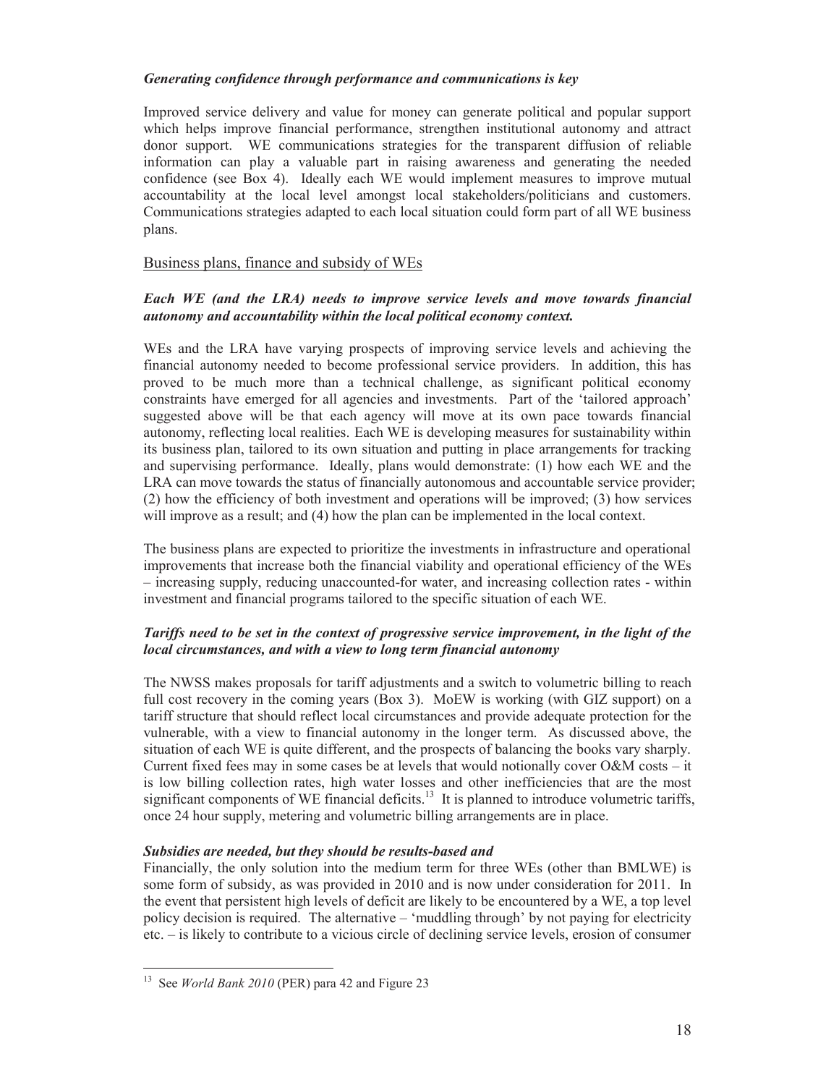### *Generating confidence through performance and communications is key*

Improved service delivery and value for money can generate political and popular support which helps improve financial performance, strengthen institutional autonomy and attract donor support. WE communications strategies for the transparent diffusion of reliable information can play a valuable part in raising awareness and generating the needed confidence (see Box 4). Ideally each WE would implement measures to improve mutual accountability at the local level amongst local stakeholders/politicians and customers. Communications strategies adapted to each local situation could form part of all WE business plans.

### Business plans, finance and subsidy of WEs

### *Each WE (and the LRA) needs to improve service levels and move towards financial autonomy and accountability within the local political economy context.*

WEs and the LRA have varying prospects of improving service levels and achieving the financial autonomy needed to become professional service providers. In addition, this has proved to be much more than a technical challenge, as significant political economy constraints have emerged for all agencies and investments. Part of the 'tailored approach' suggested above will be that each agency will move at its own pace towards financial autonomy, reflecting local realities. Each WE is developing measures for sustainability within its business plan, tailored to its own situation and putting in place arrangements for tracking and supervising performance. Ideally, plans would demonstrate: (1) how each WE and the LRA can move towards the status of financially autonomous and accountable service provider; (2) how the efficiency of both investment and operations will be improved; (3) how services will improve as a result; and (4) how the plan can be implemented in the local context.

The business plans are expected to prioritize the investments in infrastructure and operational improvements that increase both the financial viability and operational efficiency of the WEs – increasing supply, reducing unaccounted-for water, and increasing collection rates - within investment and financial programs tailored to the specific situation of each WE.

### *Tariffs need to be set in the context of progressive service improvement, in the light of the local circumstances, and with a view to long term financial autonomy*

The NWSS makes proposals for tariff adjustments and a switch to volumetric billing to reach full cost recovery in the coming years (Box 3). MoEW is working (with GIZ support) on a tariff structure that should reflect local circumstances and provide adequate protection for the vulnerable, with a view to financial autonomy in the longer term. As discussed above, the situation of each WE is quite different, and the prospects of balancing the books vary sharply. Current fixed fees may in some cases be at levels that would notionally cover O&M costs – it is low billing collection rates, high water losses and other inefficiencies that are the most significant components of WE financial deficits. $13$  It is planned to introduce volumetric tariffs, once 24 hour supply, metering and volumetric billing arrangements are in place.

### *Subsidies are needed, but they should be results-based and*

Financially, the only solution into the medium term for three WEs (other than BMLWE) is some form of subsidy, as was provided in 2010 and is now under consideration for 2011. In the event that persistent high levels of deficit are likely to be encountered by a WE, a top level policy decision is required. The alternative – 'muddling through' by not paying for electricity etc. – is likely to contribute to a vicious circle of declining service levels, erosion of consumer

l

<sup>13</sup> See *World Bank 2010* (PER) para 42 and Figure 23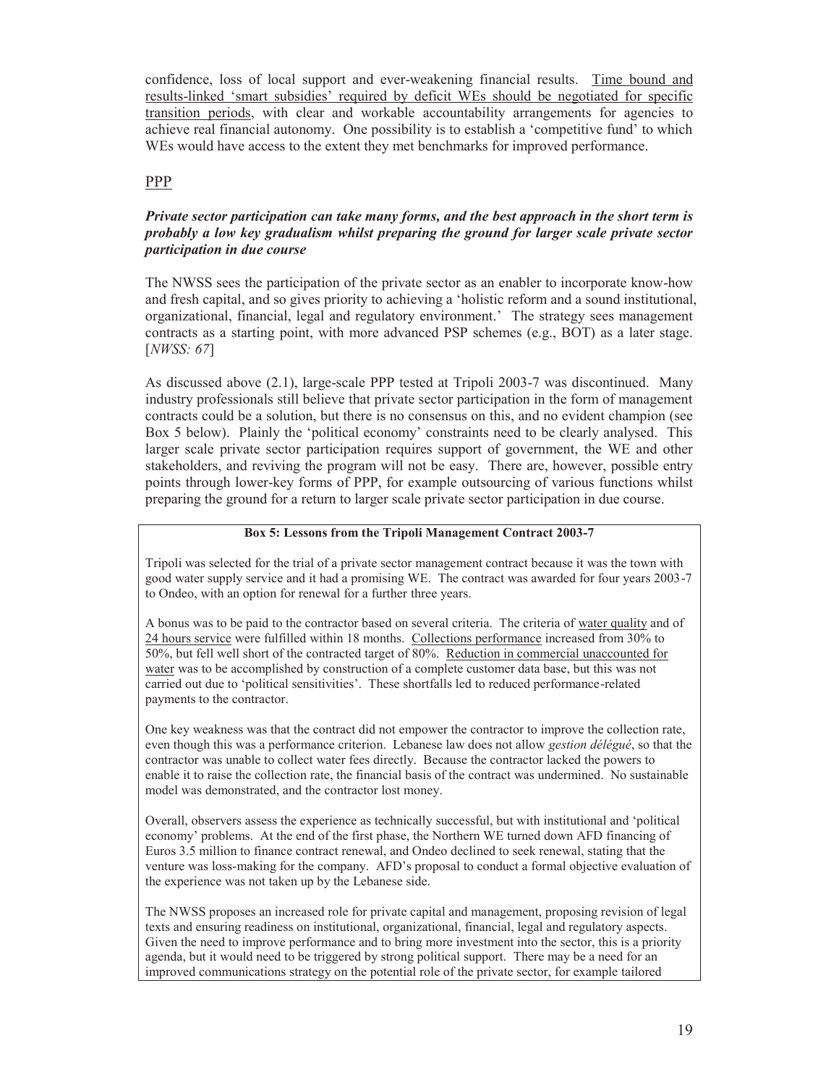confidence, loss of local support and ever-weakening financial results. Time bound and results-linked 'smart subsidies' required by deficit WEs should be negotiated for specific transition periods, with clear and workable accountability arrangements for agencies to achieve real financial autonomy. One possibility is to establish a 'competitive fund' to which WEs would have access to the extent they met benchmarks for improved performance.

### PPP

### *Private sector participation can take many forms, and the best approach in the short term is probably a low key gradualism whilst preparing the ground for larger scale private sector participation in due course*

The NWSS sees the participation of the private sector as an enabler to incorporate know-how and fresh capital, and so gives priority to achieving a 'holistic reform and a sound institutional, organizational, financial, legal and regulatory environment.' The strategy sees management contracts as a starting point, with more advanced PSP schemes (e.g., BOT) as a later stage. [*NWSS: 67*]

As discussed above (2.1), large-scale PPP tested at Tripoli 2003-7 was discontinued. Many industry professionals still believe that private sector participation in the form of management contracts could be a solution, but there is no consensus on this, and no evident champion (see Box 5 below). Plainly the 'political economy' constraints need to be clearly analysed. This larger scale private sector participation requires support of government, the WE and other stakeholders, and reviving the program will not be easy. There are, however, possible entry points through lower-key forms of PPP, for example outsourcing of various functions whilst preparing the ground for a return to larger scale private sector participation in due course.

### **Box 5: Lessons from the Tripoli Management Contract 2003-7**

Tripoli was selected for the trial of a private sector management contract because it was the town with good water supply service and it had a promising WE. The contract was awarded for four years 2003-7 to Ondeo, with an option for renewal for a further three years.

A bonus was to be paid to the contractor based on several criteria. The criteria of water quality and of 24 hours service were fulfilled within 18 months. Collections performance increased from 30% to 50%, but fell well short of the contracted target of 80%. Reduction in commercial unaccounted for water was to be accomplished by construction of a complete customer data base, but this was not carried out due to 'political sensitivities'. These shortfalls led to reduced performance-related payments to the contractor.

One key weakness was that the contract did not empower the contractor to improve the collection rate, even though this was a performance criterion. Lebanese law does not allow *gestion délégué*, so that the contractor was unable to collect water fees directly. Because the contractor lacked the powers to enable it to raise the collection rate, the financial basis of the contract was undermined. No sustainable model was demonstrated, and the contractor lost money.

Overall, observers assess the experience as technically successful, but with institutional and 'political economy' problems. At the end of the first phase, the Northern WE turned down AFD financing of Euros 3.5 million to finance contract renewal, and Ondeo declined to seek renewal, stating that the venture was loss-making for the company. AFD's proposal to conduct a formal objective evaluation of the experience was not taken up by the Lebanese side.

The NWSS proposes an increased role for private capital and management, proposing revision of legal texts and ensuring readiness on institutional, organizational, financial, legal and regulatory aspects. Given the need to improve performance and to bring more investment into the sector, this is a priority agenda, but it would need to be triggered by strong political support. There may be a need for an improved communications strategy on the potential role of the private sector, for example tailored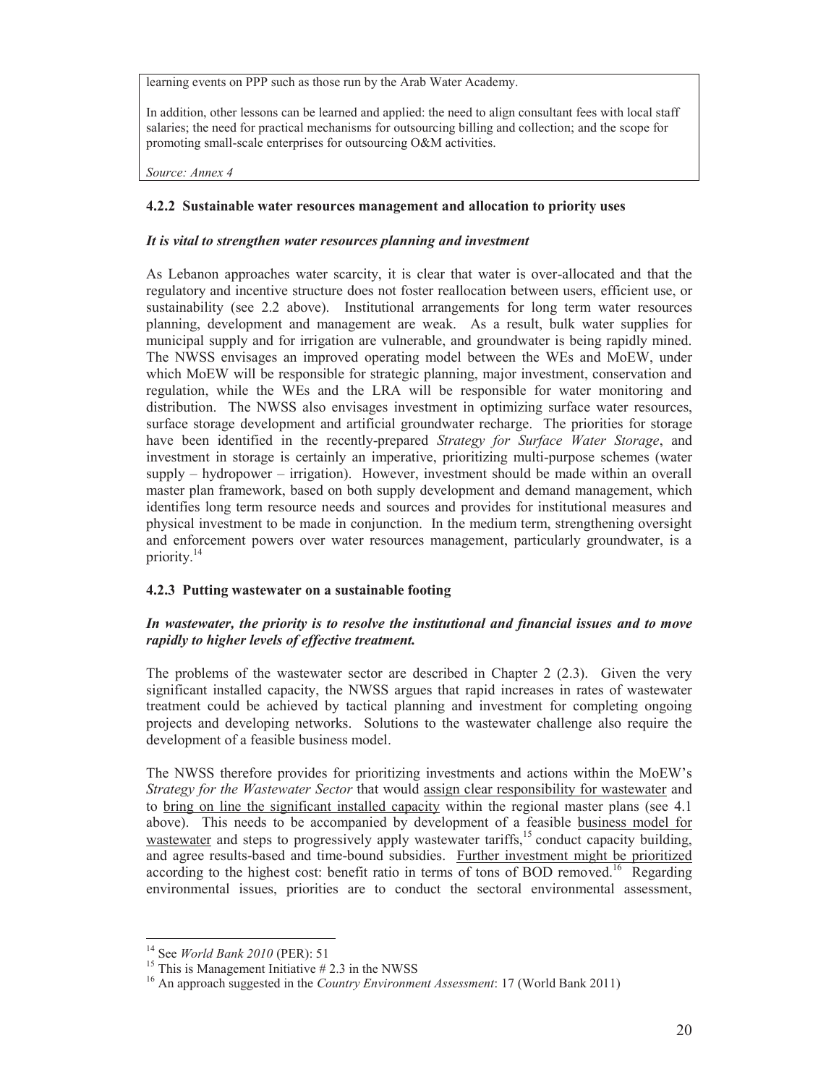learning events on PPP such as those run by the Arab Water Academy.

In addition, other lessons can be learned and applied: the need to align consultant fees with local staff salaries; the need for practical mechanisms for outsourcing billing and collection; and the scope for promoting small-scale enterprises for outsourcing O&M activities.

*Source: Annex 4*

### **4.2.2 Sustainable water resources management and allocation to priority uses**

### *It is vital to strengthen water resources planning and investment*

As Lebanon approaches water scarcity, it is clear that water is over-allocated and that the regulatory and incentive structure does not foster reallocation between users, efficient use, or sustainability (see 2.2 above). Institutional arrangements for long term water resources planning, development and management are weak. As a result, bulk water supplies for municipal supply and for irrigation are vulnerable, and groundwater is being rapidly mined. The NWSS envisages an improved operating model between the WEs and MoEW, under which MoEW will be responsible for strategic planning, major investment, conservation and regulation, while the WEs and the LRA will be responsible for water monitoring and distribution. The NWSS also envisages investment in optimizing surface water resources, surface storage development and artificial groundwater recharge. The priorities for storage have been identified in the recently-prepared *Strategy for Surface Water Storage*, and investment in storage is certainly an imperative, prioritizing multi-purpose schemes (water supply – hydropower – irrigation). However, investment should be made within an overall master plan framework, based on both supply development and demand management, which identifies long term resource needs and sources and provides for institutional measures and physical investment to be made in conjunction. In the medium term, strengthening oversight and enforcement powers over water resources management, particularly groundwater, is a priority.<sup>14</sup>

### **4.2.3 Putting wastewater on a sustainable footing**

### *In wastewater, the priority is to resolve the institutional and financial issues and to move rapidly to higher levels of effective treatment.*

The problems of the wastewater sector are described in Chapter 2 (2.3). Given the very significant installed capacity, the NWSS argues that rapid increases in rates of wastewater treatment could be achieved by tactical planning and investment for completing ongoing projects and developing networks. Solutions to the wastewater challenge also require the development of a feasible business model.

The NWSS therefore provides for prioritizing investments and actions within the MoEW's *Strategy for the Wastewater Sector* that would assign clear responsibility for wastewater and to bring on line the significant installed capacity within the regional master plans (see 4.1 above). This needs to be accompanied by development of a feasible business model for wastewater and steps to progressively apply wastewater tariffs,<sup>15</sup> conduct capacity building, and agree results-based and time-bound subsidies. Further investment might be prioritized according to the highest cost: benefit ratio in terms of tons of BOD removed.<sup>16</sup> Regarding environmental issues, priorities are to conduct the sectoral environmental assessment,

 $14$  See World Bank 2010 (PER): 51

<sup>&</sup>lt;sup>15</sup> This is Management Initiative  $# 2.3$  in the NWSS

<sup>16</sup> An approach suggested in the *Country Environment Assessment*: 17 (World Bank 2011)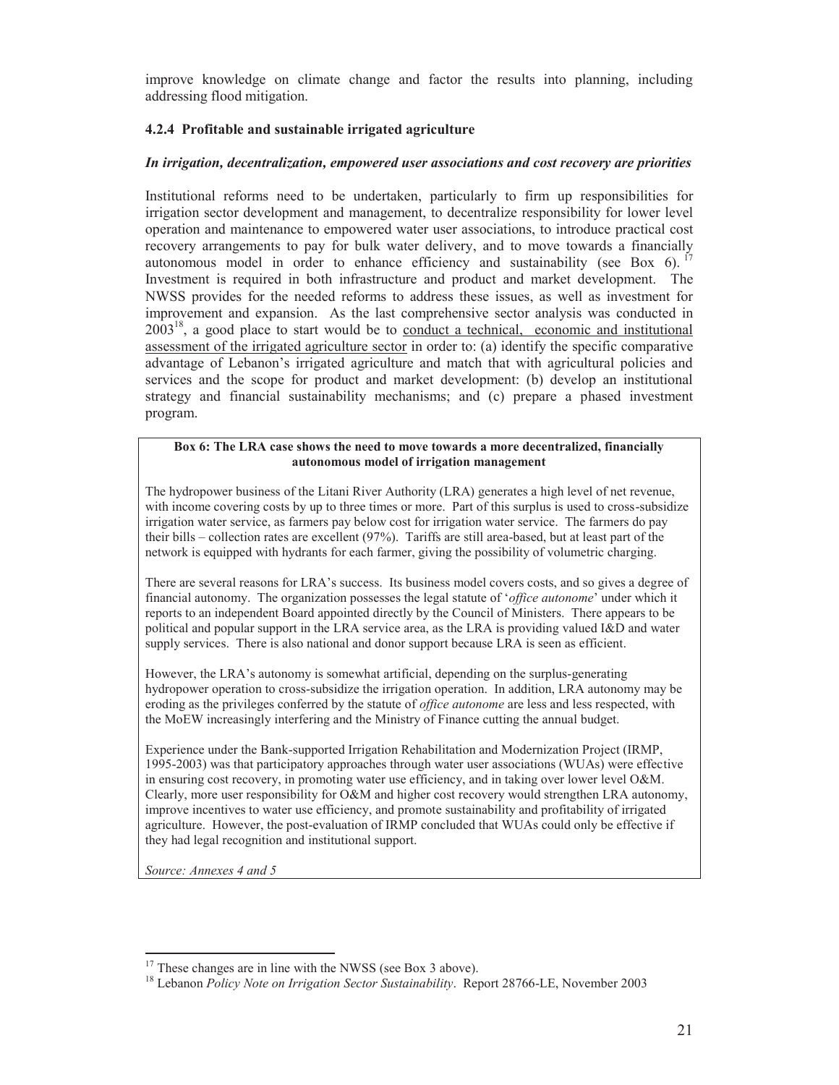improve knowledge on climate change and factor the results into planning, including addressing flood mitigation.

### **4.2.4 Profitable and sustainable irrigated agriculture**

### *In irrigation, decentralization, empowered user associations and cost recovery are priorities*

Institutional reforms need to be undertaken, particularly to firm up responsibilities for irrigation sector development and management, to decentralize responsibility for lower level operation and maintenance to empowered water user associations, to introduce practical cost recovery arrangements to pay for bulk water delivery, and to move towards a financially autonomous model in order to enhance efficiency and sustainability (see Box 6). <sup>17</sup> Investment is required in both infrastructure and product and market development. The NWSS provides for the needed reforms to address these issues, as well as investment for improvement and expansion. As the last comprehensive sector analysis was conducted in  $2003<sup>18</sup>$ , a good place to start would be to <u>conduct a technical</u>, economic and institutional assessment of the irrigated agriculture sector in order to: (a) identify the specific comparative advantage of Lebanon's irrigated agriculture and match that with agricultural policies and services and the scope for product and market development: (b) develop an institutional strategy and financial sustainability mechanisms; and (c) prepare a phased investment program.

#### **Box 6: The LRA case shows the need to move towards a more decentralized, financially autonomous model of irrigation management**

The hydropower business of the Litani River Authority (LRA) generates a high level of net revenue, with income covering costs by up to three times or more. Part of this surplus is used to cross-subsidize irrigation water service, as farmers pay below cost for irrigation water service. The farmers do pay their bills – collection rates are excellent (97%). Tariffs are still area-based, but at least part of the network is equipped with hydrants for each farmer, giving the possibility of volumetric charging.

There are several reasons for LRA's success. Its business model covers costs, and so gives a degree of financial autonomy. The organization possesses the legal statute of '*office autonome*' under which it reports to an independent Board appointed directly by the Council of Ministers. There appears to be political and popular support in the LRA service area, as the LRA is providing valued I&D and water supply services. There is also national and donor support because LRA is seen as efficient.

However, the LRA's autonomy is somewhat artificial, depending on the surplus-generating hydropower operation to cross-subsidize the irrigation operation. In addition, LRA autonomy may be eroding as the privileges conferred by the statute of *office autonome* are less and less respected, with the MoEW increasingly interfering and the Ministry of Finance cutting the annual budget.

Experience under the Bank-supported Irrigation Rehabilitation and Modernization Project (IRMP, 1995-2003) was that participatory approaches through water user associations (WUAs) were effective in ensuring cost recovery, in promoting water use efficiency, and in taking over lower level O&M. Clearly, more user responsibility for O&M and higher cost recovery would strengthen LRA autonomy, improve incentives to water use efficiency, and promote sustainability and profitability of irrigated agriculture. However, the post-evaluation of IRMP concluded that WUAs could only be effective if they had legal recognition and institutional support.

*Source: Annexes 4 and 5* 

<sup>-</sup> $17$  These changes are in line with the NWSS (see Box 3 above).

<sup>18</sup> Lebanon *Policy Note on Irrigation Sector Sustainability*. Report 28766-LE, November 2003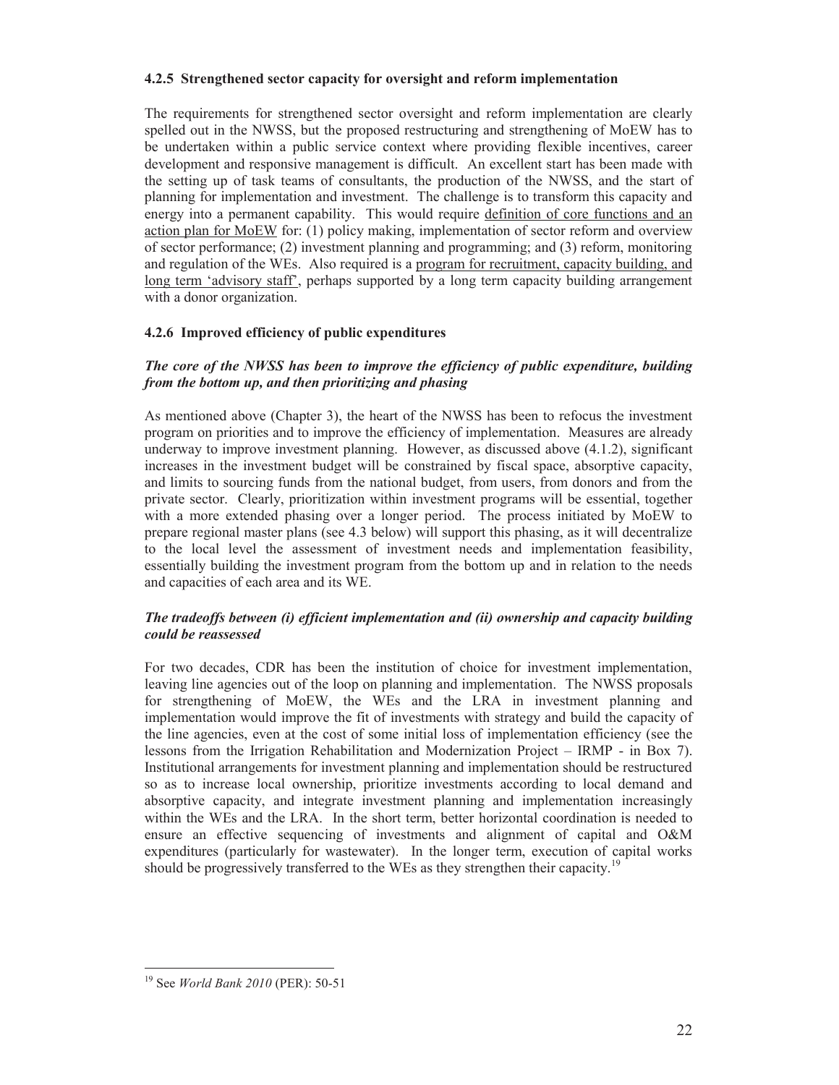### **4.2.5 Strengthened sector capacity for oversight and reform implementation**

The requirements for strengthened sector oversight and reform implementation are clearly spelled out in the NWSS, but the proposed restructuring and strengthening of MoEW has to be undertaken within a public service context where providing flexible incentives, career development and responsive management is difficult. An excellent start has been made with the setting up of task teams of consultants, the production of the NWSS, and the start of planning for implementation and investment. The challenge is to transform this capacity and energy into a permanent capability. This would require definition of core functions and an action plan for MoEW for: (1) policy making, implementation of sector reform and overview of sector performance; (2) investment planning and programming; and (3) reform, monitoring and regulation of the WEs. Also required is a program for recruitment, capacity building, and long term 'advisory staff', perhaps supported by a long term capacity building arrangement with a donor organization.

### **4.2.6 Improved efficiency of public expenditures**

### *The core of the NWSS has been to improve the efficiency of public expenditure, building from the bottom up, and then prioritizing and phasing*

As mentioned above (Chapter 3), the heart of the NWSS has been to refocus the investment program on priorities and to improve the efficiency of implementation. Measures are already underway to improve investment planning. However, as discussed above (4.1.2), significant increases in the investment budget will be constrained by fiscal space, absorptive capacity, and limits to sourcing funds from the national budget, from users, from donors and from the private sector. Clearly, prioritization within investment programs will be essential, together with a more extended phasing over a longer period. The process initiated by MoEW to prepare regional master plans (see 4.3 below) will support this phasing, as it will decentralize to the local level the assessment of investment needs and implementation feasibility, essentially building the investment program from the bottom up and in relation to the needs and capacities of each area and its WE.

### *The tradeoffs between (i) efficient implementation and (ii) ownership and capacity building could be reassessed*

For two decades, CDR has been the institution of choice for investment implementation, leaving line agencies out of the loop on planning and implementation. The NWSS proposals for strengthening of MoEW, the WEs and the LRA in investment planning and implementation would improve the fit of investments with strategy and build the capacity of the line agencies, even at the cost of some initial loss of implementation efficiency (see the lessons from the Irrigation Rehabilitation and Modernization Project – IRMP - in Box 7). Institutional arrangements for investment planning and implementation should be restructured so as to increase local ownership, prioritize investments according to local demand and absorptive capacity, and integrate investment planning and implementation increasingly within the WEs and the LRA. In the short term, better horizontal coordination is needed to ensure an effective sequencing of investments and alignment of capital and O&M expenditures (particularly for wastewater). In the longer term, execution of capital works should be progressively transferred to the WEs as they strengthen their capacity.<sup>19</sup>

 $\overline{a}$ 

<sup>19</sup> See *World Bank 2010* (PER): 50-51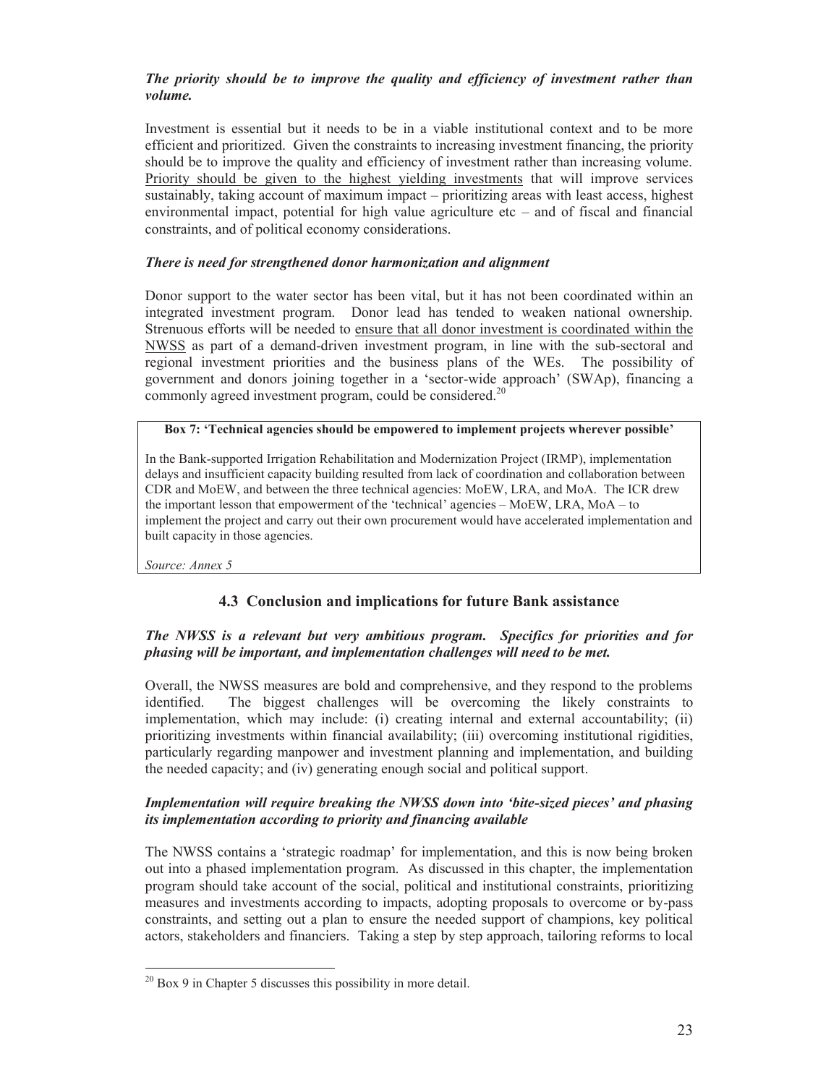### *The priority should be to improve the quality and efficiency of investment rather than volume.*

Investment is essential but it needs to be in a viable institutional context and to be more efficient and prioritized. Given the constraints to increasing investment financing, the priority should be to improve the quality and efficiency of investment rather than increasing volume. Priority should be given to the highest yielding investments that will improve services sustainably, taking account of maximum impact – prioritizing areas with least access, highest environmental impact, potential for high value agriculture etc – and of fiscal and financial constraints, and of political economy considerations.

### *There is need for strengthened donor harmonization and alignment*

Donor support to the water sector has been vital, but it has not been coordinated within an integrated investment program. Donor lead has tended to weaken national ownership. Strenuous efforts will be needed to ensure that all donor investment is coordinated within the NWSS as part of a demand-driven investment program, in line with the sub-sectoral and regional investment priorities and the business plans of the WEs. The possibility of government and donors joining together in a 'sector-wide approach' (SWAp), financing a commonly agreed investment program, could be considered.<sup>20</sup>

### **Box 7: 'Technical agencies should be empowered to implement projects wherever possible'**

In the Bank-supported Irrigation Rehabilitation and Modernization Project (IRMP), implementation delays and insufficient capacity building resulted from lack of coordination and collaboration between CDR and MoEW, and between the three technical agencies: MoEW, LRA, and MoA. The ICR drew the important lesson that empowerment of the 'technical' agencies – MoEW, LRA, MoA – to implement the project and carry out their own procurement would have accelerated implementation and built capacity in those agencies.

*Source: Annex 5* 

-

### **4.3 Conclusion and implications for future Bank assistance**

### *The NWSS is a relevant but very ambitious program. Specifics for priorities and for phasing will be important, and implementation challenges will need to be met.*

Overall, the NWSS measures are bold and comprehensive, and they respond to the problems identified. The biggest challenges will be overcoming the likely constraints to implementation, which may include: (i) creating internal and external accountability; (ii) prioritizing investments within financial availability; (iii) overcoming institutional rigidities, particularly regarding manpower and investment planning and implementation, and building the needed capacity; and (iv) generating enough social and political support.

### *Implementation will require breaking the NWSS down into 'bite-sized pieces' and phasing its implementation according to priority and financing available*

The NWSS contains a 'strategic roadmap' for implementation, and this is now being broken out into a phased implementation program. As discussed in this chapter, the implementation program should take account of the social, political and institutional constraints, prioritizing measures and investments according to impacts, adopting proposals to overcome or by-pass constraints, and setting out a plan to ensure the needed support of champions, key political actors, stakeholders and financiers. Taking a step by step approach, tailoring reforms to local

 $^{20}$  Box 9 in Chapter 5 discusses this possibility in more detail.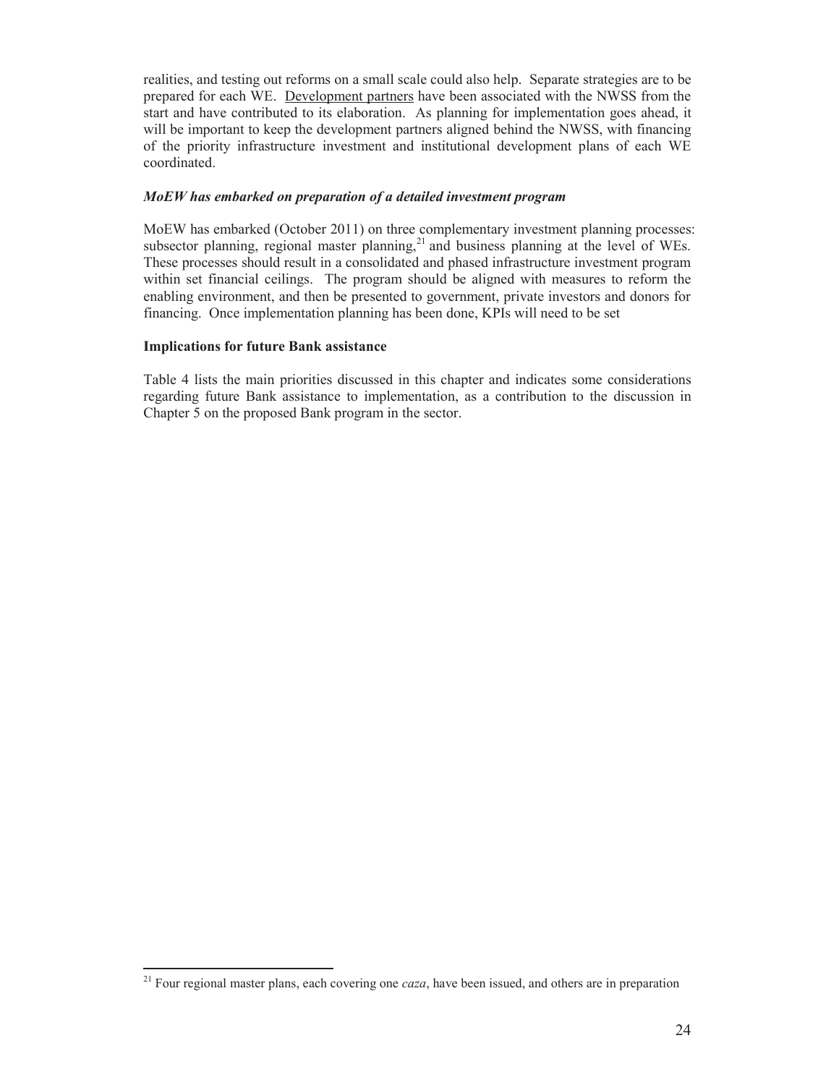realities, and testing out reforms on a small scale could also help. Separate strategies are to be prepared for each WE. Development partners have been associated with the NWSS from the start and have contributed to its elaboration. As planning for implementation goes ahead, it will be important to keep the development partners aligned behind the NWSS, with financing of the priority infrastructure investment and institutional development plans of each WE coordinated.

### *MoEW has embarked on preparation of a detailed investment program*

MoEW has embarked (October 2011) on three complementary investment planning processes: subsector planning, regional master planning,<sup>21</sup> and business planning at the level of WEs. These processes should result in a consolidated and phased infrastructure investment program within set financial ceilings. The program should be aligned with measures to reform the enabling environment, and then be presented to government, private investors and donors for financing. Once implementation planning has been done, KPIs will need to be set

### **Implications for future Bank assistance**

 $\overline{a}$ 

Table 4 lists the main priorities discussed in this chapter and indicates some considerations regarding future Bank assistance to implementation, as a contribution to the discussion in Chapter 5 on the proposed Bank program in the sector.

<sup>21</sup> Four regional master plans, each covering one *caza*, have been issued, and others are in preparation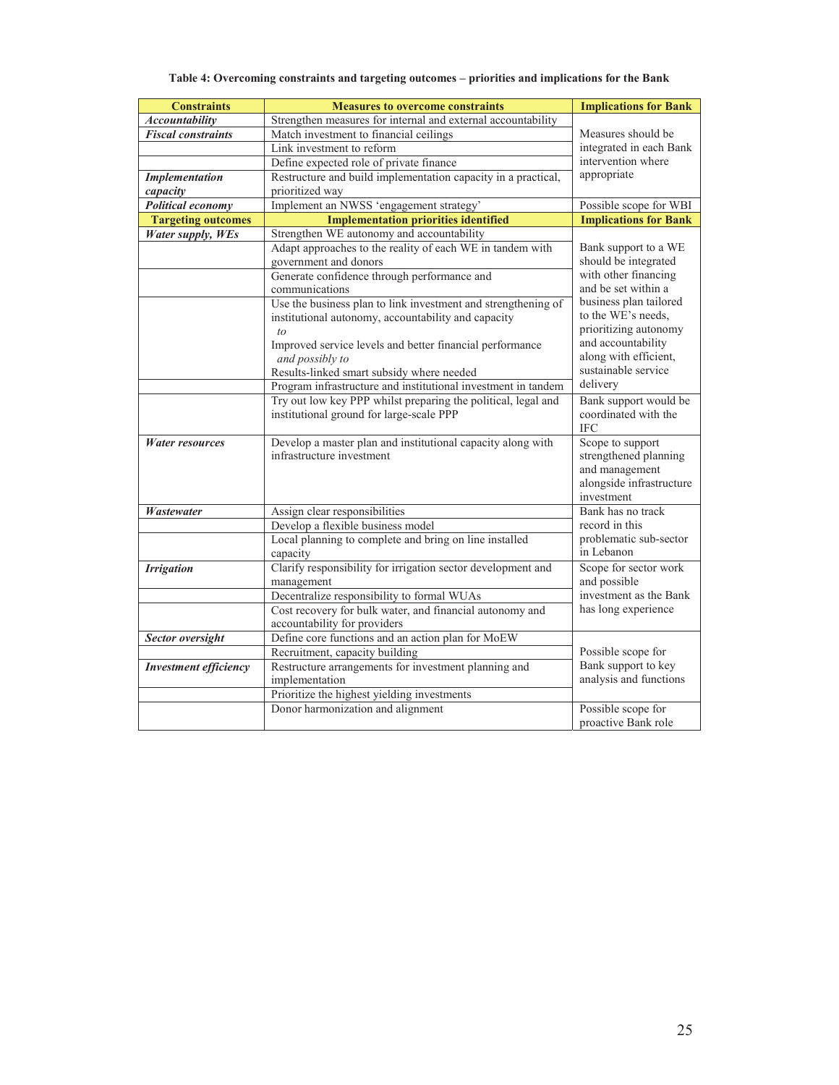### **Table 4: Overcoming constraints and targeting outcomes – priorities and implications for the Bank**

| <b>Constraints</b>           | <b>Measures to overcome constraints</b>                                                  | <b>Implications for Bank</b>                  |  |
|------------------------------|------------------------------------------------------------------------------------------|-----------------------------------------------|--|
| <b>Accountability</b>        | Strengthen measures for internal and external accountability                             |                                               |  |
| <b>Fiscal constraints</b>    | Match investment to financial ceilings                                                   | Measures should be                            |  |
|                              | Link investment to reform                                                                | integrated in each Bank                       |  |
|                              | Define expected role of private finance                                                  | intervention where                            |  |
| <b>Implementation</b>        | Restructure and build implementation capacity in a practical,                            | appropriate                                   |  |
| capacity                     | prioritized way                                                                          |                                               |  |
| <b>Political economy</b>     | Implement an NWSS 'engagement strategy'                                                  | Possible scope for WBI                        |  |
| <b>Targeting outcomes</b>    | <b>Implementation priorities identified</b>                                              | <b>Implications for Bank</b>                  |  |
| Water supply, WEs            | Strengthen WE autonomy and accountability                                                |                                               |  |
|                              | Adapt approaches to the reality of each WE in tandem with                                | Bank support to a WE                          |  |
|                              | government and donors                                                                    | should be integrated                          |  |
|                              | Generate confidence through performance and                                              | with other financing                          |  |
|                              | communications                                                                           | and be set within a                           |  |
|                              | Use the business plan to link investment and strengthening of                            | business plan tailored<br>to the WE's needs,  |  |
|                              | institutional autonomy, accountability and capacity                                      | prioritizing autonomy                         |  |
|                              | to                                                                                       | and accountability                            |  |
|                              | Improved service levels and better financial performance<br>and possibly to              | along with efficient,                         |  |
|                              | Results-linked smart subsidy where needed                                                | sustainable service                           |  |
|                              | Program infrastructure and institutional investment in tandem                            | delivery                                      |  |
|                              | Try out low key PPP whilst preparing the political, legal and                            | Bank support would be                         |  |
|                              | institutional ground for large-scale PPP                                                 | coordinated with the                          |  |
|                              |                                                                                          | <b>IFC</b>                                    |  |
| <b>Water resources</b>       | Develop a master plan and institutional capacity along with                              | Scope to support                              |  |
|                              | infrastructure investment                                                                | strengthened planning                         |  |
|                              |                                                                                          | and management                                |  |
|                              |                                                                                          | alongside infrastructure                      |  |
|                              |                                                                                          | investment                                    |  |
| Wastewater                   | Assign clear responsibilities                                                            | Bank has no track                             |  |
|                              | Develop a flexible business model                                                        | record in this                                |  |
|                              | Local planning to complete and bring on line installed                                   | problematic sub-sector                        |  |
|                              | capacity                                                                                 | in Lebanon                                    |  |
| <b>Irrigation</b>            | Clarify responsibility for irrigation sector development and                             | Scope for sector work                         |  |
|                              | management                                                                               | and possible                                  |  |
|                              | Decentralize responsibility to formal WUAs                                               | investment as the Bank<br>has long experience |  |
|                              | Cost recovery for bulk water, and financial autonomy and<br>accountability for providers |                                               |  |
|                              | Define core functions and an action plan for MoEW                                        |                                               |  |
| Sector oversight             | Recruitment, capacity building                                                           | Possible scope for                            |  |
| <b>Investment efficiency</b> | Restructure arrangements for investment planning and                                     | Bank support to key                           |  |
|                              | implementation                                                                           | analysis and functions                        |  |
|                              | Prioritize the highest yielding investments                                              |                                               |  |
|                              | Donor harmonization and alignment                                                        | Possible scope for                            |  |
|                              |                                                                                          | proactive Bank role                           |  |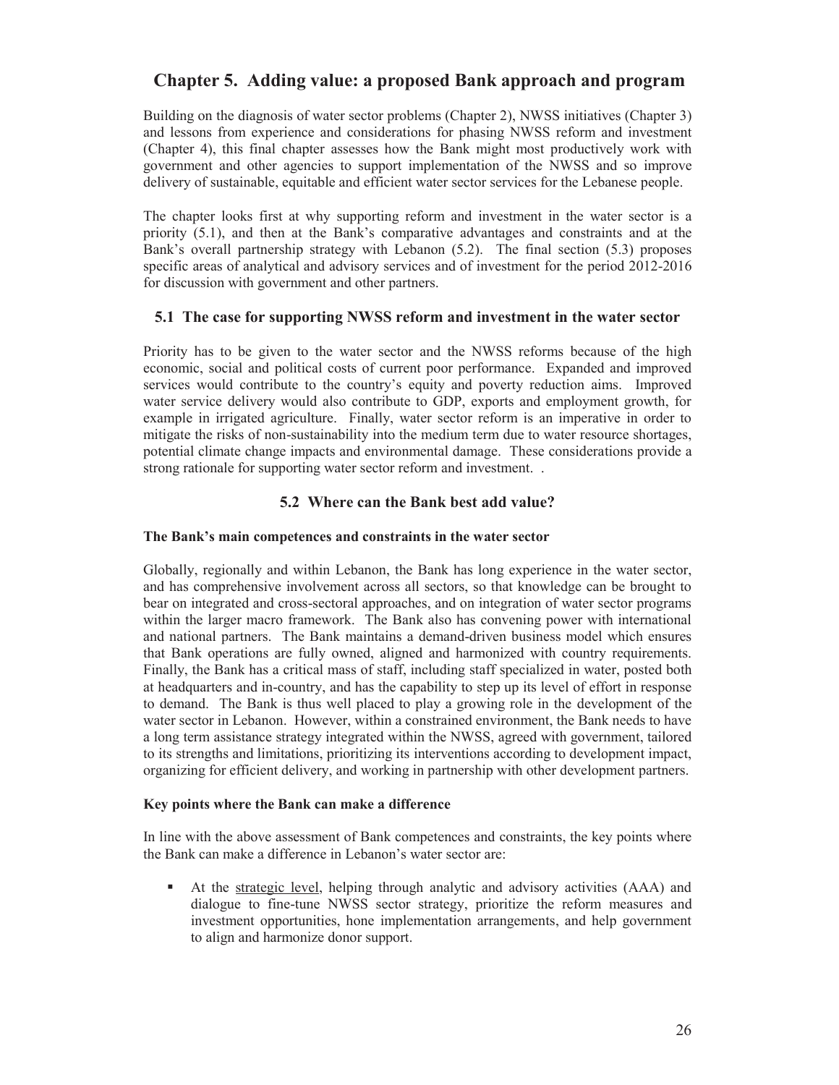# **Chapter 5. Adding value: a proposed Bank approach and program**

Building on the diagnosis of water sector problems (Chapter 2), NWSS initiatives (Chapter 3) and lessons from experience and considerations for phasing NWSS reform and investment (Chapter 4), this final chapter assesses how the Bank might most productively work with government and other agencies to support implementation of the NWSS and so improve delivery of sustainable, equitable and efficient water sector services for the Lebanese people.

The chapter looks first at why supporting reform and investment in the water sector is a priority (5.1), and then at the Bank's comparative advantages and constraints and at the Bank's overall partnership strategy with Lebanon (5.2). The final section (5.3) proposes specific areas of analytical and advisory services and of investment for the period 2012-2016 for discussion with government and other partners.

### **5.1 The case for supporting NWSS reform and investment in the water sector**

Priority has to be given to the water sector and the NWSS reforms because of the high economic, social and political costs of current poor performance. Expanded and improved services would contribute to the country's equity and poverty reduction aims. Improved water service delivery would also contribute to GDP, exports and employment growth, for example in irrigated agriculture. Finally, water sector reform is an imperative in order to mitigate the risks of non-sustainability into the medium term due to water resource shortages, potential climate change impacts and environmental damage. These considerations provide a strong rationale for supporting water sector reform and investment. .

### **5.2 Where can the Bank best add value?**

#### **The Bank's main competences and constraints in the water sector**

Globally, regionally and within Lebanon, the Bank has long experience in the water sector, and has comprehensive involvement across all sectors, so that knowledge can be brought to bear on integrated and cross-sectoral approaches, and on integration of water sector programs within the larger macro framework. The Bank also has convening power with international and national partners. The Bank maintains a demand-driven business model which ensures that Bank operations are fully owned, aligned and harmonized with country requirements. Finally, the Bank has a critical mass of staff, including staff specialized in water, posted both at headquarters and in-country, and has the capability to step up its level of effort in response to demand. The Bank is thus well placed to play a growing role in the development of the water sector in Lebanon. However, within a constrained environment, the Bank needs to have a long term assistance strategy integrated within the NWSS, agreed with government, tailored to its strengths and limitations, prioritizing its interventions according to development impact, organizing for efficient delivery, and working in partnership with other development partners.

### **Key points where the Bank can make a difference**

In line with the above assessment of Bank competences and constraints, the key points where the Bank can make a difference in Lebanon's water sector are:

 At the strategic level, helping through analytic and advisory activities (AAA) and dialogue to fine-tune NWSS sector strategy, prioritize the reform measures and investment opportunities, hone implementation arrangements, and help government to align and harmonize donor support.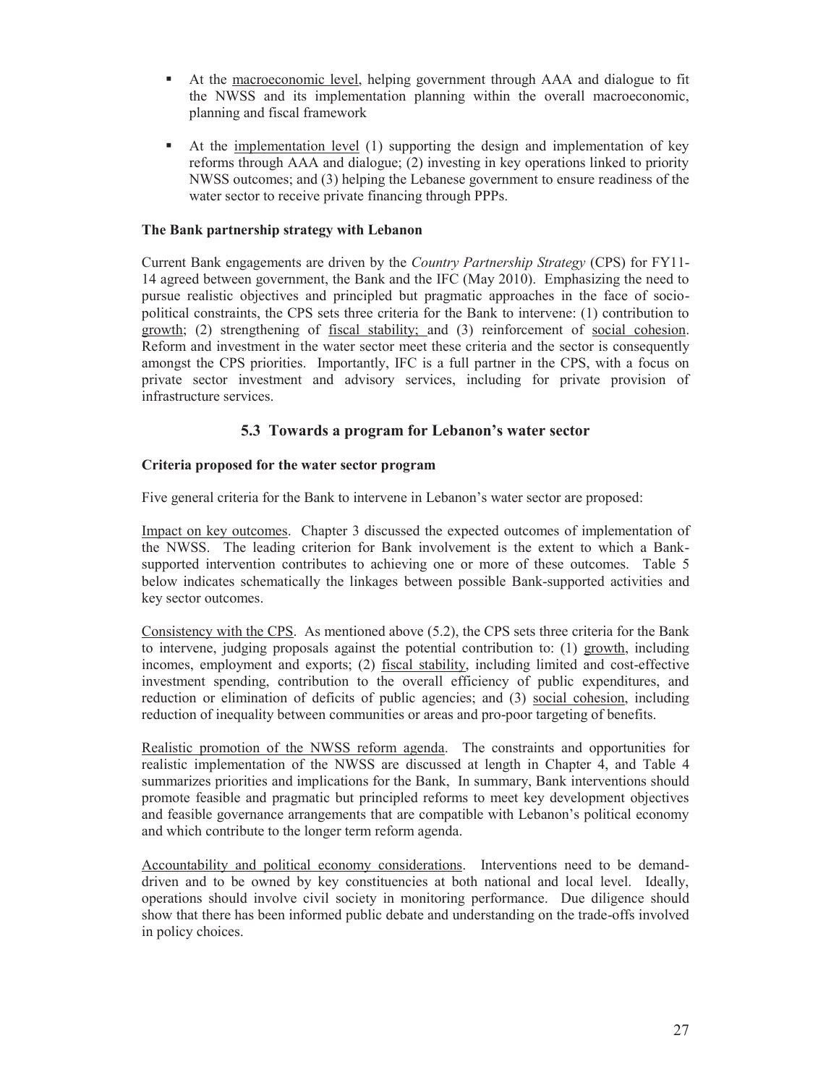- At the macroeconomic level, helping government through AAA and dialogue to fit the NWSS and its implementation planning within the overall macroeconomic, planning and fiscal framework
- At the implementation level (1) supporting the design and implementation of key reforms through AAA and dialogue; (2) investing in key operations linked to priority NWSS outcomes; and (3) helping the Lebanese government to ensure readiness of the water sector to receive private financing through PPPs.

### **The Bank partnership strategy with Lebanon**

Current Bank engagements are driven by the *Country Partnership Strategy* (CPS) for FY11- 14 agreed between government, the Bank and the IFC (May 2010). Emphasizing the need to pursue realistic objectives and principled but pragmatic approaches in the face of sociopolitical constraints, the CPS sets three criteria for the Bank to intervene: (1) contribution to growth; (2) strengthening of fiscal stability; and (3) reinforcement of social cohesion. Reform and investment in the water sector meet these criteria and the sector is consequently amongst the CPS priorities. Importantly, IFC is a full partner in the CPS, with a focus on private sector investment and advisory services, including for private provision of infrastructure services.

### **5.3 Towards a program for Lebanon's water sector**

### **Criteria proposed for the water sector program**

Five general criteria for the Bank to intervene in Lebanon's water sector are proposed:

Impact on key outcomes. Chapter 3 discussed the expected outcomes of implementation of the NWSS. The leading criterion for Bank involvement is the extent to which a Banksupported intervention contributes to achieving one or more of these outcomes. Table 5 below indicates schematically the linkages between possible Bank-supported activities and key sector outcomes.

Consistency with the CPS. As mentioned above (5.2), the CPS sets three criteria for the Bank to intervene, judging proposals against the potential contribution to: (1) growth, including incomes, employment and exports; (2) fiscal stability, including limited and cost-effective investment spending, contribution to the overall efficiency of public expenditures, and reduction or elimination of deficits of public agencies; and (3) social cohesion, including reduction of inequality between communities or areas and pro-poor targeting of benefits.

Realistic promotion of the NWSS reform agenda. The constraints and opportunities for realistic implementation of the NWSS are discussed at length in Chapter 4, and Table 4 summarizes priorities and implications for the Bank, In summary, Bank interventions should promote feasible and pragmatic but principled reforms to meet key development objectives and feasible governance arrangements that are compatible with Lebanon's political economy and which contribute to the longer term reform agenda.

Accountability and political economy considerations. Interventions need to be demanddriven and to be owned by key constituencies at both national and local level. Ideally, operations should involve civil society in monitoring performance. Due diligence should show that there has been informed public debate and understanding on the trade-offs involved in policy choices.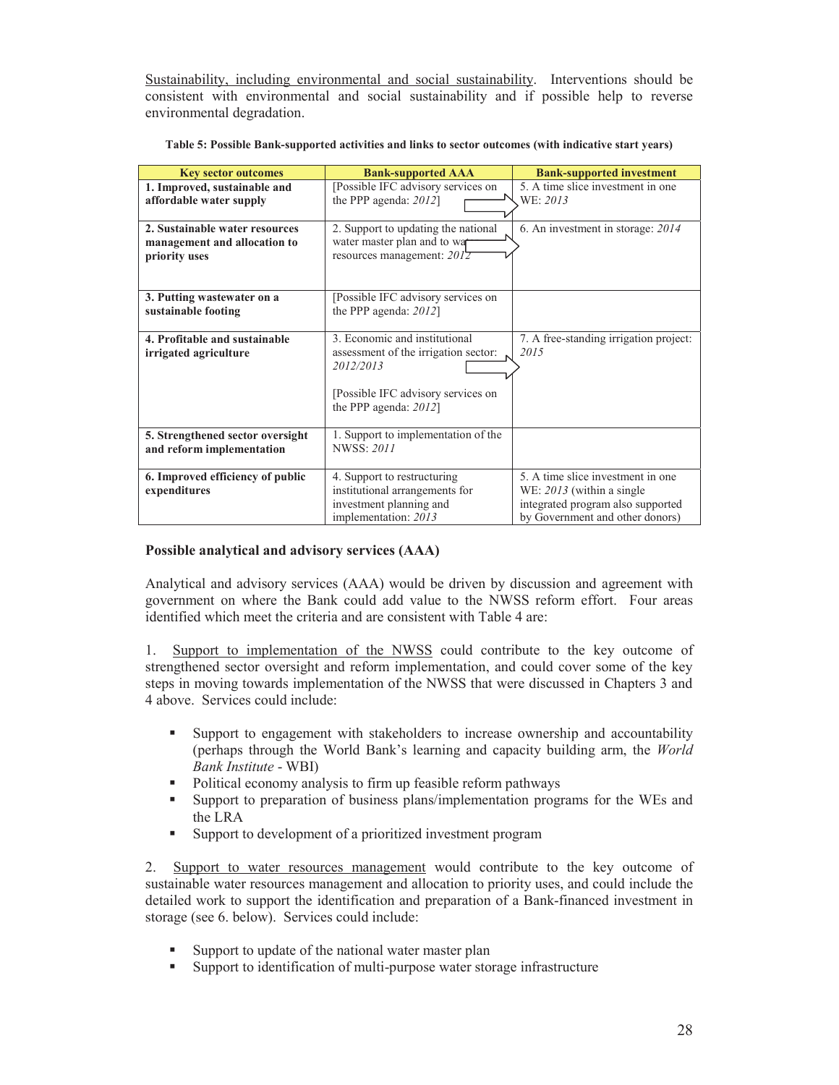Sustainability, including environmental and social sustainability. Interventions should be consistent with environmental and social sustainability and if possible help to reverse environmental degradation.

| <b>Key sector outcomes</b>                                                      | <b>Bank-supported AAA</b>                                                                                                                            | <b>Bank-supported investment</b>                                                                                                        |
|---------------------------------------------------------------------------------|------------------------------------------------------------------------------------------------------------------------------------------------------|-----------------------------------------------------------------------------------------------------------------------------------------|
| 1. Improved, sustainable and<br>affordable water supply                         | [Possible IFC advisory services on<br>the PPP agenda: $2012$ ]                                                                                       | 5. A time slice investment in one<br>WE: 2013                                                                                           |
| 2. Sustainable water resources<br>management and allocation to<br>priority uses | 2. Support to updating the national<br>water master plan and to war<br>resources management: $2012$                                                  | 6. An investment in storage: 2014                                                                                                       |
| 3. Putting wastewater on a<br>sustainable footing                               | [Possible IFC advisory services on<br>the PPP agenda: $2012$ ]                                                                                       |                                                                                                                                         |
| 4. Profitable and sustainable<br>irrigated agriculture                          | 3. Economic and institutional<br>assessment of the irrigation sector:<br>2012/2013<br>[Possible IFC advisory services on<br>the PPP agenda: $2012$ ] | 7. A free-standing irrigation project:<br>2015                                                                                          |
| 5. Strengthened sector oversight<br>and reform implementation                   | 1. Support to implementation of the<br><b>NWSS: 2011</b>                                                                                             |                                                                                                                                         |
| 6. Improved efficiency of public<br>expenditures                                | 4. Support to restructuring<br>institutional arrangements for<br>investment planning and<br>implementation: 2013                                     | 5. A time slice investment in one<br>WE: 2013 (within a single)<br>integrated program also supported<br>by Government and other donors) |

**Table 5: Possible Bank-supported activities and links to sector outcomes (with indicative start years)** 

### **Possible analytical and advisory services (AAA)**

Analytical and advisory services (AAA) would be driven by discussion and agreement with government on where the Bank could add value to the NWSS reform effort. Four areas identified which meet the criteria and are consistent with Table 4 are:

1. Support to implementation of the NWSS could contribute to the key outcome of strengthened sector oversight and reform implementation, and could cover some of the key steps in moving towards implementation of the NWSS that were discussed in Chapters 3 and 4 above. Services could include:

- Support to engagement with stakeholders to increase ownership and accountability (perhaps through the World Bank's learning and capacity building arm, the *World Bank Institute* - WBI)
- Political economy analysis to firm up feasible reform pathways
- Support to preparation of business plans/implementation programs for the WEs and the LRA
- Support to development of a prioritized investment program

2. Support to water resources management would contribute to the key outcome of sustainable water resources management and allocation to priority uses, and could include the detailed work to support the identification and preparation of a Bank-financed investment in storage (see 6. below). Services could include:

- Support to update of the national water master plan
- Support to identification of multi-purpose water storage infrastructure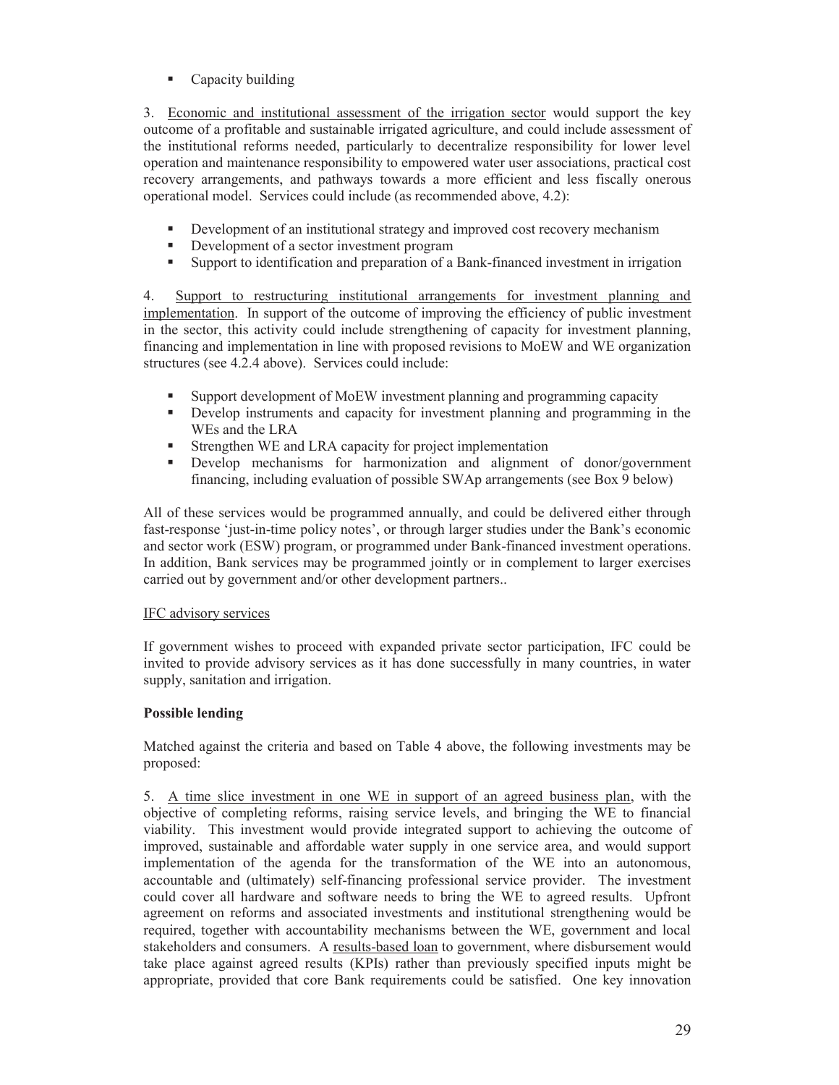• Capacity building

3. Economic and institutional assessment of the irrigation sector would support the key outcome of a profitable and sustainable irrigated agriculture, and could include assessment of the institutional reforms needed, particularly to decentralize responsibility for lower level operation and maintenance responsibility to empowered water user associations, practical cost recovery arrangements, and pathways towards a more efficient and less fiscally onerous operational model. Services could include (as recommended above, 4.2):

- Development of an institutional strategy and improved cost recovery mechanism
- Development of a sector investment program
- Support to identification and preparation of a Bank-financed investment in irrigation

4. Support to restructuring institutional arrangements for investment planning and implementation. In support of the outcome of improving the efficiency of public investment in the sector, this activity could include strengthening of capacity for investment planning, financing and implementation in line with proposed revisions to MoEW and WE organization structures (see 4.2.4 above). Services could include:

- Support development of MoEW investment planning and programming capacity
- Develop instruments and capacity for investment planning and programming in the WEs and the LRA
- Strengthen WE and LRA capacity for project implementation
- Develop mechanisms for harmonization and alignment of donor/government financing, including evaluation of possible SWAp arrangements (see Box 9 below)

All of these services would be programmed annually, and could be delivered either through fast-response 'just-in-time policy notes', or through larger studies under the Bank's economic and sector work (ESW) program, or programmed under Bank-financed investment operations. In addition, Bank services may be programmed jointly or in complement to larger exercises carried out by government and/or other development partners..

### IFC advisory services

If government wishes to proceed with expanded private sector participation, IFC could be invited to provide advisory services as it has done successfully in many countries, in water supply, sanitation and irrigation.

### **Possible lending**

Matched against the criteria and based on Table 4 above, the following investments may be proposed:

5. A time slice investment in one WE in support of an agreed business plan, with the objective of completing reforms, raising service levels, and bringing the WE to financial viability. This investment would provide integrated support to achieving the outcome of improved, sustainable and affordable water supply in one service area, and would support implementation of the agenda for the transformation of the WE into an autonomous, accountable and (ultimately) self-financing professional service provider. The investment could cover all hardware and software needs to bring the WE to agreed results. Upfront agreement on reforms and associated investments and institutional strengthening would be required, together with accountability mechanisms between the WE, government and local stakeholders and consumers. A results-based loan to government, where disbursement would take place against agreed results (KPIs) rather than previously specified inputs might be appropriate, provided that core Bank requirements could be satisfied. One key innovation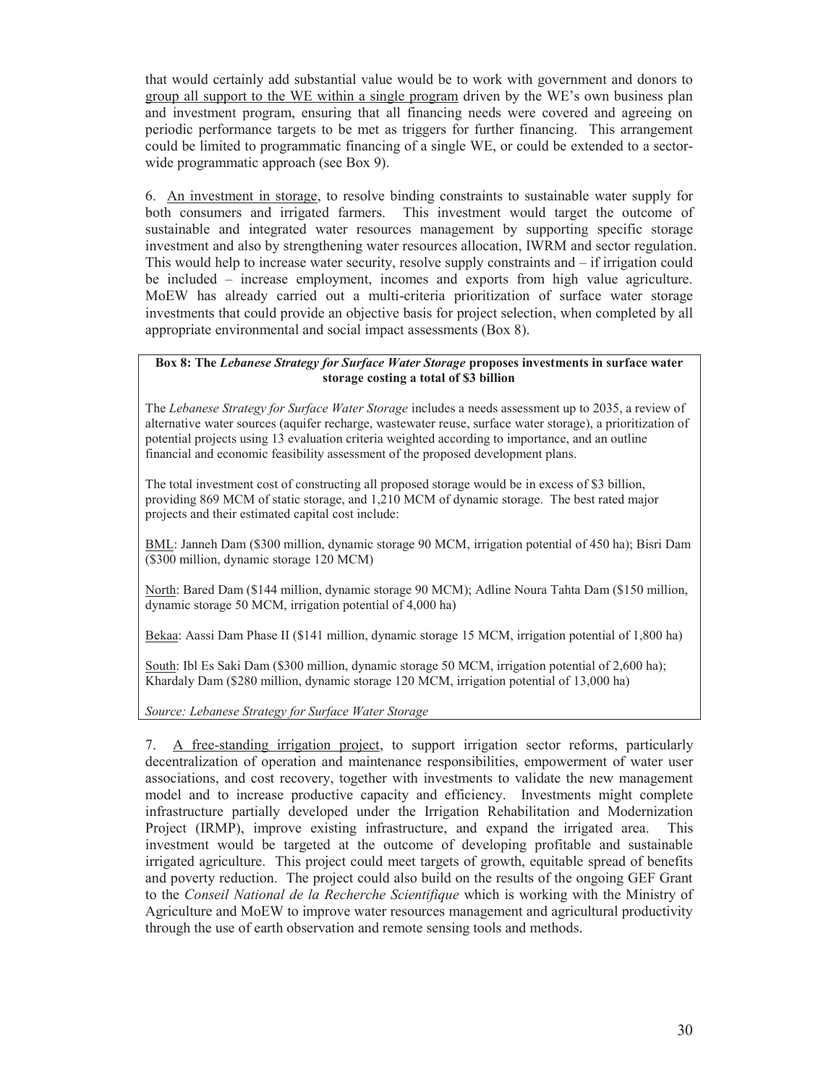that would certainly add substantial value would be to work with government and donors to group all support to the WE within a single program driven by the WE's own business plan and investment program, ensuring that all financing needs were covered and agreeing on periodic performance targets to be met as triggers for further financing. This arrangement could be limited to programmatic financing of a single WE, or could be extended to a sectorwide programmatic approach (see Box 9).

6. An investment in storage, to resolve binding constraints to sustainable water supply for both consumers and irrigated farmers. This investment would target the outcome of sustainable and integrated water resources management by supporting specific storage investment and also by strengthening water resources allocation, IWRM and sector regulation. This would help to increase water security, resolve supply constraints and – if irrigation could be included – increase employment, incomes and exports from high value agriculture. MoEW has already carried out a multi-criteria prioritization of surface water storage investments that could provide an objective basis for project selection, when completed by all appropriate environmental and social impact assessments (Box 8).

#### **Box 8: The** *Lebanese Strategy for Surface Water Storage* **proposes investments in surface water storage costing a total of \$3 billion**

The *Lebanese Strategy for Surface Water Storage* includes a needs assessment up to 2035, a review of alternative water sources (aquifer recharge, wastewater reuse, surface water storage), a prioritization of potential projects using 13 evaluation criteria weighted according to importance, and an outline financial and economic feasibility assessment of the proposed development plans.

The total investment cost of constructing all proposed storage would be in excess of \$3 billion, providing 869 MCM of static storage, and 1,210 MCM of dynamic storage. The best rated major projects and their estimated capital cost include:

BML: Janneh Dam (\$300 million, dynamic storage 90 MCM, irrigation potential of 450 ha); Bisri Dam (\$300 million, dynamic storage 120 MCM)

North: Bared Dam (\$144 million, dynamic storage 90 MCM); Adline Noura Tahta Dam (\$150 million, dynamic storage 50 MCM, irrigation potential of 4,000 ha)

Bekaa: Aassi Dam Phase II (\$141 million, dynamic storage 15 MCM, irrigation potential of 1,800 ha)

South: Ibl Es Saki Dam (\$300 million, dynamic storage 50 MCM, irrigation potential of 2,600 ha); Khardaly Dam (\$280 million, dynamic storage 120 MCM, irrigation potential of 13,000 ha)

*Source: Lebanese Strategy for Surface Water Storage*

7. A free-standing irrigation project, to support irrigation sector reforms, particularly decentralization of operation and maintenance responsibilities, empowerment of water user associations, and cost recovery, together with investments to validate the new management model and to increase productive capacity and efficiency. Investments might complete infrastructure partially developed under the Irrigation Rehabilitation and Modernization Project (IRMP), improve existing infrastructure, and expand the irrigated area. investment would be targeted at the outcome of developing profitable and sustainable irrigated agriculture. This project could meet targets of growth, equitable spread of benefits and poverty reduction. The project could also build on the results of the ongoing GEF Grant to the *Conseil National de la Recherche Scientifique* which is working with the Ministry of Agriculture and MoEW to improve water resources management and agricultural productivity through the use of earth observation and remote sensing tools and methods.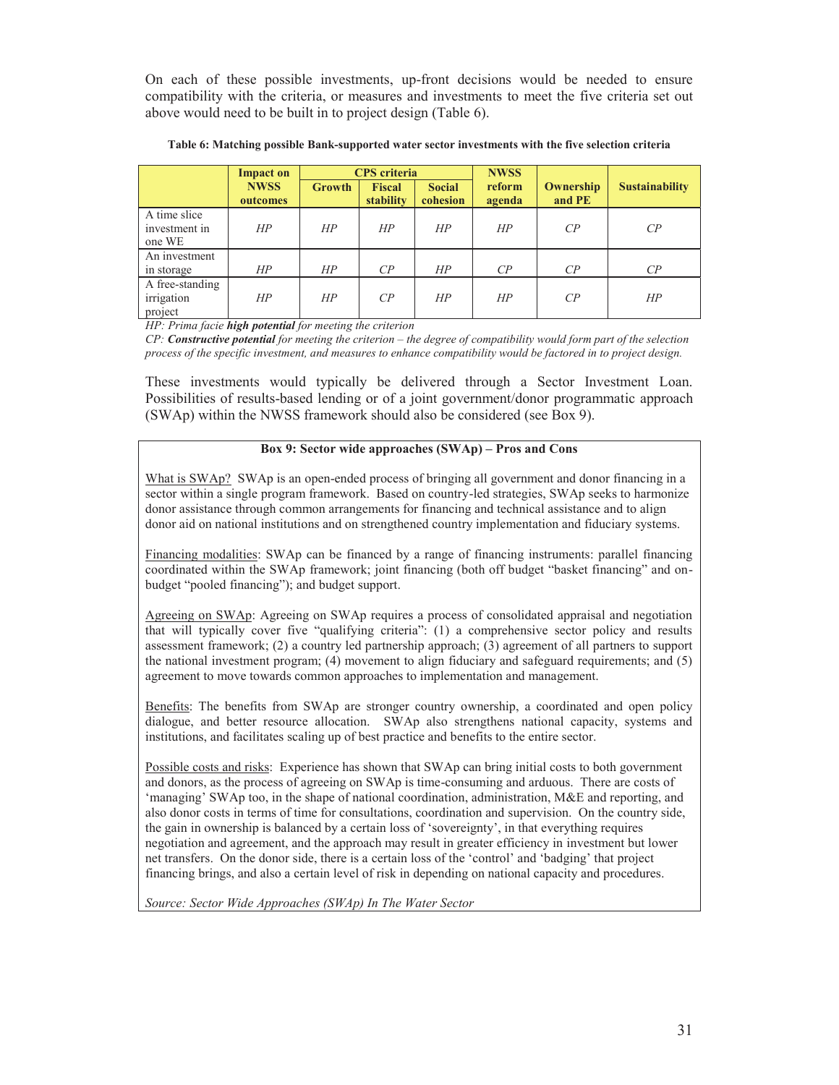On each of these possible investments, up-front decisions would be needed to ensure compatibility with the criteria, or measures and investments to meet the five criteria set out above would need to be built in to project design (Table 6).

|                                          | <b>Impact on</b>        |               | <b>CPS</b> criteria        |                           | <b>NWSS</b>      |                     |                       |
|------------------------------------------|-------------------------|---------------|----------------------------|---------------------------|------------------|---------------------|-----------------------|
|                                          | <b>NWSS</b><br>outcomes | <b>Growth</b> | <b>Fiscal</b><br>stability | <b>Social</b><br>cohesion | reform<br>agenda | Ownership<br>and PE | <b>Sustainability</b> |
| A time slice<br>investment in<br>one WE  | HP                      | HP            | HP                         | HP                        | HP               | $\mathbb{C}P$       | CP                    |
| An investment<br>in storage              | HP                      | HP            | $\mathcal{CP}$             | HР                        | $\mathcal{C}P$   | $\mathbb{C}P$       | $\mathbb{C}P$         |
| A free-standing<br>irrigation<br>project | HP                      | HP            | CP                         | HP                        | HP               | $\mathbb{C}P$       | HP                    |

**Table 6: Matching possible Bank-supported water sector investments with the five selection criteria** 

*HP: Prima facie high potential for meeting the criterion* 

*CP: Constructive potential for meeting the criterion – the degree of compatibility would form part of the selection process of the specific investment, and measures to enhance compatibility would be factored in to project design.* 

These investments would typically be delivered through a Sector Investment Loan. Possibilities of results-based lending or of a joint government/donor programmatic approach (SWAp) within the NWSS framework should also be considered (see Box 9).

### **Box 9: Sector wide approaches (SWAp) – Pros and Cons**

What is SWAp? SWAp is an open-ended process of bringing all government and donor financing in a sector within a single program framework. Based on country-led strategies, SWAp seeks to harmonize donor assistance through common arrangements for financing and technical assistance and to align donor aid on national institutions and on strengthened country implementation and fiduciary systems.

Financing modalities: SWAp can be financed by a range of financing instruments: parallel financing coordinated within the SWAp framework; joint financing (both off budget "basket financing" and onbudget "pooled financing"); and budget support.

Agreeing on SWAp: Agreeing on SWAp requires a process of consolidated appraisal and negotiation that will typically cover five "qualifying criteria": (1) a comprehensive sector policy and results assessment framework; (2) a country led partnership approach; (3) agreement of all partners to support the national investment program; (4) movement to align fiduciary and safeguard requirements; and (5) agreement to move towards common approaches to implementation and management.

Benefits: The benefits from SWAp are stronger country ownership, a coordinated and open policy dialogue, and better resource allocation. SWAp also strengthens national capacity, systems and institutions, and facilitates scaling up of best practice and benefits to the entire sector.

Possible costs and risks: Experience has shown that SWAp can bring initial costs to both government and donors, as the process of agreeing on SWAp is time-consuming and arduous. There are costs of 'managing' SWAp too, in the shape of national coordination, administration, M&E and reporting, and also donor costs in terms of time for consultations, coordination and supervision. On the country side, the gain in ownership is balanced by a certain loss of 'sovereignty', in that everything requires negotiation and agreement, and the approach may result in greater efficiency in investment but lower net transfers. On the donor side, there is a certain loss of the 'control' and 'badging' that project financing brings, and also a certain level of risk in depending on national capacity and procedures.

*Source: Sector Wide Approaches (SWAp) In The Water Sector*